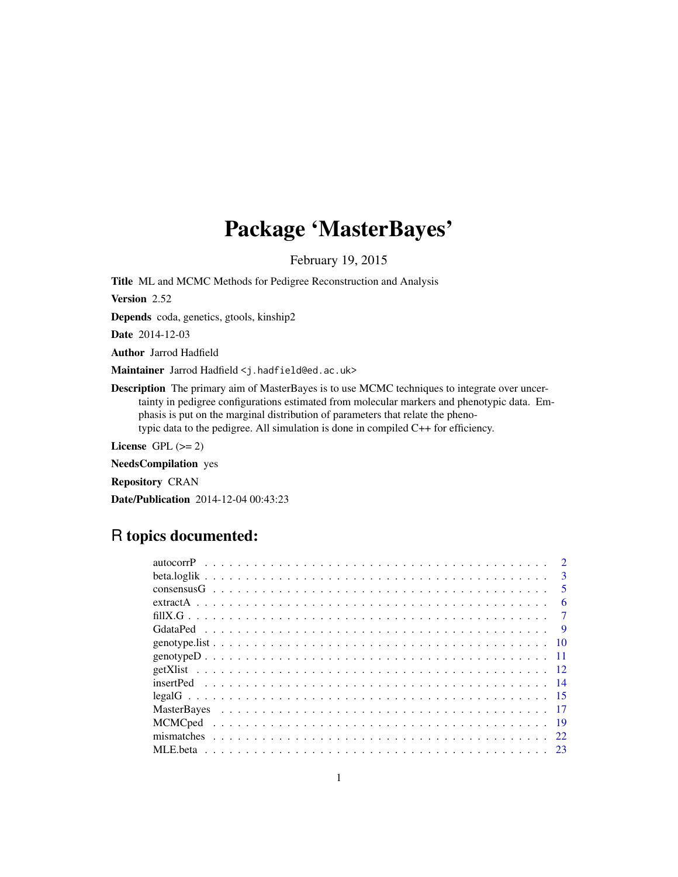# Package 'MasterBayes'

February 19, 2015

Title ML and MCMC Methods for Pedigree Reconstruction and Analysis

Version 2.52

Depends coda, genetics, gtools, kinship2

Date 2014-12-03

Author Jarrod Hadfield

Maintainer Jarrod Hadfield <j.hadfield@ed.ac.uk>

Description The primary aim of MasterBayes is to use MCMC techniques to integrate over uncertainty in pedigree configurations estimated from molecular markers and phenotypic data. Emphasis is put on the marginal distribution of parameters that relate the phenotypic data to the pedigree. All simulation is done in compiled C++ for efficiency.

License GPL  $(>= 2)$ 

NeedsCompilation yes Repository CRAN

Date/Publication 2014-12-04 00:43:23

# R topics documented:

|    | $\mathbf{R}$            |
|----|-------------------------|
|    | $\overline{\mathbf{5}}$ |
|    | 6                       |
|    | -7                      |
|    |                         |
|    |                         |
|    |                         |
|    |                         |
|    |                         |
|    |                         |
|    |                         |
|    |                         |
|    |                         |
| 23 |                         |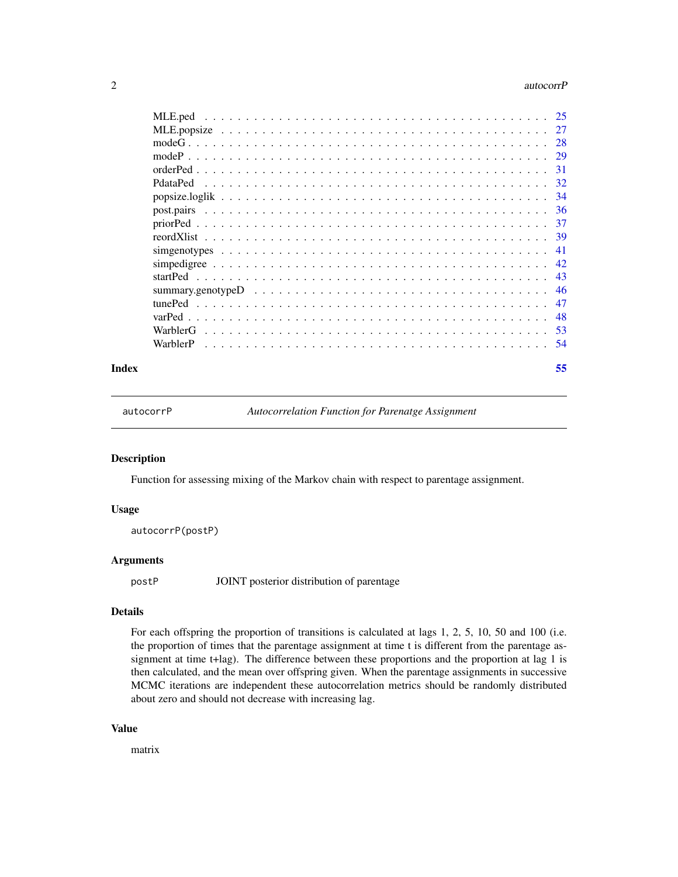#### <span id="page-1-0"></span>2 autocorrP

|                                                                                                                 | -25 |
|-----------------------------------------------------------------------------------------------------------------|-----|
|                                                                                                                 | 27  |
|                                                                                                                 | 28  |
|                                                                                                                 | 29  |
|                                                                                                                 | 31  |
|                                                                                                                 | 32  |
|                                                                                                                 | -34 |
|                                                                                                                 | -36 |
|                                                                                                                 | -37 |
|                                                                                                                 |     |
|                                                                                                                 | 41  |
|                                                                                                                 | 42  |
|                                                                                                                 | 43  |
| summary.genotype $D \ldots \ldots \ldots \ldots \ldots \ldots \ldots \ldots \ldots \ldots \ldots \ldots \ldots$ | 46  |
| tunePed                                                                                                         | 47  |
|                                                                                                                 | 48  |
| WarblerG                                                                                                        | -53 |
| WarblerP                                                                                                        | -54 |
|                                                                                                                 |     |

#### **Index** [55](#page-54-0)

autocorrP *Autocorrelation Function for Parenatge Assignment*

#### Description

Function for assessing mixing of the Markov chain with respect to parentage assignment.

#### Usage

autocorrP(postP)

## Arguments

postP JOINT posterior distribution of parentage

# Details

For each offspring the proportion of transitions is calculated at lags 1, 2, 5, 10, 50 and 100 (i.e. the proportion of times that the parentage assignment at time t is different from the parentage assignment at time t+lag). The difference between these proportions and the proportion at lag 1 is then calculated, and the mean over offspring given. When the parentage assignments in successive MCMC iterations are independent these autocorrelation metrics should be randomly distributed about zero and should not decrease with increasing lag.

## Value

matrix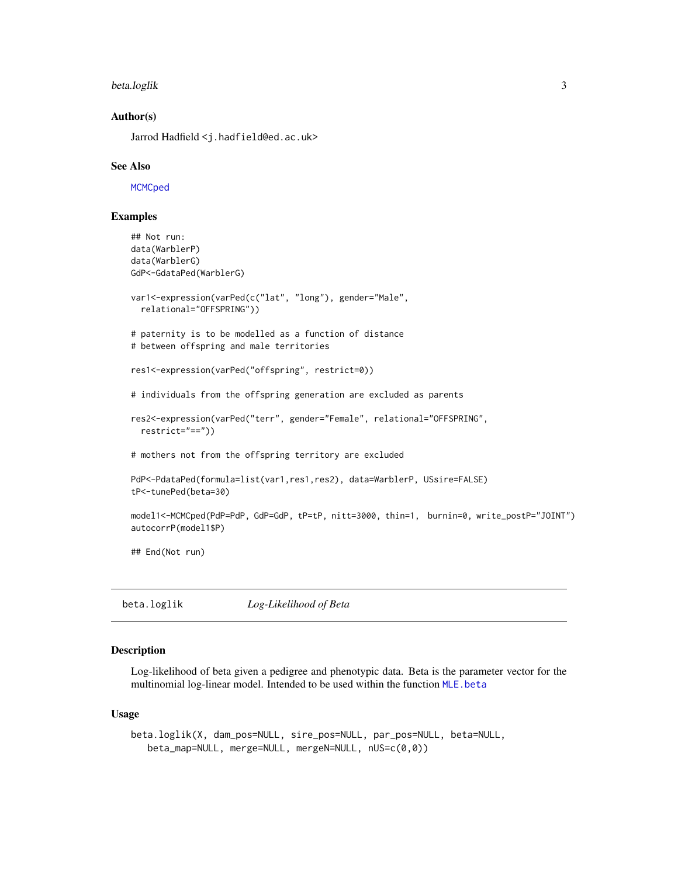#### <span id="page-2-0"></span>beta.loglik 3

## Author(s)

Jarrod Hadfield <j.hadfield@ed.ac.uk>

#### See Also

**[MCMCped](#page-18-1)** 

## Examples

```
## Not run:
data(WarblerP)
data(WarblerG)
GdP<-GdataPed(WarblerG)
var1<-expression(varPed(c("lat", "long"), gender="Male",
 relational="OFFSPRING"))
# paternity is to be modelled as a function of distance
# between offspring and male territories
res1<-expression(varPed("offspring", restrict=0))
# individuals from the offspring generation are excluded as parents
res2<-expression(varPed("terr", gender="Female", relational="OFFSPRING",
 restrict="=="))
# mothers not from the offspring territory are excluded
PdP<-PdataPed(formula=list(var1,res1,res2), data=WarblerP, USsire=FALSE)
tP<-tunePed(beta=30)
model1<-MCMCped(PdP=PdP, GdP=GdP, tP=tP, nitt=3000, thin=1, burnin=0, write_postP="JOINT")
autocorrP(model1$P)
## End(Not run)
```
<span id="page-2-1"></span>beta.loglik *Log-Likelihood of Beta*

## Description

Log-likelihood of beta given a pedigree and phenotypic data. Beta is the parameter vector for the multinomial log-linear model. Intended to be used within the function [MLE.beta](#page-22-1)

#### Usage

```
beta.loglik(X, dam_pos=NULL, sire_pos=NULL, par_pos=NULL, beta=NULL,
   beta_map=NULL, merge=NULL, mergeN=NULL, nUS=c(0,0))
```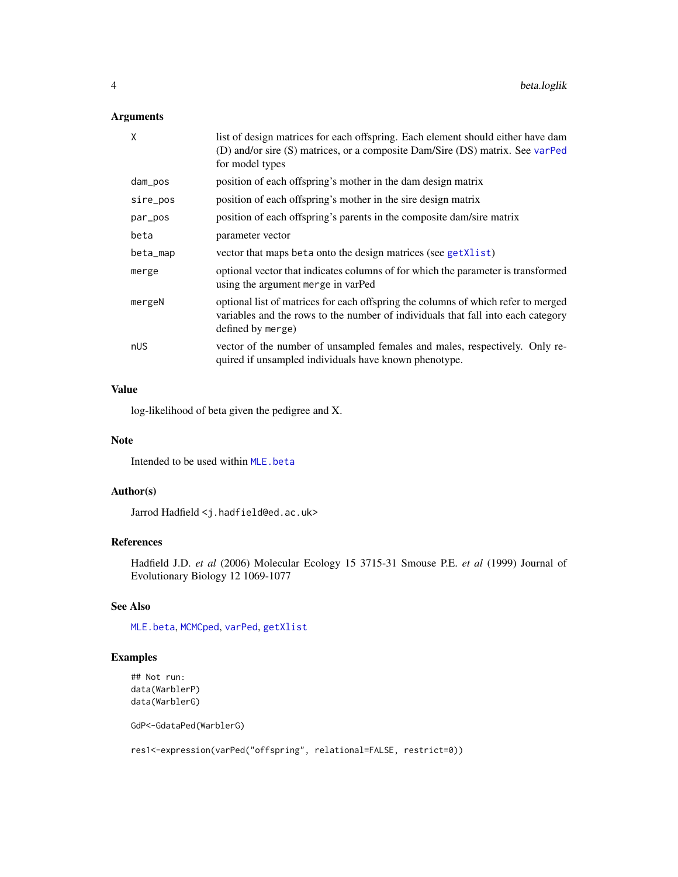## <span id="page-3-0"></span>Arguments

| X        | list of design matrices for each offspring. Each element should either have dam<br>(D) and/or sire (S) matrices, or a composite Dam/Sire (DS) matrix. See varPed<br>for model types        |
|----------|--------------------------------------------------------------------------------------------------------------------------------------------------------------------------------------------|
| dam_pos  | position of each offspring's mother in the dam design matrix                                                                                                                               |
| sire_pos | position of each offspring's mother in the sire design matrix                                                                                                                              |
| par_pos  | position of each offspring's parents in the composite dam/sire matrix                                                                                                                      |
| beta     | parameter vector                                                                                                                                                                           |
| beta_map | vector that maps beta onto the design matrices (see getXlist)                                                                                                                              |
| merge    | optional vector that indicates columns of for which the parameter is transformed<br>using the argument merge in varPed                                                                     |
| mergeN   | optional list of matrices for each offspring the columns of which refer to merged<br>variables and the rows to the number of individuals that fall into each category<br>defined by merge) |
| nUS      | vector of the number of unsampled females and males, respectively. Only re-<br>quired if unsampled individuals have known phenotype.                                                       |

## Value

log-likelihood of beta given the pedigree and X.

## Note

Intended to be used within [MLE.beta](#page-22-1)

## Author(s)

Jarrod Hadfield <j.hadfield@ed.ac.uk>

# References

Hadfield J.D. *et al* (2006) Molecular Ecology 15 3715-31 Smouse P.E. *et al* (1999) Journal of Evolutionary Biology 12 1069-1077

## See Also

[MLE.beta](#page-22-1), [MCMCped](#page-18-1), [varPed](#page-47-1), [getXlist](#page-11-1)

## Examples

## Not run: data(WarblerP) data(WarblerG)

GdP<-GdataPed(WarblerG)

res1<-expression(varPed("offspring", relational=FALSE, restrict=0))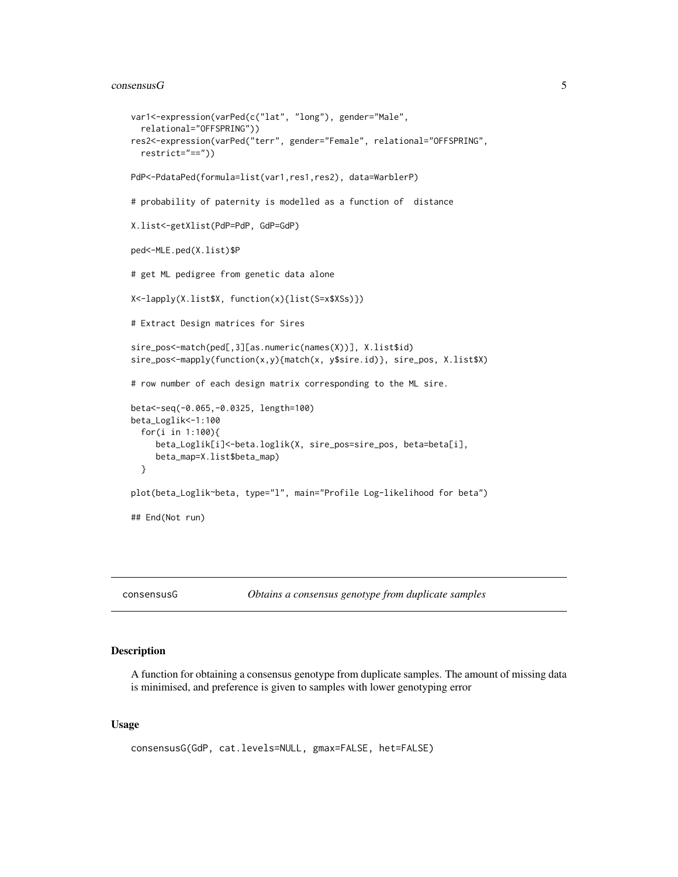#### <span id="page-4-0"></span> $\sim$  5

```
var1<-expression(varPed(c("lat", "long"), gender="Male",
  relational="OFFSPRING"))
res2<-expression(varPed("terr", gender="Female", relational="OFFSPRING",
  restrict="=="))
PdP<-PdataPed(formula=list(var1,res1,res2), data=WarblerP)
# probability of paternity is modelled as a function of distance
X.list<-getXlist(PdP=PdP, GdP=GdP)
ped<-MLE.ped(X.list)$P
# get ML pedigree from genetic data alone
X<-lapply(X.list$X, function(x){list(S=x$XSs)})
# Extract Design matrices for Sires
sire_pos<-match(ped[,3][as.numeric(names(X))], X.list$id)
sire_pos<-mapply(function(x,y){match(x, y$sire.id)}, sire_pos, X.list$X)
# row number of each design matrix corresponding to the ML sire.
beta<-seq(-0.065,-0.0325, length=100)
beta_Loglik<-1:100
  for(i in 1:100){
    beta_Loglik[i]<-beta.loglik(X, sire_pos=sire_pos, beta=beta[i],
     beta_map=X.list$beta_map)
  }
plot(beta_Loglik~beta, type="l", main="Profile Log-likelihood for beta")
## End(Not run)
```
consensusG *Obtains a consensus genotype from duplicate samples*

## Description

A function for obtaining a consensus genotype from duplicate samples. The amount of missing data is minimised, and preference is given to samples with lower genotyping error

#### Usage

```
consensusG(GdP, cat.levels=NULL, gmax=FALSE, het=FALSE)
```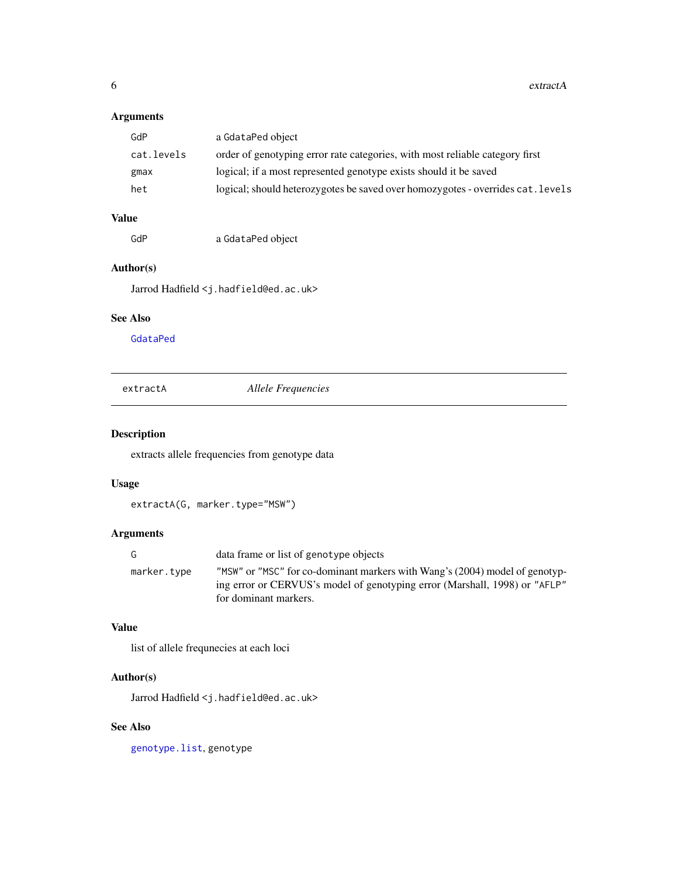<span id="page-5-0"></span> $6$  extractA

# Arguments

| GdP        | a GdataPed object                                                               |
|------------|---------------------------------------------------------------------------------|
| cat.levels | order of genotyping error rate categories, with most reliable category first    |
| gmax       | logical; if a most represented genotype exists should it be saved               |
| het        | logical; should heterozygotes be saved over homozygotes - overrides cat. levels |
|            |                                                                                 |

# Value

GdP a GdataPed object

# Author(s)

Jarrod Hadfield <j.hadfield@ed.ac.uk>

# See Also

[GdataPed](#page-8-1)

<span id="page-5-1"></span>extractA *Allele Frequencies*

# Description

extracts allele frequencies from genotype data

## Usage

```
extractA(G, marker.type="MSW")
```
## Arguments

| G.          | data frame or list of genotype objects                                                                                                                                             |
|-------------|------------------------------------------------------------------------------------------------------------------------------------------------------------------------------------|
| marker.type | "MSW" or "MSC" for co-dominant markers with Wang's (2004) model of genotyp-<br>ing error or CERVUS's model of genotyping error (Marshall, 1998) or "AFLP"<br>for dominant markers. |
|             |                                                                                                                                                                                    |

# Value

list of allele frequnecies at each loci

# Author(s)

Jarrod Hadfield <j.hadfield@ed.ac.uk>

# See Also

[genotype.list](#page-9-1), genotype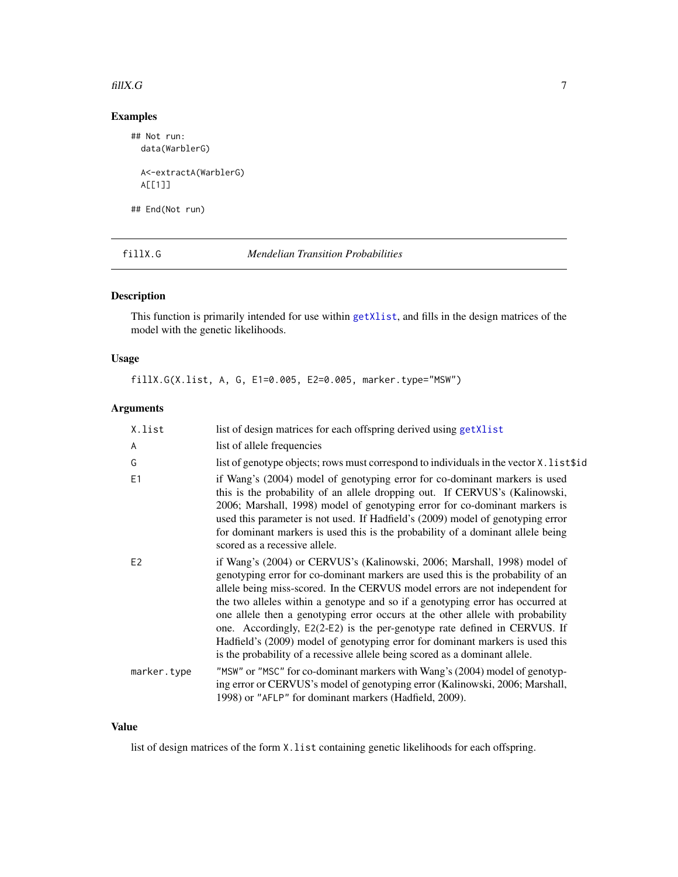#### <span id="page-6-0"></span> $\beta$  fill X.G  $\beta$  7

# Examples

## Not run: data(WarblerG) A<-extractA(WarblerG) A[[1]]

## End(Not run)

<span id="page-6-1"></span>fillX.G *Mendelian Transition Probabilities*

## Description

This function is primarily intended for use within [getXlist](#page-11-1), and fills in the design matrices of the model with the genetic likelihoods.

## Usage

fillX.G(X.list, A, G, E1=0.005, E2=0.005, marker.type="MSW")

# Arguments

| X.list         | list of design matrices for each offspring derived using getXlist                                                                                                                                                                                                                                                                                                                                                                                                                                                                                                                                                                                            |
|----------------|--------------------------------------------------------------------------------------------------------------------------------------------------------------------------------------------------------------------------------------------------------------------------------------------------------------------------------------------------------------------------------------------------------------------------------------------------------------------------------------------------------------------------------------------------------------------------------------------------------------------------------------------------------------|
| $\overline{A}$ | list of allele frequencies                                                                                                                                                                                                                                                                                                                                                                                                                                                                                                                                                                                                                                   |
| G              | list of genotype objects; rows must correspond to individuals in the vector X. list\$id                                                                                                                                                                                                                                                                                                                                                                                                                                                                                                                                                                      |
| E1             | if Wang's (2004) model of genotyping error for co-dominant markers is used<br>this is the probability of an allele dropping out. If CERVUS's (Kalinowski,<br>2006; Marshall, 1998) model of genotyping error for co-dominant markers is<br>used this parameter is not used. If Hadfield's (2009) model of genotyping error<br>for dominant markers is used this is the probability of a dominant allele being<br>scored as a recessive allele.                                                                                                                                                                                                               |
| E2             | if Wang's (2004) or CERVUS's (Kalinowski, 2006; Marshall, 1998) model of<br>genotyping error for co-dominant markers are used this is the probability of an<br>allele being miss-scored. In the CERVUS model errors are not independent for<br>the two alleles within a genotype and so if a genotyping error has occurred at<br>one allele then a genotyping error occurs at the other allele with probability<br>one. Accordingly, E2(2-E2) is the per-genotype rate defined in CERVUS. If<br>Hadfield's (2009) model of genotyping error for dominant markers is used this<br>is the probability of a recessive allele being scored as a dominant allele. |
| marker.type    | "MSW" or "MSC" for co-dominant markers with Wang's (2004) model of genotyp-<br>ing error or CERVUS's model of genotyping error (Kalinowski, 2006; Marshall,<br>1998) or "AFLP" for dominant markers (Hadfield, 2009).                                                                                                                                                                                                                                                                                                                                                                                                                                        |

## Value

list of design matrices of the form X.list containing genetic likelihoods for each offspring.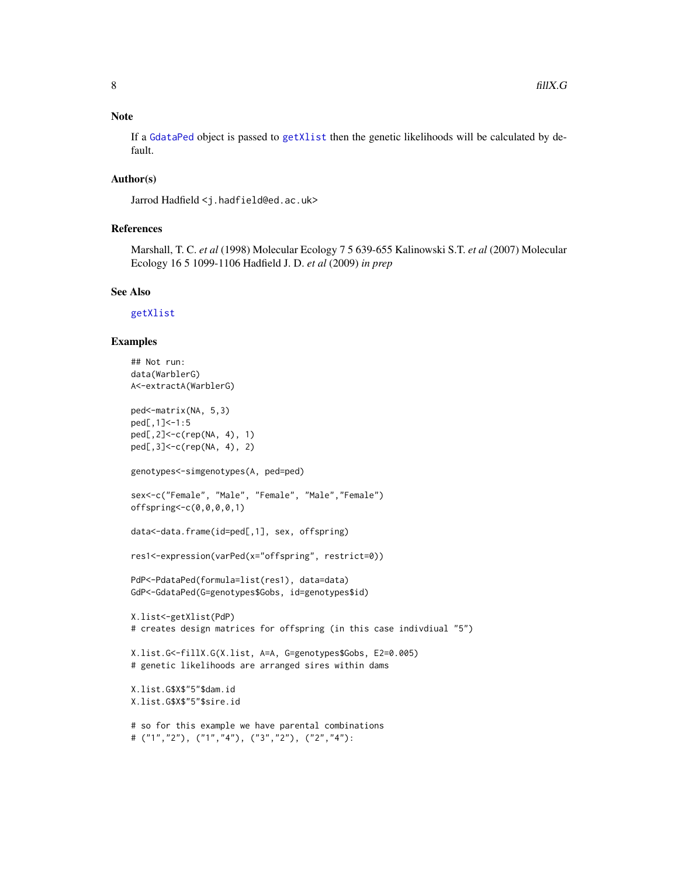## <span id="page-7-0"></span>Note

If a [GdataPed](#page-8-1) object is passed to [getXlist](#page-11-1) then the genetic likelihoods will be calculated by default.

#### Author(s)

Jarrod Hadfield <j.hadfield@ed.ac.uk>

## References

Marshall, T. C. *et al* (1998) Molecular Ecology 7 5 639-655 Kalinowski S.T. *et al* (2007) Molecular Ecology 16 5 1099-1106 Hadfield J. D. *et al* (2009) *in prep*

#### See Also

[getXlist](#page-11-1)

## Examples

```
## Not run:
data(WarblerG)
A<-extractA(WarblerG)
ped<-matrix(NA, 5,3)
ped[,1]<-1:5
ped[,2]<-c(rep(NA, 4), 1)
ped[,3]<-c(rep(NA, 4), 2)
genotypes<-simgenotypes(A, ped=ped)
sex<-c("Female", "Male", "Female", "Male","Female")
offspring<-c(0,0,0,0,1)
data<-data.frame(id=ped[,1], sex, offspring)
res1<-expression(varPed(x="offspring", restrict=0))
PdP<-PdataPed(formula=list(res1), data=data)
GdP<-GdataPed(G=genotypes$Gobs, id=genotypes$id)
X.list<-getXlist(PdP)
# creates design matrices for offspring (in this case indivdiual "5")
X.list.G<-fillX.G(X.list, A=A, G=genotypes$Gobs, E2=0.005)
# genetic likelihoods are arranged sires within dams
X.list.G$X$"5"$dam.id
X.list.G$X$"5"$sire.id
# so for this example we have parental combinations
# ("1","2"), ("1","4"), ("3","2"), ("2","4"):
```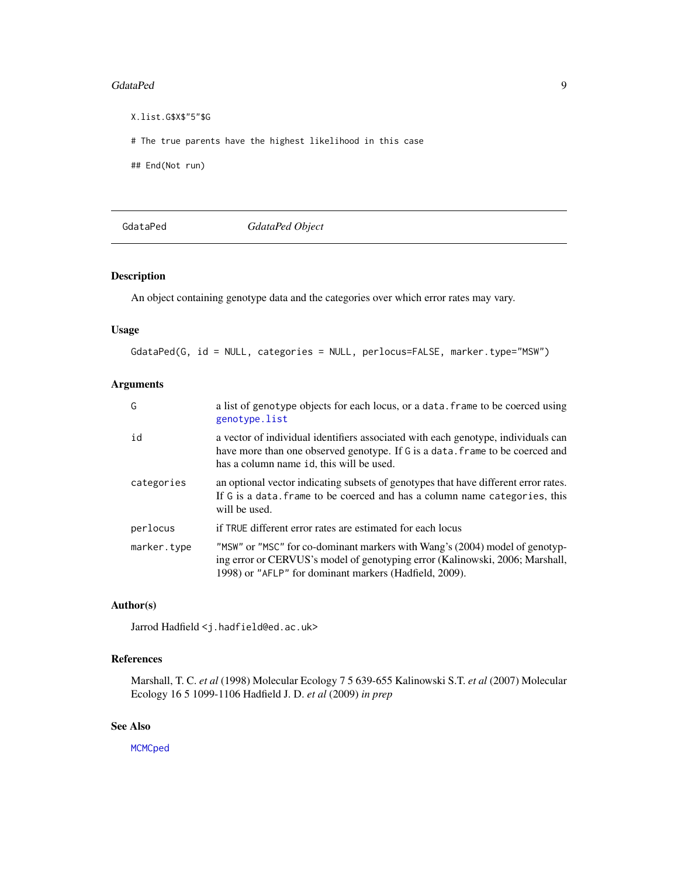#### <span id="page-8-0"></span>GdataPed 99

X.list.G\$X\$"5"\$G # The true parents have the highest likelihood in this case ## End(Not run)

## <span id="page-8-1"></span>GdataPed *GdataPed Object*

## Description

An object containing genotype data and the categories over which error rates may vary.

#### Usage

GdataPed(G, id = NULL, categories = NULL, perlocus=FALSE, marker.type="MSW")

## Arguments

| G           | a list of genotype objects for each locus, or a data. frame to be coerced using<br>genotype.list                                                                                                                      |
|-------------|-----------------------------------------------------------------------------------------------------------------------------------------------------------------------------------------------------------------------|
| id          | a vector of individual identifiers associated with each genotype, individuals can<br>have more than one observed genotype. If G is a data. frame to be coerced and<br>has a column name id, this will be used.        |
| categories  | an optional vector indicating subsets of genotypes that have different error rates.<br>If G is a data. frame to be coerced and has a column name categories, this<br>will be used.                                    |
| perlocus    | if TRUE different error rates are estimated for each locus                                                                                                                                                            |
| marker.type | "MSW" or "MSC" for co-dominant markers with Wang's (2004) model of genotyp-<br>ing error or CERVUS's model of genotyping error (Kalinowski, 2006; Marshall,<br>1998) or "AFLP" for dominant markers (Hadfield, 2009). |

## Author(s)

Jarrod Hadfield <j.hadfield@ed.ac.uk>

# References

Marshall, T. C. *et al* (1998) Molecular Ecology 7 5 639-655 Kalinowski S.T. *et al* (2007) Molecular Ecology 16 5 1099-1106 Hadfield J. D. *et al* (2009) *in prep*

## See Also

**[MCMCped](#page-18-1)**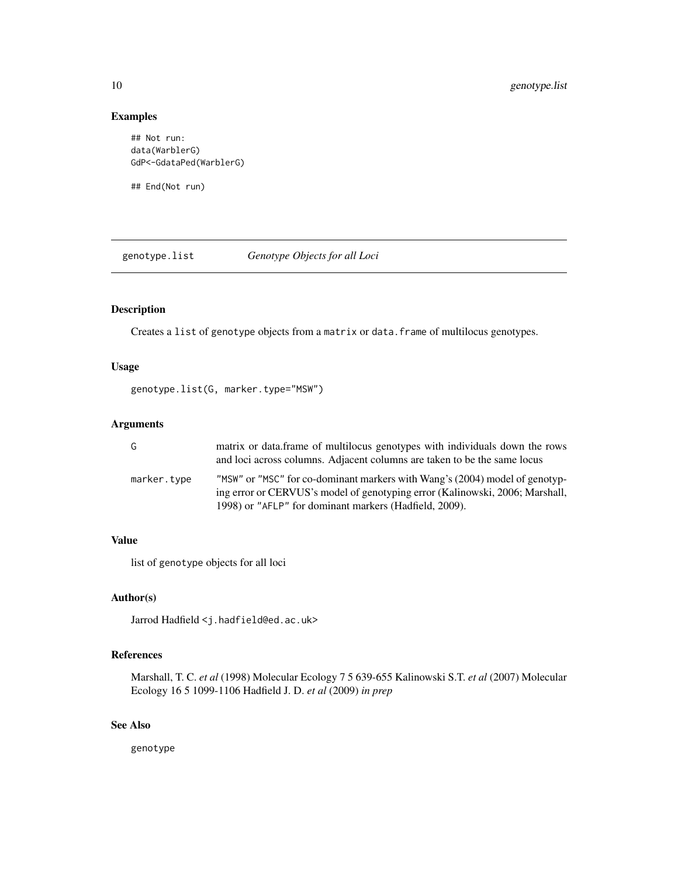## Examples

```
## Not run:
data(WarblerG)
GdP<-GdataPed(WarblerG)
```
## End(Not run)

<span id="page-9-1"></span>genotype.list *Genotype Objects for all Loci*

## Description

Creates a list of genotype objects from a matrix or data.frame of multilocus genotypes.

## Usage

```
genotype.list(G, marker.type="MSW")
```
## Arguments

| G           | matrix or data. frame of multilocus genotypes with individuals down the rows<br>and loci across columns. Adjacent columns are taken to be the same locus                                                              |
|-------------|-----------------------------------------------------------------------------------------------------------------------------------------------------------------------------------------------------------------------|
| marker.type | "MSW" or "MSC" for co-dominant markers with Wang's (2004) model of genotyp-<br>ing error or CERVUS's model of genotyping error (Kalinowski, 2006; Marshall,<br>1998) or "AFLP" for dominant markers (Hadfield, 2009). |

#### Value

list of genotype objects for all loci

## Author(s)

Jarrod Hadfield <j.hadfield@ed.ac.uk>

## References

Marshall, T. C. *et al* (1998) Molecular Ecology 7 5 639-655 Kalinowski S.T. *et al* (2007) Molecular Ecology 16 5 1099-1106 Hadfield J. D. *et al* (2009) *in prep*

## See Also

genotype

<span id="page-9-0"></span>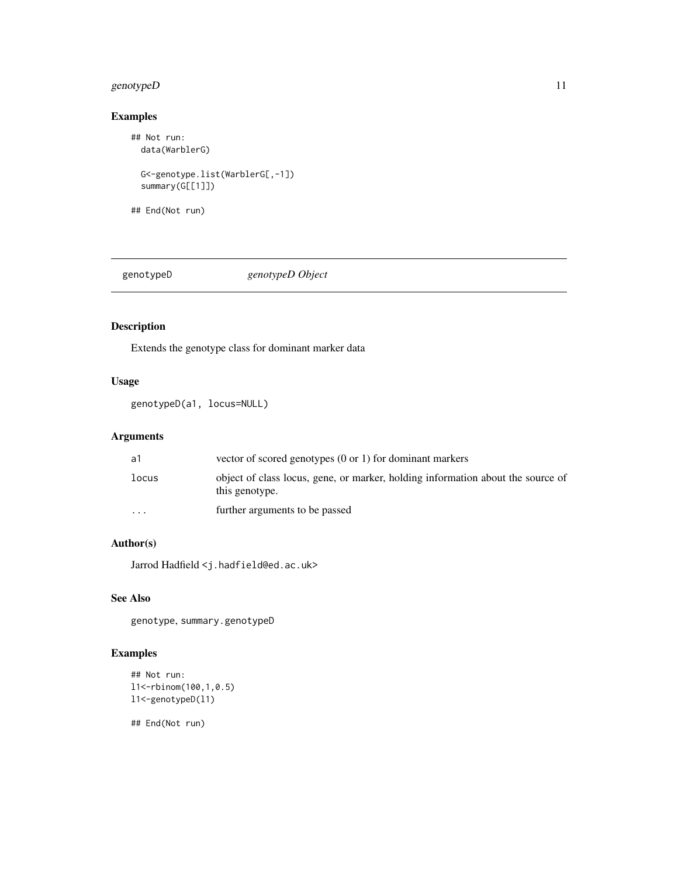## <span id="page-10-0"></span>genotypeD 11

# Examples

```
## Not run:
  data(WarblerG)
  G<-genotype.list(WarblerG[,-1])
  summary(G[[1]])
```
## End(Not run)

genotypeD *genotypeD Object*

## Description

Extends the genotype class for dominant marker data

## Usage

genotypeD(a1, locus=NULL)

## Arguments

| а1                      | vector of scored genotypes $(0 \text{ or } 1)$ for dominant markers                               |
|-------------------------|---------------------------------------------------------------------------------------------------|
| locus                   | object of class locus, gene, or marker, holding information about the source of<br>this genotype. |
| $\cdot$ $\cdot$ $\cdot$ | further arguments to be passed                                                                    |

# Author(s)

Jarrod Hadfield <j.hadfield@ed.ac.uk>

# See Also

genotype, summary.genotypeD

# Examples

```
## Not run:
l1<-rbinom(100,1,0.5)
l1<-genotypeD(l1)
```
## End(Not run)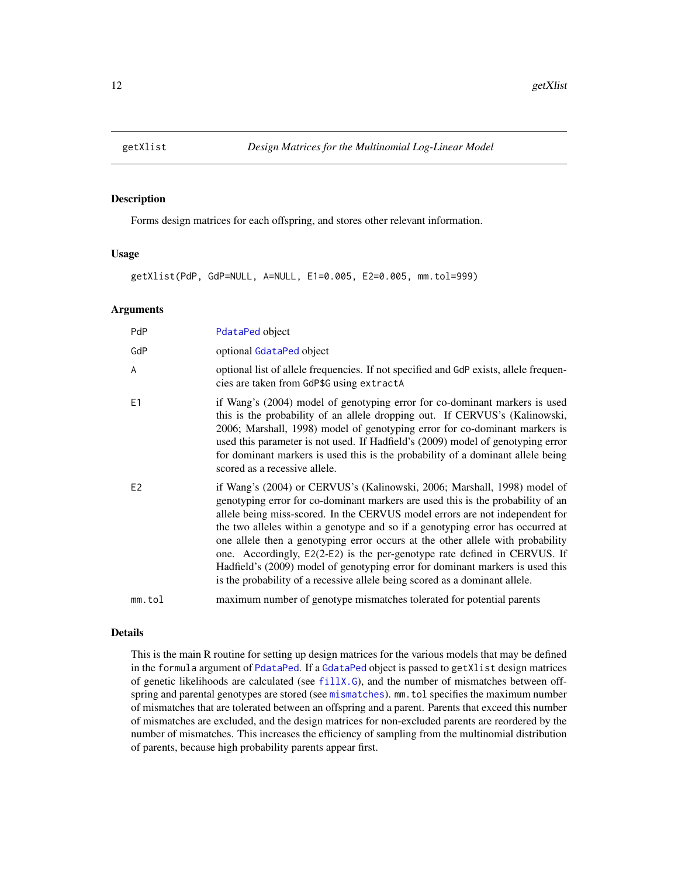<span id="page-11-1"></span><span id="page-11-0"></span>

#### Description

Forms design matrices for each offspring, and stores other relevant information.

## Usage

getXlist(PdP, GdP=NULL, A=NULL, E1=0.005, E2=0.005, mm.tol=999)

## Arguments

| <b>PdP</b>     | PdataPed object                                                                                                                                                                                                                                                                                                                                                                                                                                                                                                                                                                                                                                              |
|----------------|--------------------------------------------------------------------------------------------------------------------------------------------------------------------------------------------------------------------------------------------------------------------------------------------------------------------------------------------------------------------------------------------------------------------------------------------------------------------------------------------------------------------------------------------------------------------------------------------------------------------------------------------------------------|
| GdP            | optional GdataPed object                                                                                                                                                                                                                                                                                                                                                                                                                                                                                                                                                                                                                                     |
| $\overline{A}$ | optional list of allele frequencies. If not specified and GdP exists, allele frequen-<br>cies are taken from GdP\$G using extractA                                                                                                                                                                                                                                                                                                                                                                                                                                                                                                                           |
| E <sub>1</sub> | if Wang's (2004) model of genotyping error for co-dominant markers is used<br>this is the probability of an allele dropping out. If CERVUS's (Kalinowski,<br>2006; Marshall, 1998) model of genotyping error for co-dominant markers is<br>used this parameter is not used. If Hadfield's (2009) model of genotyping error<br>for dominant markers is used this is the probability of a dominant allele being<br>scored as a recessive allele.                                                                                                                                                                                                               |
| E <sub>2</sub> | if Wang's (2004) or CERVUS's (Kalinowski, 2006; Marshall, 1998) model of<br>genotyping error for co-dominant markers are used this is the probability of an<br>allele being miss-scored. In the CERVUS model errors are not independent for<br>the two alleles within a genotype and so if a genotyping error has occurred at<br>one allele then a genotyping error occurs at the other allele with probability<br>one. Accordingly, E2(2-E2) is the per-genotype rate defined in CERVUS. If<br>Hadfield's (2009) model of genotyping error for dominant markers is used this<br>is the probability of a recessive allele being scored as a dominant allele. |
| mm.tol         | maximum number of genotype mismatches tolerated for potential parents                                                                                                                                                                                                                                                                                                                                                                                                                                                                                                                                                                                        |

## Details

This is the main R routine for setting up design matrices for the various models that may be defined in the formula argument of [PdataPed](#page-31-1). If a [GdataPed](#page-8-1) object is passed to getXlist design matrices of genetic likelihoods are calculated (see [fillX.G](#page-6-1)), and the number of mismatches between offspring and parental genotypes are stored (see [mismatches](#page-21-1)). mm.tol specifies the maximum number of mismatches that are tolerated between an offspring and a parent. Parents that exceed this number of mismatches are excluded, and the design matrices for non-excluded parents are reordered by the number of mismatches. This increases the efficiency of sampling from the multinomial distribution of parents, because high probability parents appear first.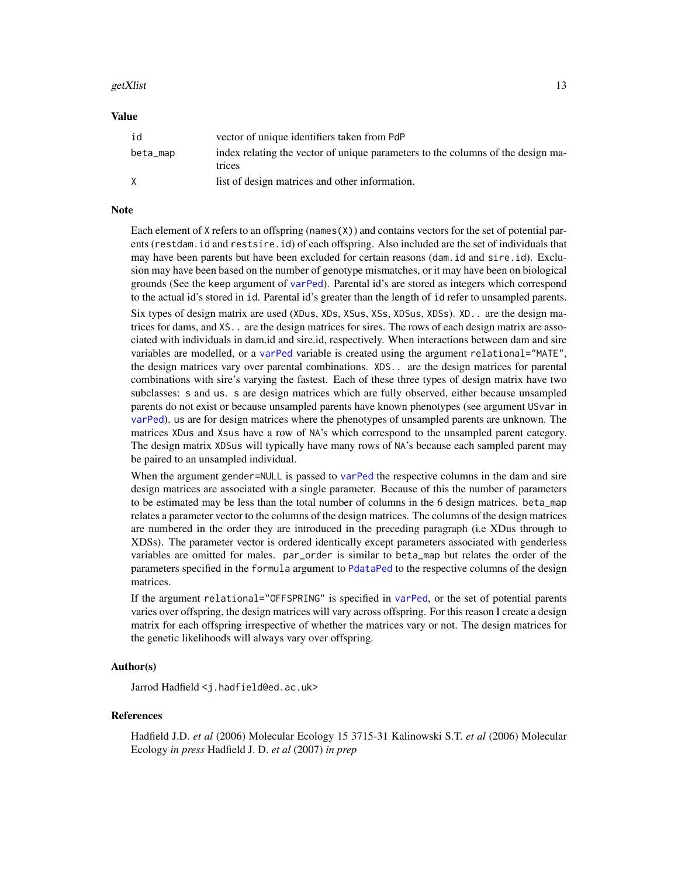#### <span id="page-12-0"></span>getXlist  $13$

#### Value

| id       | vector of unique identifiers taken from PdP                                               |
|----------|-------------------------------------------------------------------------------------------|
| beta_map | index relating the vector of unique parameters to the columns of the design ma-<br>trices |
| X        | list of design matrices and other information.                                            |

#### Note

Each element of X refers to an offspring (names  $(X)$ ) and contains vectors for the set of potential parents (restdam.id and restsire.id) of each offspring. Also included are the set of individuals that may have been parents but have been excluded for certain reasons (dam.id and sire.id). Exclusion may have been based on the number of genotype mismatches, or it may have been on biological grounds (See the keep argument of [varPed](#page-47-1)). Parental id's are stored as integers which correspond to the actual id's stored in id. Parental id's greater than the length of id refer to unsampled parents. Six types of design matrix are used (XDus, XDs, XSus, XSs, XDSus, XDSs). XD.. are the design matrices for dams, and XS.. are the design matrices for sires. The rows of each design matrix are associated with individuals in dam.id and sire.id, respectively. When interactions between dam and sire variables are modelled, or a [varPed](#page-47-1) variable is created using the argument relational="MATE", the design matrices vary over parental combinations. XDS.. are the design matrices for parental combinations with sire's varying the fastest. Each of these three types of design matrix have two subclasses: s and us. s are design matrices which are fully observed, either because unsampled parents do not exist or because unsampled parents have known phenotypes (see argument USvar in [varPed](#page-47-1)). us are for design matrices where the phenotypes of unsampled parents are unknown. The matrices XDus and Xsus have a row of NA's which correspond to the unsampled parent category. The design matrix XDSus will typically have many rows of NA's because each sampled parent may be paired to an unsampled individual.

When the argument gender=NULL is passed to [varPed](#page-47-1) the respective columns in the dam and sire design matrices are associated with a single parameter. Because of this the number of parameters to be estimated may be less than the total number of columns in the 6 design matrices. beta\_map relates a parameter vector to the columns of the design matrices. The columns of the design matrices are numbered in the order they are introduced in the preceding paragraph (i.e XDus through to XDSs). The parameter vector is ordered identically except parameters associated with genderless variables are omitted for males. par\_order is similar to beta\_map but relates the order of the parameters specified in the formula argument to [PdataPed](#page-31-1) to the respective columns of the design matrices.

If the argument relational="OFFSPRING" is specified in [varPed](#page-47-1), or the set of potential parents varies over offspring, the design matrices will vary across offspring. For this reason I create a design matrix for each offspring irrespective of whether the matrices vary or not. The design matrices for the genetic likelihoods will always vary over offspring.

## Author(s)

Jarrod Hadfield <j.hadfield@ed.ac.uk>

#### References

Hadfield J.D. *et al* (2006) Molecular Ecology 15 3715-31 Kalinowski S.T. *et al* (2006) Molecular Ecology *in press* Hadfield J. D. *et al* (2007) *in prep*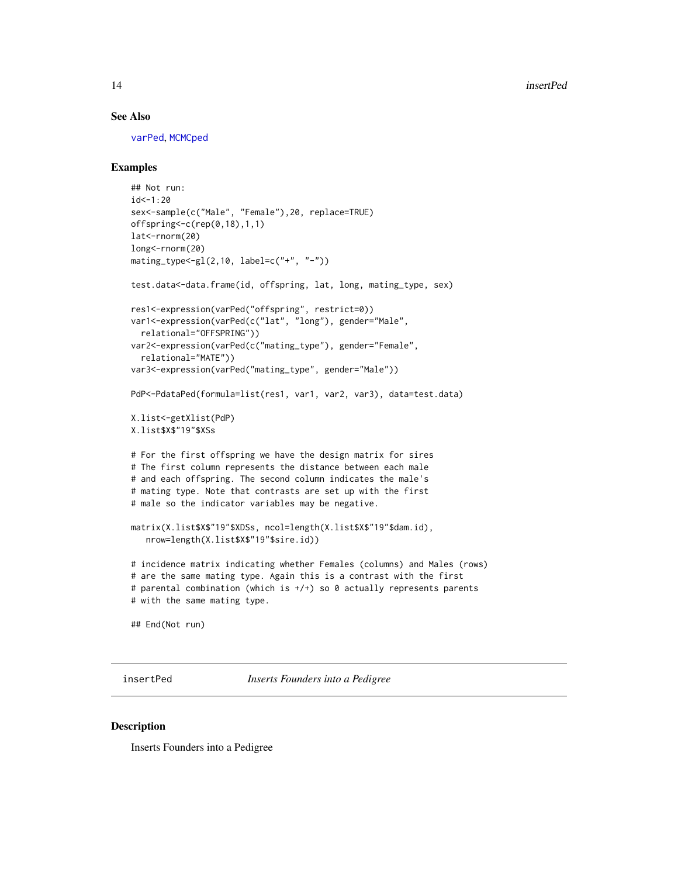#### See Also

[varPed](#page-47-1), [MCMCped](#page-18-1)

## Examples

```
## Not run:
id < -1:20sex<-sample(c("Male", "Female"),20, replace=TRUE)
offspring<-c(rep(0,18),1,1)
lat<-rnorm(20)
long<-rnorm(20)
mating_type<-gl(2,10, label=c("+", "-"))
test.data<-data.frame(id, offspring, lat, long, mating_type, sex)
res1<-expression(varPed("offspring", restrict=0))
var1<-expression(varPed(c("lat", "long"), gender="Male",
  relational="OFFSPRING"))
var2<-expression(varPed(c("mating_type"), gender="Female",
  relational="MATE"))
var3<-expression(varPed("mating_type", gender="Male"))
PdP<-PdataPed(formula=list(res1, var1, var2, var3), data=test.data)
X.list<-getXlist(PdP)
X.list$X$"19"$XSs
# For the first offspring we have the design matrix for sires
# The first column represents the distance between each male
# and each offspring. The second column indicates the male's
# mating type. Note that contrasts are set up with the first
# male so the indicator variables may be negative.
matrix(X.list$X$"19"$XDSs, ncol=length(X.list$X$"19"$dam.id),
   nrow=length(X.list$X$"19"$sire.id))
# incidence matrix indicating whether Females (columns) and Males (rows)
# are the same mating type. Again this is a contrast with the first
# parental combination (which is +/+) so 0 actually represents parents
# with the same mating type.
## End(Not run)
```
insertPed *Inserts Founders into a Pedigree*

#### Description

Inserts Founders into a Pedigree

<span id="page-13-0"></span>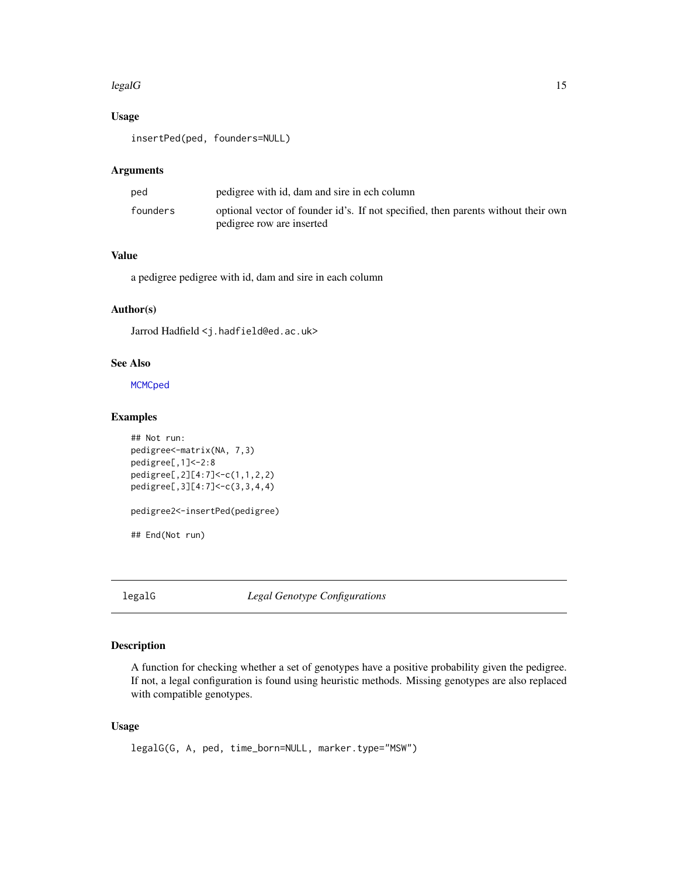#### <span id="page-14-0"></span> $\text{legalG}$  15

## Usage

insertPed(ped, founders=NULL)

## Arguments

| ped      | pedigree with id, dam and sire in ech column                                                                   |
|----------|----------------------------------------------------------------------------------------------------------------|
| founders | optional vector of founder id's. If not specified, then parents without their own<br>pedigree row are inserted |

# Value

a pedigree pedigree with id, dam and sire in each column

## Author(s)

Jarrod Hadfield <j.hadfield@ed.ac.uk>

# See Also

**[MCMCped](#page-18-1)** 

# Examples

```
## Not run:
pedigree<-matrix(NA, 7,3)
pedigree[,1]<-2:8
pedigree[,2][4:7]<-c(1,1,2,2)
pedigree[,3][4:7]<-c(3,3,4,4)
pedigree2<-insertPed(pedigree)
## End(Not run)
```
legalG *Legal Genotype Configurations*

## Description

A function for checking whether a set of genotypes have a positive probability given the pedigree. If not, a legal configuration is found using heuristic methods. Missing genotypes are also replaced with compatible genotypes.

## Usage

```
legalG(G, A, ped, time_born=NULL, marker.type="MSW")
```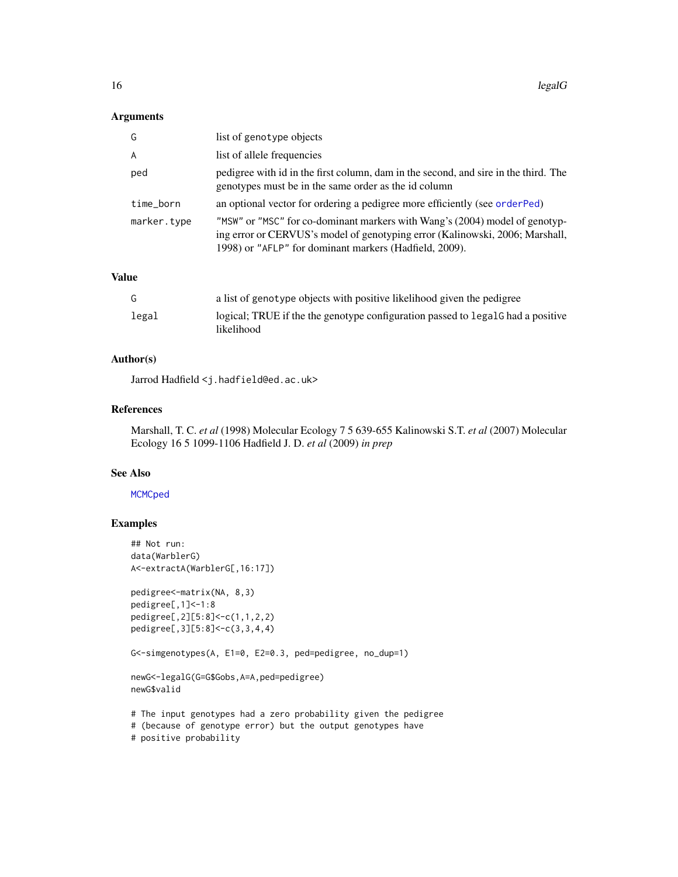## <span id="page-15-0"></span>Arguments

| G              | list of genotype objects                                                                                                                                                                                              |
|----------------|-----------------------------------------------------------------------------------------------------------------------------------------------------------------------------------------------------------------------|
| $\overline{A}$ | list of allele frequencies                                                                                                                                                                                            |
| ped            | pedigree with id in the first column, dam in the second, and sire in the third. The<br>genotypes must be in the same order as the id column                                                                           |
| time_born      | an optional vector for ordering a pedigree more efficiently (see order Ped)                                                                                                                                           |
| marker.type    | "MSW" or "MSC" for co-dominant markers with Wang's (2004) model of genotyp-<br>ing error or CERVUS's model of genotyping error (Kalinowski, 2006; Marshall,<br>1998) or "AFLP" for dominant markers (Hadfield, 2009). |

#### Value

| G     | a list of genotype objects with positive likelihood given the pedigree                         |
|-------|------------------------------------------------------------------------------------------------|
| legal | logical; TRUE if the the genotype configuration passed to legal a had a positive<br>likelihood |

## Author(s)

Jarrod Hadfield <j.hadfield@ed.ac.uk>

## References

Marshall, T. C. *et al* (1998) Molecular Ecology 7 5 639-655 Kalinowski S.T. *et al* (2007) Molecular Ecology 16 5 1099-1106 Hadfield J. D. *et al* (2009) *in prep*

#### See Also

#### **[MCMCped](#page-18-1)**

## Examples

```
## Not run:
data(WarblerG)
A<-extractA(WarblerG[,16:17])
pedigree<-matrix(NA, 8,3)
pedigree[,1]<-1:8
pedigree[,2][5:8]<-c(1,1,2,2)
pedigree[,3][5:8]<-c(3,3,4,4)
G<-simgenotypes(A, E1=0, E2=0.3, ped=pedigree, no_dup=1)
newG<-legalG(G=G$Gobs,A=A,ped=pedigree)
newG$valid
# The input genotypes had a zero probability given the pedigree
# (because of genotype error) but the output genotypes have
# positive probability
```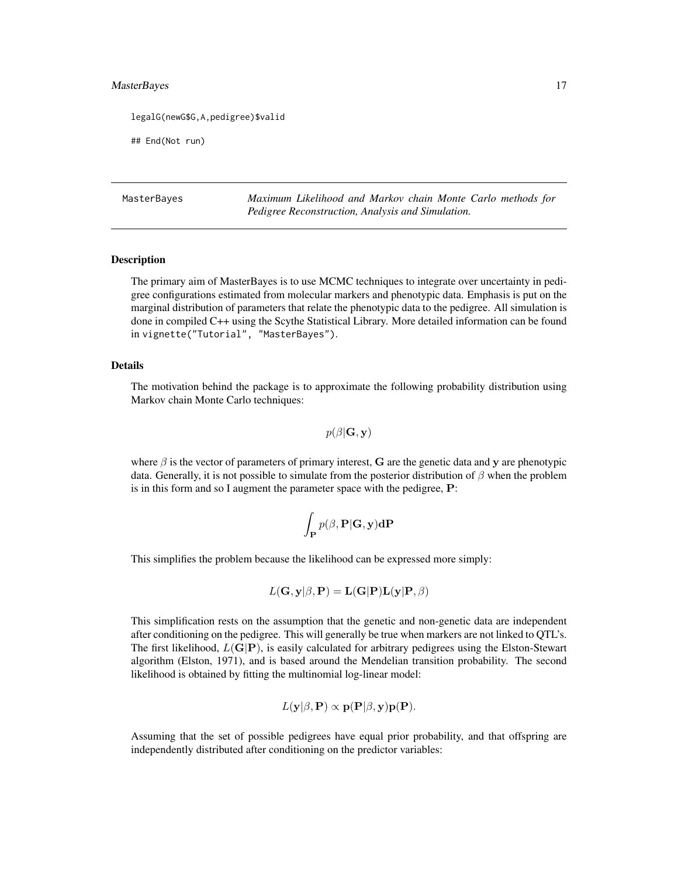#### <span id="page-16-0"></span>MasterBayes 17

legalG(newG\$G,A,pedigree)\$valid

## End(Not run)

MasterBayes *Maximum Likelihood and Markov chain Monte Carlo methods for Pedigree Reconstruction, Analysis and Simulation.*

#### Description

The primary aim of MasterBayes is to use MCMC techniques to integrate over uncertainty in pedigree configurations estimated from molecular markers and phenotypic data. Emphasis is put on the marginal distribution of parameters that relate the phenotypic data to the pedigree. All simulation is done in compiled C++ using the Scythe Statistical Library. More detailed information can be found in vignette("Tutorial", "MasterBayes").

#### Details

The motivation behind the package is to approximate the following probability distribution using Markov chain Monte Carlo techniques:

 $p(\beta|\mathbf{G}, \mathbf{y})$ 

where  $\beta$  is the vector of parameters of primary interest, G are the genetic data and y are phenotypic data. Generally, it is not possible to simulate from the posterior distribution of  $\beta$  when the problem is in this form and so I augment the parameter space with the pedigree, P:

$$
\int_{\mathbf{P}} p(\beta, \mathbf{P}|\mathbf{G}, \mathbf{y}) \mathbf{dP}
$$

This simplifies the problem because the likelihood can be expressed more simply:

$$
L(\mathbf{G}, \mathbf{y} | \beta, \mathbf{P}) = \mathbf{L}(\mathbf{G} | \mathbf{P}) \mathbf{L}(\mathbf{y} | \mathbf{P}, \beta)
$$

This simplification rests on the assumption that the genetic and non-genetic data are independent after conditioning on the pedigree. This will generally be true when markers are not linked to QTL's. The first likelihood,  $L(G|P)$ , is easily calculated for arbitrary pedigrees using the Elston-Stewart algorithm (Elston, 1971), and is based around the Mendelian transition probability. The second likelihood is obtained by fitting the multinomial log-linear model:

$$
L(\mathbf{y}|\beta, \mathbf{P}) \propto \mathbf{p}(\mathbf{P}|\beta, \mathbf{y})\mathbf{p}(\mathbf{P}).
$$

Assuming that the set of possible pedigrees have equal prior probability, and that offspring are independently distributed after conditioning on the predictor variables: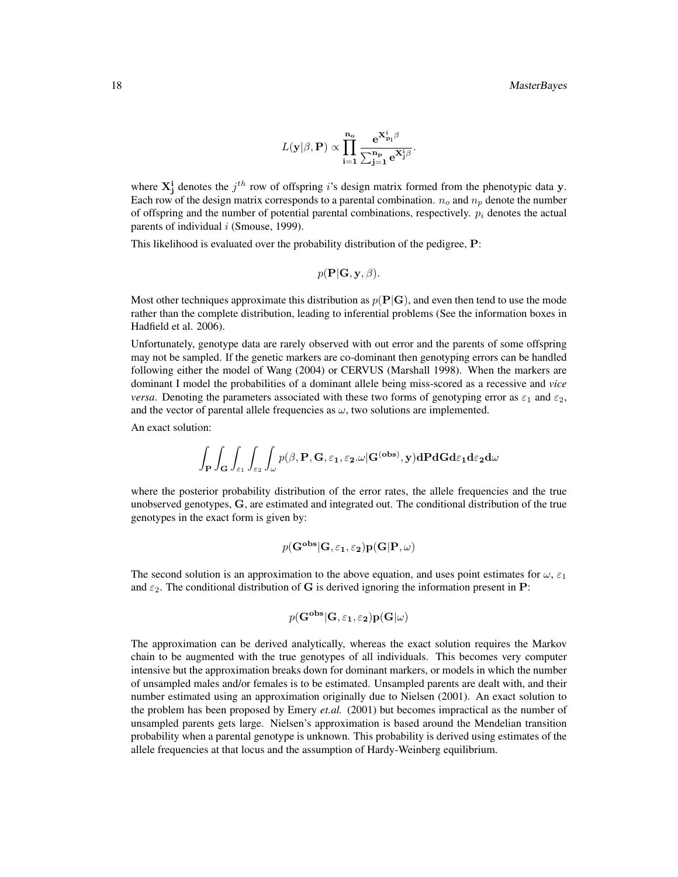$$
L(\mathbf{y}|\boldsymbol{\beta},\mathbf{P}) \propto \prod_{\mathbf{i}=1}^{\mathbf{n_o}} \frac{\mathbf{e}^{\mathbf{X^i_{p_i}}\boldsymbol{\beta}}}{\sum_{\mathbf{j}=1}^{\mathbf{n_p}} \mathbf{e}^{\mathbf{X^i_j}}\boldsymbol{\beta}}
$$

.

where  $X_j^i$  denotes the  $j^{th}$  row of offspring is design matrix formed from the phenotypic data y. Each row of the design matrix corresponds to a parental combination.  $n_o$  and  $n_p$  denote the number of offspring and the number of potential parental combinations, respectively.  $p_i$  denotes the actual parents of individual  $i$  (Smouse, 1999).

This likelihood is evaluated over the probability distribution of the pedigree, P:

$$
p(\mathbf{P}|\mathbf{G}, \mathbf{y}, \beta).
$$

Most other techniques approximate this distribution as  $p(P|G)$ , and even then tend to use the mode rather than the complete distribution, leading to inferential problems (See the information boxes in Hadfield et al. 2006).

Unfortunately, genotype data are rarely observed with out error and the parents of some offspring may not be sampled. If the genetic markers are co-dominant then genotyping errors can be handled following either the model of Wang (2004) or CERVUS (Marshall 1998). When the markers are dominant I model the probabilities of a dominant allele being miss-scored as a recessive and *vice versa*. Denoting the parameters associated with these two forms of genotyping error as  $\varepsilon_1$  and  $\varepsilon_2$ , and the vector of parental allele frequencies as  $\omega$ , two solutions are implemented.

An exact solution:

$$
\int_{\mathbf{P}}\int_{\mathbf{G}}\int_{\varepsilon_1}\int_{\varepsilon_2}\int_{\omega}p(\beta,\mathbf{P},\mathbf{G},\varepsilon_1,\varepsilon_2.\omega|\mathbf{G}^{(\mathbf{obs})},\mathbf{y})\mathbf{dPdGd}\varepsilon_1\mathbf{d}\varepsilon_2\mathbf{d}\omega
$$

where the posterior probability distribution of the error rates, the allele frequencies and the true unobserved genotypes, G, are estimated and integrated out. The conditional distribution of the true genotypes in the exact form is given by:

$$
p(\mathbf{G^{obs}} | \mathbf{G}, \varepsilon_1, \varepsilon_2) \mathbf{p}(\mathbf{G} | \mathbf{P}, \omega)
$$

The second solution is an approximation to the above equation, and uses point estimates for  $\omega$ ,  $\varepsilon_1$ and  $\varepsilon_2$ . The conditional distribution of G is derived ignoring the information present in P:

$$
p(\mathbf{G^{obs}}|\mathbf{G}, \varepsilon_1, \varepsilon_2)\mathbf{p}(\mathbf{G}|\omega)
$$

The approximation can be derived analytically, whereas the exact solution requires the Markov chain to be augmented with the true genotypes of all individuals. This becomes very computer intensive but the approximation breaks down for dominant markers, or models in which the number of unsampled males and/or females is to be estimated. Unsampled parents are dealt with, and their number estimated using an approximation originally due to Nielsen (2001). An exact solution to the problem has been proposed by Emery *et.al.* (2001) but becomes impractical as the number of unsampled parents gets large. Nielsen's approximation is based around the Mendelian transition probability when a parental genotype is unknown. This probability is derived using estimates of the allele frequencies at that locus and the assumption of Hardy-Weinberg equilibrium.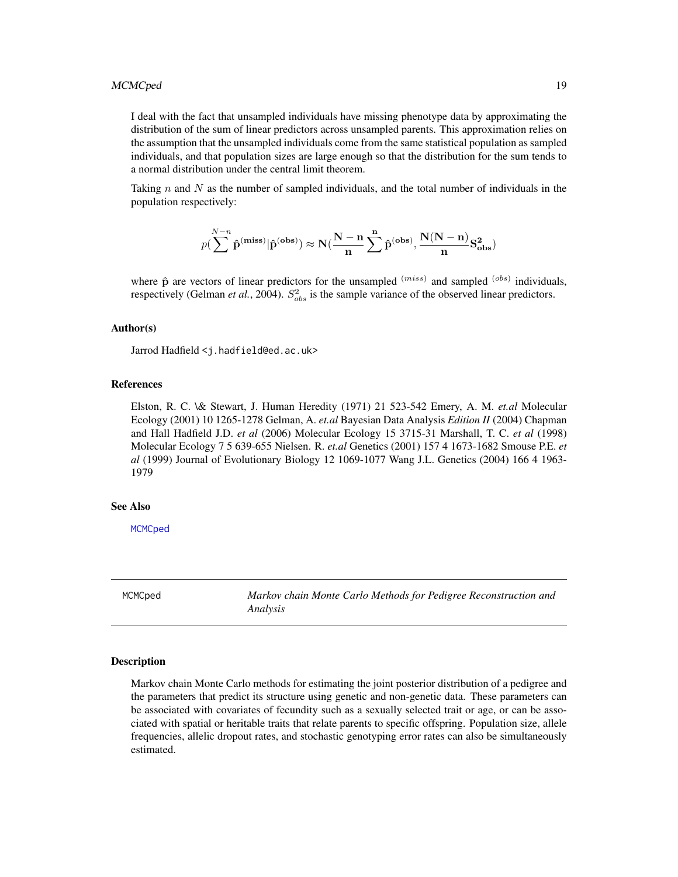<span id="page-18-0"></span>I deal with the fact that unsampled individuals have missing phenotype data by approximating the distribution of the sum of linear predictors across unsampled parents. This approximation relies on the assumption that the unsampled individuals come from the same statistical population as sampled individuals, and that population sizes are large enough so that the distribution for the sum tends to a normal distribution under the central limit theorem.

Taking n and N as the number of sampled individuals, and the total number of individuals in the population respectively:

$$
p(\sum\limits_{}}^{N-n} \hat{p}^{(\mathbf{miss})} | \hat{p}^{(\mathbf{obs})}) \approx N(\frac{N-n}{n}\sum\limits_{}}^{n} \hat{p}^{(\mathbf{obs})}, \frac{N(N-n)}{n} S_{\mathbf{obs}}^2)
$$

where  $\hat{\mathbf{p}}$  are vectors of linear predictors for the unsampled  $(miss)$  and sampled  $(obs)$  individuals, respectively (Gelman *et al.*, 2004).  $S_{obs}^2$  is the sample variance of the observed linear predictors.

#### Author(s)

Jarrod Hadfield <j.hadfield@ed.ac.uk>

# References

Elston, R. C. \& Stewart, J. Human Heredity (1971) 21 523-542 Emery, A. M. *et.al* Molecular Ecology (2001) 10 1265-1278 Gelman, A. *et.al* Bayesian Data Analysis *Edition II* (2004) Chapman and Hall Hadfield J.D. *et al* (2006) Molecular Ecology 15 3715-31 Marshall, T. C. *et al* (1998) Molecular Ecology 7 5 639-655 Nielsen. R. *et.al* Genetics (2001) 157 4 1673-1682 Smouse P.E. *et al* (1999) Journal of Evolutionary Biology 12 1069-1077 Wang J.L. Genetics (2004) 166 4 1963- 1979

## See Also

**[MCMCped](#page-18-1)** 

<span id="page-18-1"></span>MCMCped *Markov chain Monte Carlo Methods for Pedigree Reconstruction and Analysis*

#### **Description**

Markov chain Monte Carlo methods for estimating the joint posterior distribution of a pedigree and the parameters that predict its structure using genetic and non-genetic data. These parameters can be associated with covariates of fecundity such as a sexually selected trait or age, or can be associated with spatial or heritable traits that relate parents to specific offspring. Population size, allele frequencies, allelic dropout rates, and stochastic genotyping error rates can also be simultaneously estimated.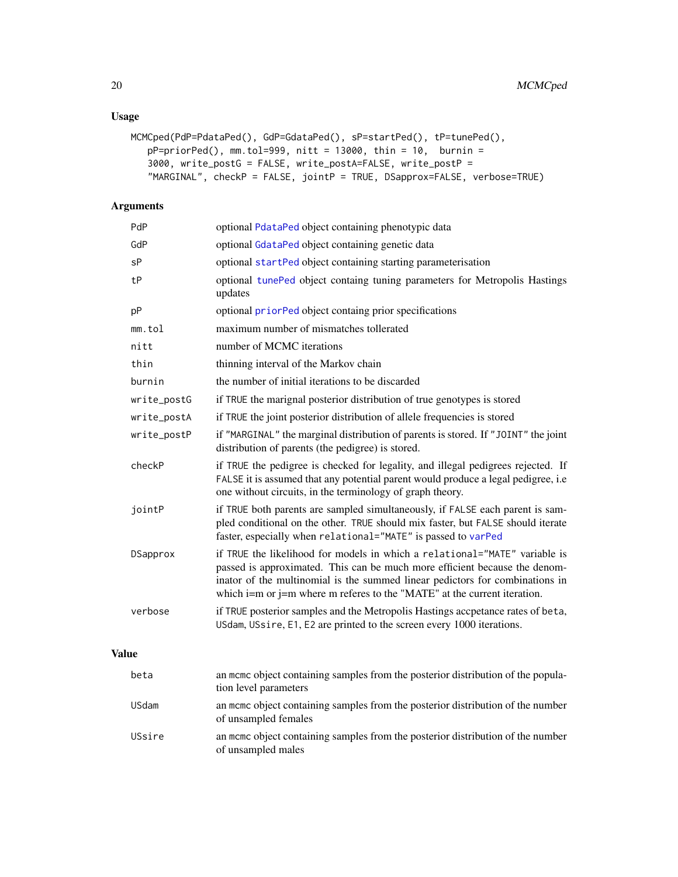# Usage

```
MCMCped(PdP=PdataPed(), GdP=GdataPed(), sP=startPed(), tP=tunePed(),
   pP=priorPed(), mm.tol=999, nitt = 13000, thin = 10, burnin =
   3000, write_postG = FALSE, write_postA=FALSE, write_postP =
   "MARGINAL", checkP = FALSE, jointP = TRUE, DSapprox=FALSE, verbose=TRUE)
```
# Arguments

| PdP         | optional PdataPed object containing phenotypic data                                                                                                                                                                                                                                                                        |
|-------------|----------------------------------------------------------------------------------------------------------------------------------------------------------------------------------------------------------------------------------------------------------------------------------------------------------------------------|
| GdP         | optional GdataPed object containing genetic data                                                                                                                                                                                                                                                                           |
| sP          | optional startPed object containing starting parameterisation                                                                                                                                                                                                                                                              |
| tP          | optional tunePed object containg tuning parameters for Metropolis Hastings<br>updates                                                                                                                                                                                                                                      |
| pP          | optional priorPed object containg prior specifications                                                                                                                                                                                                                                                                     |
| mm.tol      | maximum number of mismatches tollerated                                                                                                                                                                                                                                                                                    |
| nitt        | number of MCMC iterations                                                                                                                                                                                                                                                                                                  |
| thin        | thinning interval of the Markov chain                                                                                                                                                                                                                                                                                      |
| burnin      | the number of initial iterations to be discarded                                                                                                                                                                                                                                                                           |
| write_postG | if TRUE the marignal posterior distribution of true genotypes is stored                                                                                                                                                                                                                                                    |
| write_postA | if TRUE the joint posterior distribution of allele frequencies is stored                                                                                                                                                                                                                                                   |
| write_postP | if "MARGINAL" the marginal distribution of parents is stored. If "JOINT" the joint<br>distribution of parents (the pedigree) is stored.                                                                                                                                                                                    |
| checkP      | if TRUE the pedigree is checked for legality, and illegal pedigrees rejected. If<br>FALSE it is assumed that any potential parent would produce a legal pedigree, i.e<br>one without circuits, in the terminology of graph theory.                                                                                         |
| jointP      | if TRUE both parents are sampled simultaneously, if FALSE each parent is sam-<br>pled conditional on the other. TRUE should mix faster, but FALSE should iterate<br>faster, especially when relational="MATE" is passed to varPed                                                                                          |
| DSapprox    | if TRUE the likelihood for models in which a relational="MATE" variable is<br>passed is approximated. This can be much more efficient because the denom-<br>inator of the multinomial is the summed linear pedictors for combinations in<br>which $i=m$ or $j=m$ where $m$ referes to the "MATE" at the current iteration. |
| verbose     | if TRUE posterior samples and the Metropolis Hastings accpetance rates of beta,<br>USdam, USsire, E1, E2 are printed to the screen every 1000 iterations.                                                                                                                                                                  |
|             |                                                                                                                                                                                                                                                                                                                            |

# Value

| beta   | an mome object containing samples from the posterior distribution of the popula-<br>tion level parameters |
|--------|-----------------------------------------------------------------------------------------------------------|
| USdam  | an mome object containing samples from the posterior distribution of the number<br>of unsampled females   |
| USsire | an meme object containing samples from the posterior distribution of the number<br>of unsampled males     |

<span id="page-19-0"></span>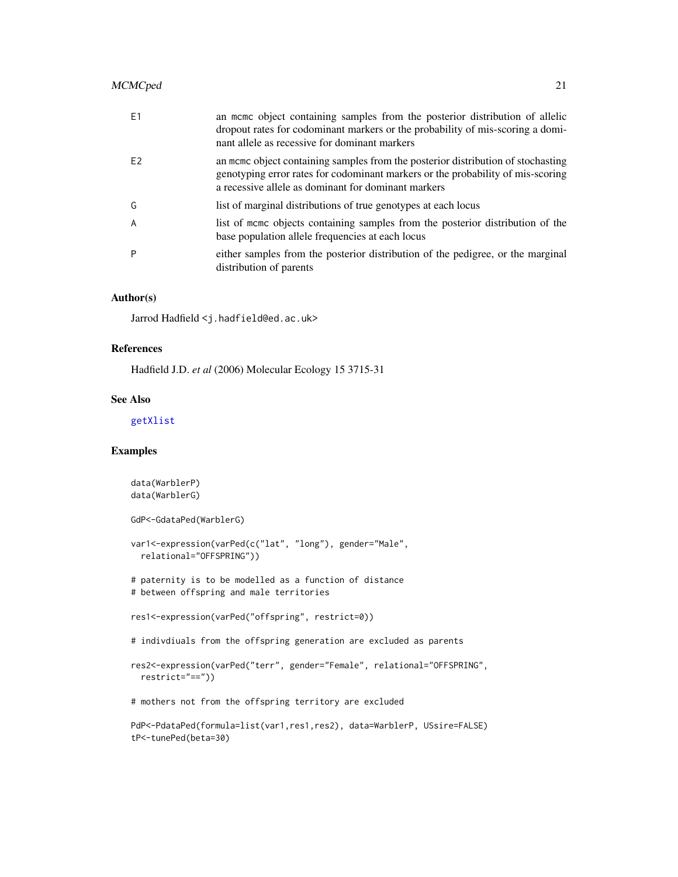<span id="page-20-0"></span>

| F <sub>1</sub> | an mcmc object containing samples from the posterior distribution of allelic<br>dropout rates for codominant markers or the probability of mis-scoring a domi-<br>nant allele as recessive for dominant markers            |
|----------------|----------------------------------------------------------------------------------------------------------------------------------------------------------------------------------------------------------------------------|
| F <sub>2</sub> | an mome object containing samples from the posterior distribution of stochasting<br>genotyping error rates for codominant markers or the probability of mis-scoring<br>a recessive allele as dominant for dominant markers |
| G              | list of marginal distributions of true genotypes at each locus                                                                                                                                                             |
| $\overline{A}$ | list of meme objects containing samples from the posterior distribution of the<br>base population allele frequencies at each locus                                                                                         |
| P              | either samples from the posterior distribution of the pedigree, or the marginal<br>distribution of parents                                                                                                                 |

## Author(s)

Jarrod Hadfield <j.hadfield@ed.ac.uk>

## References

Hadfield J.D. *et al* (2006) Molecular Ecology 15 3715-31

## See Also

#### [getXlist](#page-11-1)

## Examples

```
data(WarblerP)
data(WarblerG)
GdP<-GdataPed(WarblerG)
var1<-expression(varPed(c("lat", "long"), gender="Male",
  relational="OFFSPRING"))
# paternity is to be modelled as a function of distance
# between offspring and male territories
res1<-expression(varPed("offspring", restrict=0))
# indivdiuals from the offspring generation are excluded as parents
res2<-expression(varPed("terr", gender="Female", relational="OFFSPRING",
  restrict="=="))
# mothers not from the offspring territory are excluded
PdP<-PdataPed(formula=list(var1,res1,res2), data=WarblerP, USsire=FALSE)
tP<-tunePed(beta=30)
```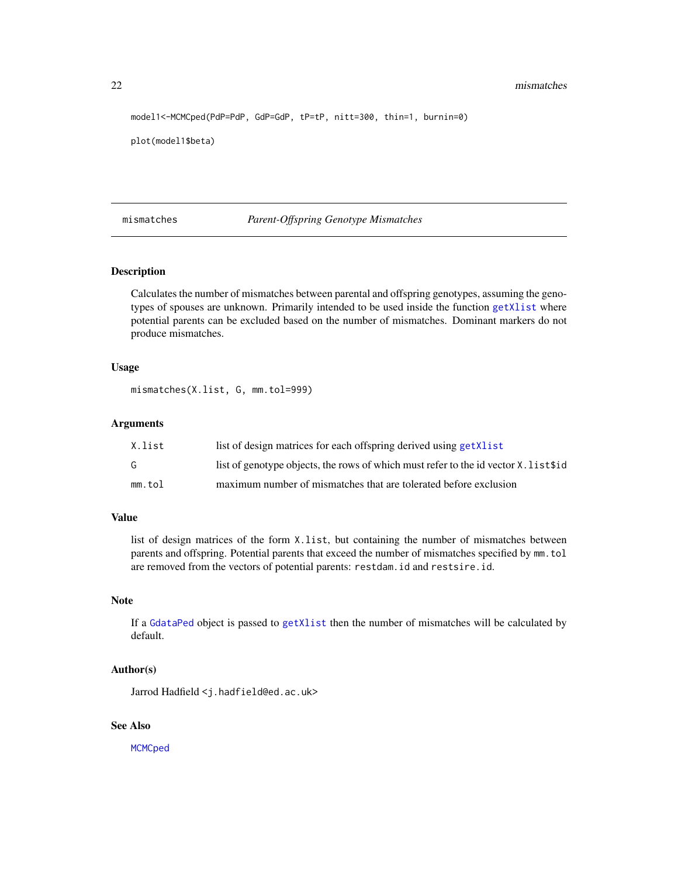```
model1<-MCMCped(PdP=PdP, GdP=GdP, tP=tP, nitt=300, thin=1, burnin=0)
```

```
plot(model1$beta)
```
<span id="page-21-1"></span>mismatches *Parent-Offspring Genotype Mismatches*

## Description

Calculates the number of mismatches between parental and offspring genotypes, assuming the genotypes of spouses are unknown. Primarily intended to be used inside the function [getXlist](#page-11-1) where potential parents can be excluded based on the number of mismatches. Dominant markers do not produce mismatches.

#### Usage

mismatches(X.list, G, mm.tol=999)

#### Arguments

| X.list | list of design matrices for each offspring derived using getXlist                   |
|--------|-------------------------------------------------------------------------------------|
| G.     | list of genotype objects, the rows of which must refer to the id vector X. list\$id |
| mm.tol | maximum number of mismatches that are tolerated before exclusion                    |

## Value

list of design matrices of the form X.list, but containing the number of mismatches between parents and offspring. Potential parents that exceed the number of mismatches specified by mm.tol are removed from the vectors of potential parents: restdam.id and restsire.id.

#### Note

If a [GdataPed](#page-8-1) object is passed to [getXlist](#page-11-1) then the number of mismatches will be calculated by default.

## Author(s)

Jarrod Hadfield <j.hadfield@ed.ac.uk>

## See Also

**[MCMCped](#page-18-1)** 

<span id="page-21-0"></span>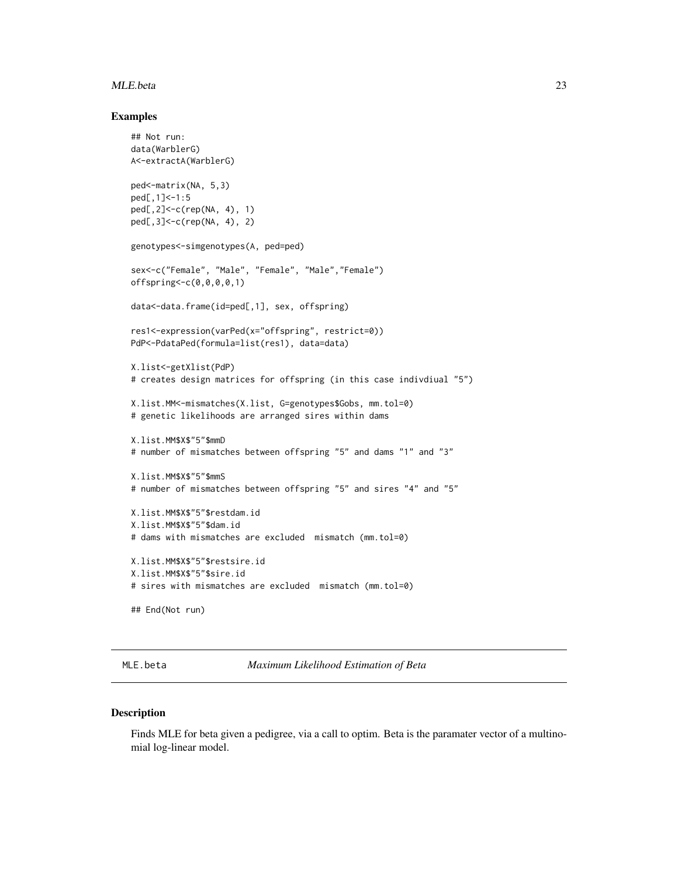#### <span id="page-22-0"></span>MLE.beta 23

#### Examples

```
## Not run:
data(WarblerG)
A<-extractA(WarblerG)
ped<-matrix(NA, 5,3)
ped[,1]<-1:5
ped[,2]<-c(rep(NA, 4), 1)
ped[,3]<-c(rep(NA, 4), 2)
genotypes<-simgenotypes(A, ped=ped)
sex<-c("Female", "Male", "Female", "Male","Female")
offspring<-c(0,0,0,0,1)
data<-data.frame(id=ped[,1], sex, offspring)
res1<-expression(varPed(x="offspring", restrict=0))
PdP<-PdataPed(formula=list(res1), data=data)
X.list<-getXlist(PdP)
# creates design matrices for offspring (in this case indivdiual "5")
X.list.MM<-mismatches(X.list, G=genotypes$Gobs, mm.tol=0)
# genetic likelihoods are arranged sires within dams
X.list.MM$X$"5"$mmD
# number of mismatches between offspring "5" and dams "1" and "3"
X.list.MM$X$"5"$mmS
# number of mismatches between offspring "5" and sires "4" and "5"
X.list.MM$X$"5"$restdam.id
X.list.MM$X$"5"$dam.id
# dams with mismatches are excluded mismatch (mm.tol=0)
X.list.MM$X$"5"$restsire.id
X.list.MM$X$"5"$sire.id
# sires with mismatches are excluded mismatch (mm.tol=0)
## End(Not run)
```
<span id="page-22-1"></span>MLE.beta *Maximum Likelihood Estimation of Beta*

#### Description

Finds MLE for beta given a pedigree, via a call to optim. Beta is the paramater vector of a multinomial log-linear model.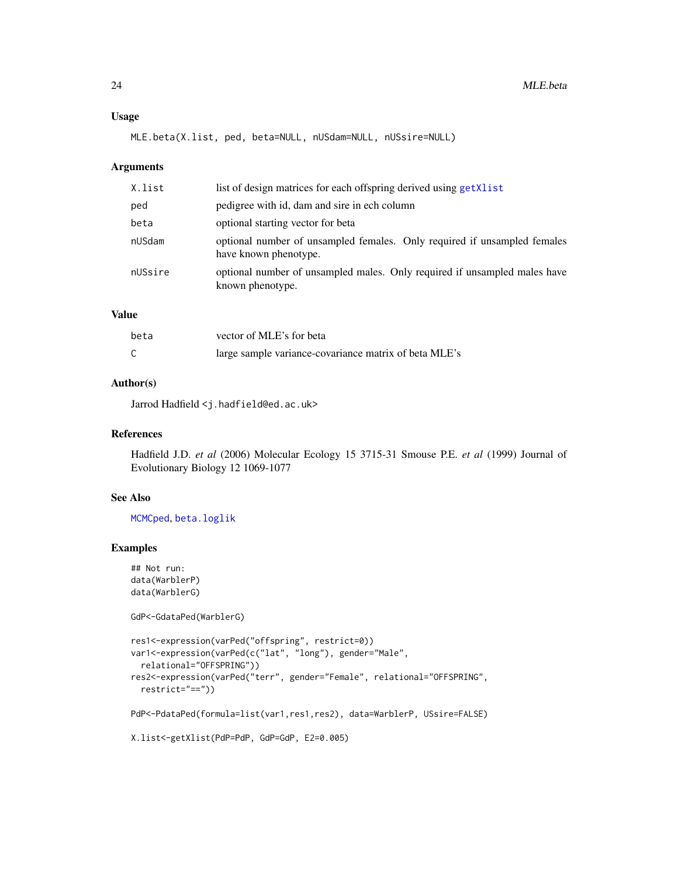## <span id="page-23-0"></span>Usage

MLE.beta(X.list, ped, beta=NULL, nUSdam=NULL, nUSsire=NULL)

#### Arguments

| X.list  | list of design matrices for each offspring derived using get Xlist                                |
|---------|---------------------------------------------------------------------------------------------------|
| ped     | pedigree with id, dam and sire in ech column                                                      |
| beta    | optional starting vector for beta                                                                 |
| nUSdam  | optional number of unsampled females. Only required if unsampled females<br>have known phenotype. |
| nUSsire | optional number of unsampled males. Only required if unsampled males have<br>known phenotype.     |

## Value

| beta | vector of MLE's for beta                              |
|------|-------------------------------------------------------|
| ⌒    | large sample variance-covariance matrix of beta MLE's |

## Author(s)

Jarrod Hadfield <j.hadfield@ed.ac.uk>

## References

Hadfield J.D. *et al* (2006) Molecular Ecology 15 3715-31 Smouse P.E. *et al* (1999) Journal of Evolutionary Biology 12 1069-1077

#### See Also

[MCMCped](#page-18-1), [beta.loglik](#page-2-1)

## Examples

```
## Not run:
data(WarblerP)
data(WarblerG)
```
GdP<-GdataPed(WarblerG)

```
res1<-expression(varPed("offspring", restrict=0))
var1<-expression(varPed(c("lat", "long"), gender="Male",
  relational="OFFSPRING"))
res2<-expression(varPed("terr", gender="Female", relational="OFFSPRING",
  restrict="=="))
PdP<-PdataPed(formula=list(var1,res1,res2), data=WarblerP, USsire=FALSE)
X.list<-getXlist(PdP=PdP, GdP=GdP, E2=0.005)
```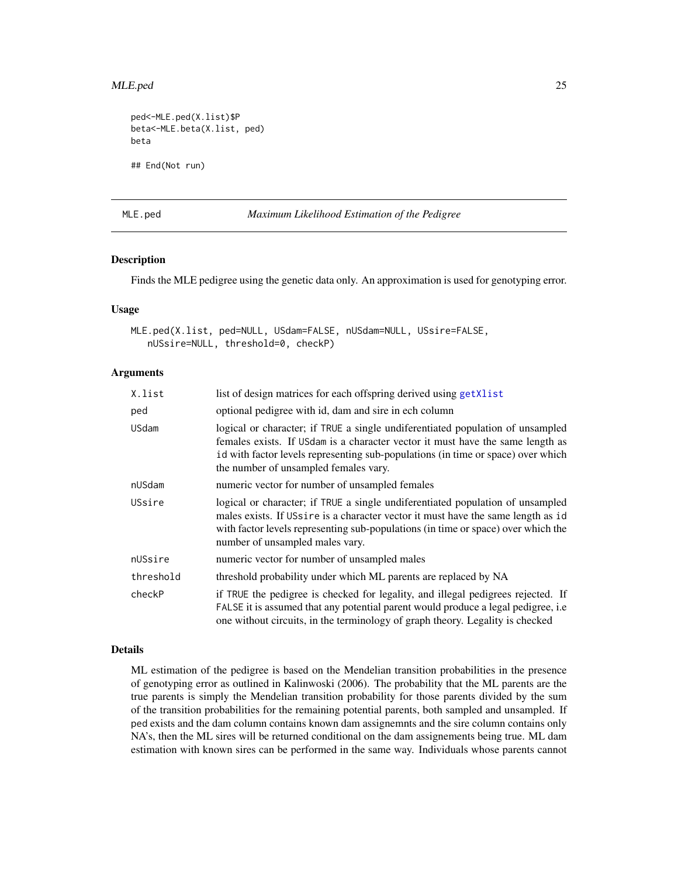#### <span id="page-24-0"></span>MLE.ped 25

```
ped<-MLE.ped(X.list)$P
beta<-MLE.beta(X.list, ped)
beta
## End(Not run)
```
<span id="page-24-1"></span>MLE.ped *Maximum Likelihood Estimation of the Pedigree*

#### Description

Finds the MLE pedigree using the genetic data only. An approximation is used for genotyping error.

#### Usage

```
MLE.ped(X.list, ped=NULL, USdam=FALSE, nUSdam=NULL, USsire=FALSE,
   nUSsire=NULL, threshold=0, checkP)
```
#### **Arguments**

| X.list       | list of design matrices for each offspring derived using getXlist                                                                                                                                                                                                                             |
|--------------|-----------------------------------------------------------------------------------------------------------------------------------------------------------------------------------------------------------------------------------------------------------------------------------------------|
| ped          | optional pedigree with id, dam and sire in ech column                                                                                                                                                                                                                                         |
| <b>USdam</b> | logical or character; if TRUE a single undiferentiated population of unsampled<br>females exists. If USdam is a character vector it must have the same length as<br>id with factor levels representing sub-populations (in time or space) over which<br>the number of unsampled females vary. |
| nUSdam       | numeric vector for number of unsampled females                                                                                                                                                                                                                                                |
| USsire       | logical or character; if TRUE a single undiferentiated population of unsampled<br>males exists. If USsire is a character vector it must have the same length as id<br>with factor levels representing sub-populations (in time or space) over which the<br>number of unsampled males vary.    |
| nUSsire      | numeric vector for number of unsampled males                                                                                                                                                                                                                                                  |
| threshold    | threshold probability under which ML parents are replaced by NA                                                                                                                                                                                                                               |
| checkP       | if TRUE the pedigree is checked for legality, and illegal pedigrees rejected. If<br>FALSE it is assumed that any potential parent would produce a legal pedigree, i.e.<br>one without circuits, in the terminology of graph theory. Legality is checked                                       |

#### Details

ML estimation of the pedigree is based on the Mendelian transition probabilities in the presence of genotyping error as outlined in Kalinwoski (2006). The probability that the ML parents are the true parents is simply the Mendelian transition probability for those parents divided by the sum of the transition probabilities for the remaining potential parents, both sampled and unsampled. If ped exists and the dam column contains known dam assignemnts and the sire column contains only NA's, then the ML sires will be returned conditional on the dam assignements being true. ML dam estimation with known sires can be performed in the same way. Individuals whose parents cannot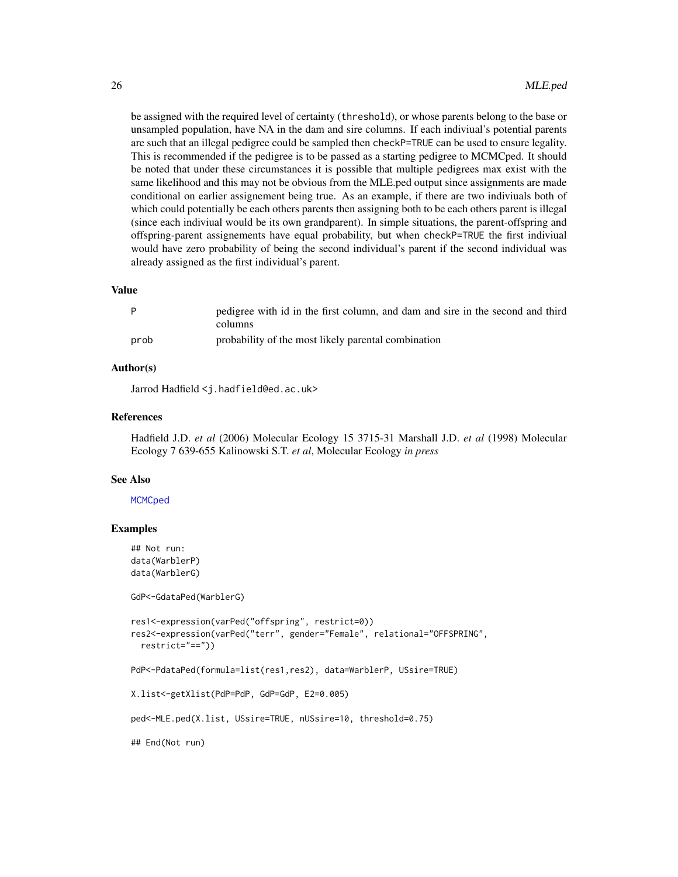<span id="page-25-0"></span>be assigned with the required level of certainty (threshold), or whose parents belong to the base or unsampled population, have NA in the dam and sire columns. If each indiviual's potential parents are such that an illegal pedigree could be sampled then checkP=TRUE can be used to ensure legality. This is recommended if the pedigree is to be passed as a starting pedigree to MCMCped. It should be noted that under these circumstances it is possible that multiple pedigrees max exist with the same likelihood and this may not be obvious from the MLE.ped output since assignments are made conditional on earlier assignement being true. As an example, if there are two indiviuals both of which could potentially be each others parents then assigning both to be each others parent is illegal (since each indiviual would be its own grandparent). In simple situations, the parent-offspring and offspring-parent assignements have equal probability, but when checkP=TRUE the first indiviual would have zero probability of being the second individual's parent if the second individual was already assigned as the first individual's parent.

#### Value

|      | pedigree with id in the first column, and dam and sire in the second and third<br>columns |
|------|-------------------------------------------------------------------------------------------|
| prob | probability of the most likely parental combination                                       |

## Author(s)

Jarrod Hadfield <j.hadfield@ed.ac.uk>

#### References

Hadfield J.D. *et al* (2006) Molecular Ecology 15 3715-31 Marshall J.D. *et al* (1998) Molecular Ecology 7 639-655 Kalinowski S.T. *et al*, Molecular Ecology *in press*

#### See Also

#### **[MCMCped](#page-18-1)**

#### Examples

```
## Not run:
data(WarblerP)
data(WarblerG)
```
GdP<-GdataPed(WarblerG)

```
res1<-expression(varPed("offspring", restrict=0))
res2<-expression(varPed("terr", gender="Female", relational="OFFSPRING",
 restrict="=="))
```
PdP<-PdataPed(formula=list(res1,res2), data=WarblerP, USsire=TRUE)

```
X.list<-getXlist(PdP=PdP, GdP=GdP, E2=0.005)
```
ped<-MLE.ped(X.list, USsire=TRUE, nUSsire=10, threshold=0.75)

## End(Not run)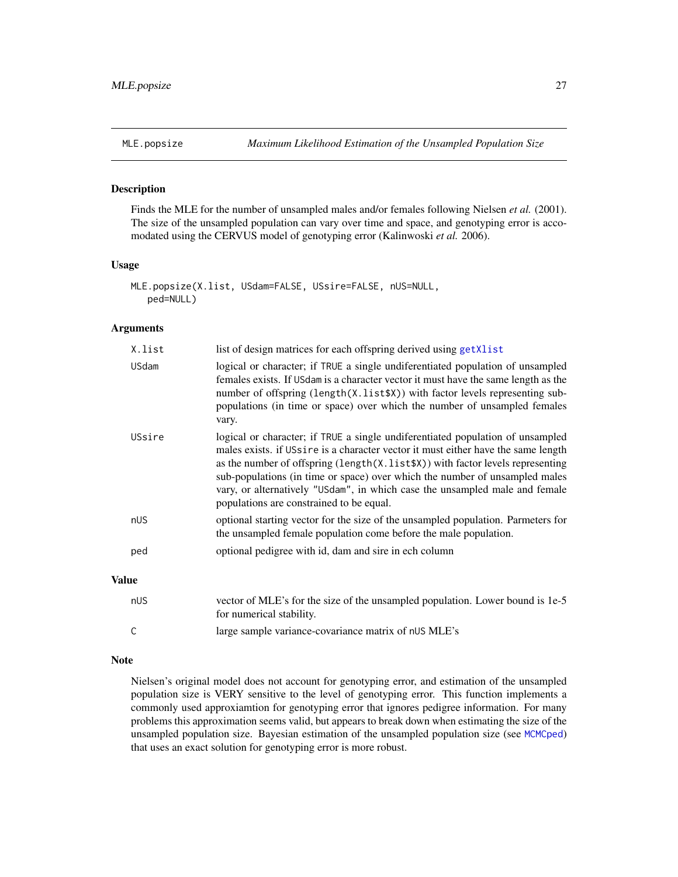<span id="page-26-1"></span><span id="page-26-0"></span>

## Description

Finds the MLE for the number of unsampled males and/or females following Nielsen *et al.* (2001). The size of the unsampled population can vary over time and space, and genotyping error is accomodated using the CERVUS model of genotyping error (Kalinwoski *et al.* 2006).

#### Usage

```
MLE.popsize(X.list, USdam=FALSE, USsire=FALSE, nUS=NULL,
   ped=NULL)
```
#### Arguments

| X.list       | list of design matrices for each offspring derived using get Xlist                                                                                                                                                                                                                                                                                                                                                                                              |
|--------------|-----------------------------------------------------------------------------------------------------------------------------------------------------------------------------------------------------------------------------------------------------------------------------------------------------------------------------------------------------------------------------------------------------------------------------------------------------------------|
| <b>USdam</b> | logical or character; if TRUE a single undiferentiated population of unsampled<br>females exists. If USdam is a character vector it must have the same length as the<br>number of offspring (length(X.list\$X)) with factor levels representing sub-<br>populations (in time or space) over which the number of unsampled females<br>vary.                                                                                                                      |
| USsire       | logical or character; if TRUE a single undiferentiated population of unsampled<br>males exists. if USsire is a character vector it must either have the same length<br>as the number of offspring (length(X.list\$X)) with factor levels representing<br>sub-populations (in time or space) over which the number of unsampled males<br>vary, or alternatively "USdam", in which case the unsampled male and female<br>populations are constrained to be equal. |
| nUS          | optional starting vector for the size of the unsampled population. Parmeters for<br>the unsampled female population come before the male population.                                                                                                                                                                                                                                                                                                            |
| ped          | optional pedigree with id, dam and sire in ech column                                                                                                                                                                                                                                                                                                                                                                                                           |
| <b>Value</b> |                                                                                                                                                                                                                                                                                                                                                                                                                                                                 |
| nUS          | vector of MLE's for the size of the unsampled population. Lower bound is 1e-5<br>for numerical stability.                                                                                                                                                                                                                                                                                                                                                       |
|              | large sample variance-covariance matrix of nUS MLE's                                                                                                                                                                                                                                                                                                                                                                                                            |

# Note

Nielsen's original model does not account for genotyping error, and estimation of the unsampled population size is VERY sensitive to the level of genotyping error. This function implements a commonly used approxiamtion for genotyping error that ignores pedigree information. For many problems this approximation seems valid, but appears to break down when estimating the size of the unsampled population size. Bayesian estimation of the unsampled population size (see [MCMCped](#page-18-1)) that uses an exact solution for genotyping error is more robust.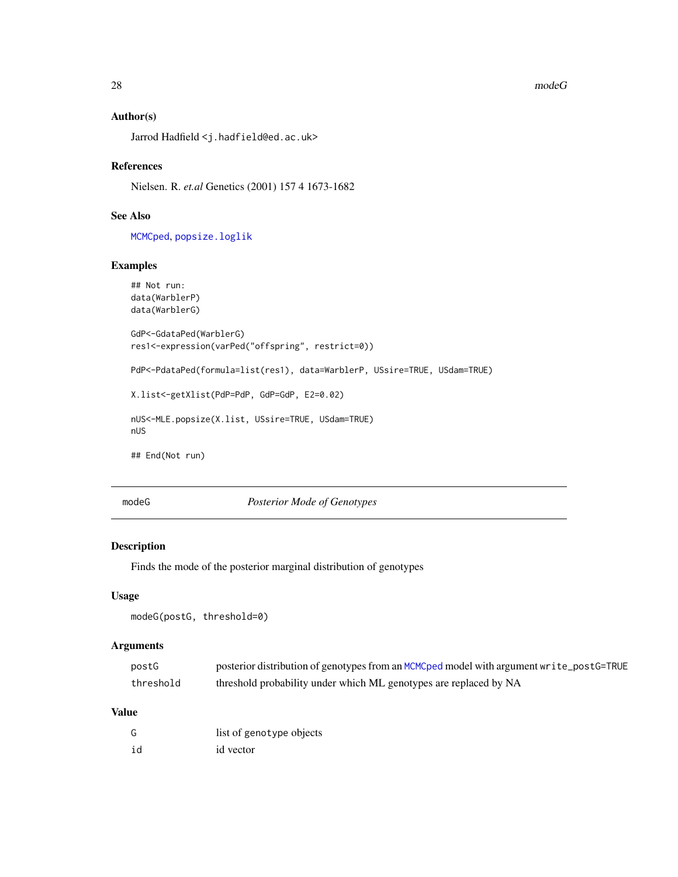#### $28$  mode G

## Author(s)

Jarrod Hadfield <j.hadfield@ed.ac.uk>

## References

Nielsen. R. *et.al* Genetics (2001) 157 4 1673-1682

# See Also

[MCMCped](#page-18-1), [popsize.loglik](#page-33-1)

## Examples

```
## Not run:
data(WarblerP)
data(WarblerG)
GdP<-GdataPed(WarblerG)
res1<-expression(varPed("offspring", restrict=0))
PdP<-PdataPed(formula=list(res1), data=WarblerP, USsire=TRUE, USdam=TRUE)
X.list<-getXlist(PdP=PdP, GdP=GdP, E2=0.02)
nUS<-MLE.popsize(X.list, USsire=TRUE, USdam=TRUE)
nUS
## End(Not run)
```
modeG *Posterior Mode of Genotypes*

## Description

Finds the mode of the posterior marginal distribution of genotypes

## Usage

```
modeG(postG, threshold=0)
```
## Arguments

| postG     | posterior distribution of genotypes from an MCMCped model with argument write_postG=TRUE |
|-----------|------------------------------------------------------------------------------------------|
| threshold | threshold probability under which ML genotypes are replaced by NA                        |

#### Value

| G  | list of genotype objects |
|----|--------------------------|
| id | id vector                |

<span id="page-27-0"></span>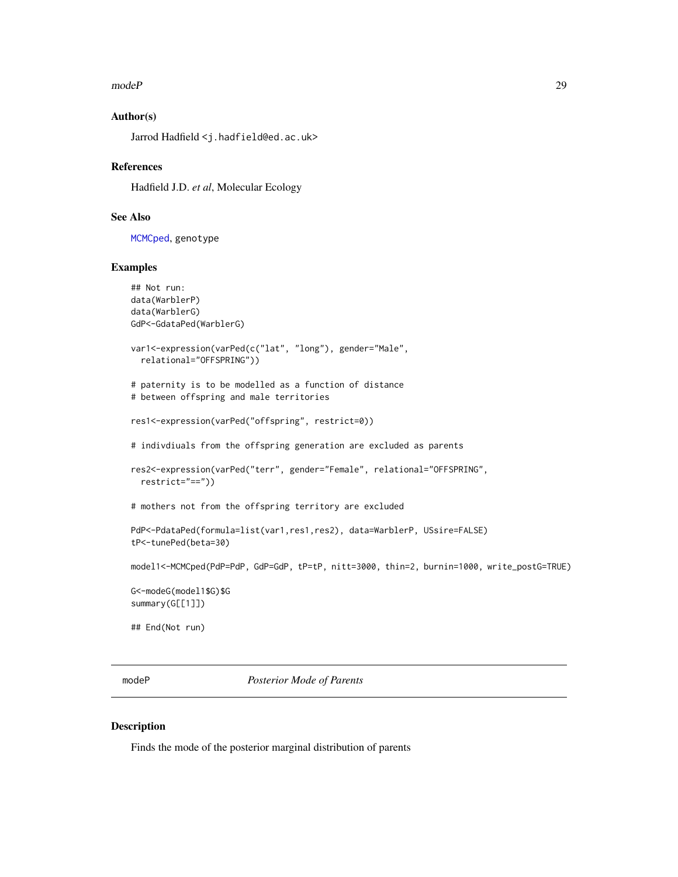#### <span id="page-28-0"></span>modeP 29

## Author(s)

Jarrod Hadfield <j.hadfield@ed.ac.uk>

#### References

Hadfield J.D. *et al*, Molecular Ecology

## See Also

[MCMCped](#page-18-1), genotype

#### Examples

```
## Not run:
data(WarblerP)
data(WarblerG)
GdP<-GdataPed(WarblerG)
var1<-expression(varPed(c("lat", "long"), gender="Male",
  relational="OFFSPRING"))
# paternity is to be modelled as a function of distance
# between offspring and male territories
res1<-expression(varPed("offspring", restrict=0))
# indivdiuals from the offspring generation are excluded as parents
res2<-expression(varPed("terr", gender="Female", relational="OFFSPRING",
  restrict="=="))
# mothers not from the offspring territory are excluded
PdP<-PdataPed(formula=list(var1,res1,res2), data=WarblerP, USsire=FALSE)
tP<-tunePed(beta=30)
model1<-MCMCped(PdP=PdP, GdP=GdP, tP=tP, nitt=3000, thin=2, burnin=1000, write_postG=TRUE)
G<-modeG(model1$G)$G
summary(G[[1]])
## End(Not run)
```
<span id="page-28-1"></span>modeP *Posterior Mode of Parents*

#### Description

Finds the mode of the posterior marginal distribution of parents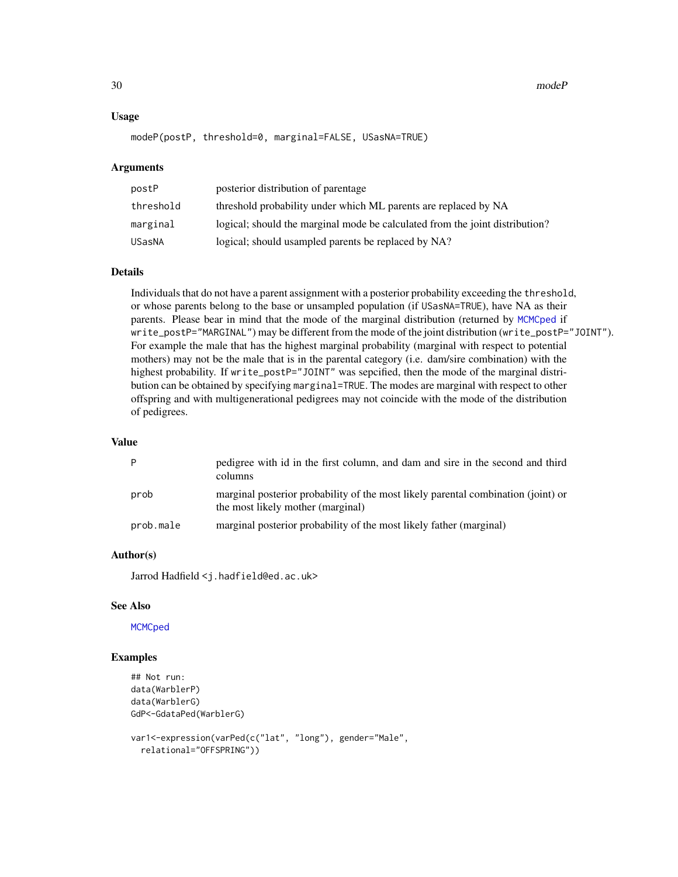<span id="page-29-0"></span>30 modeP

#### Usage

```
modeP(postP, threshold=0, marginal=FALSE, USasNA=TRUE)
```
#### Arguments

| postP     | posterior distribution of parentage                                          |
|-----------|------------------------------------------------------------------------------|
| threshold | threshold probability under which ML parents are replaced by NA              |
| marginal  | logical; should the marginal mode be calculated from the joint distribution? |
| USasNA    | logical; should usampled parents be replaced by NA?                          |

#### Details

Individuals that do not have a parent assignment with a posterior probability exceeding the threshold, or whose parents belong to the base or unsampled population (if USasNA=TRUE), have NA as their parents. Please bear in mind that the mode of the marginal distribution (returned by [MCMCped](#page-18-1) if write\_postP="MARGINAL") may be different from the mode of the joint distribution (write\_postP="JOINT"). For example the male that has the highest marginal probability (marginal with respect to potential mothers) may not be the male that is in the parental category (i.e. dam/sire combination) with the highest probability. If write\_postP="JOINT" was sepcified, then the mode of the marginal distribution can be obtained by specifying marginal=TRUE. The modes are marginal with respect to other offspring and with multigenerational pedigrees may not coincide with the mode of the distribution of pedigrees.

## Value

| P         | pedigree with id in the first column, and dam and sire in the second and third<br>columns                              |
|-----------|------------------------------------------------------------------------------------------------------------------------|
| prob      | marginal posterior probability of the most likely parental combination (joint) or<br>the most likely mother (marginal) |
| prob.male | marginal posterior probability of the most likely father (marginal)                                                    |

#### Author(s)

Jarrod Hadfield <j.hadfield@ed.ac.uk>

#### See Also

**[MCMCped](#page-18-1)** 

## Examples

```
## Not run:
data(WarblerP)
data(WarblerG)
GdP<-GdataPed(WarblerG)
var1<-expression(varPed(c("lat", "long"), gender="Male",
 relational="OFFSPRING"))
```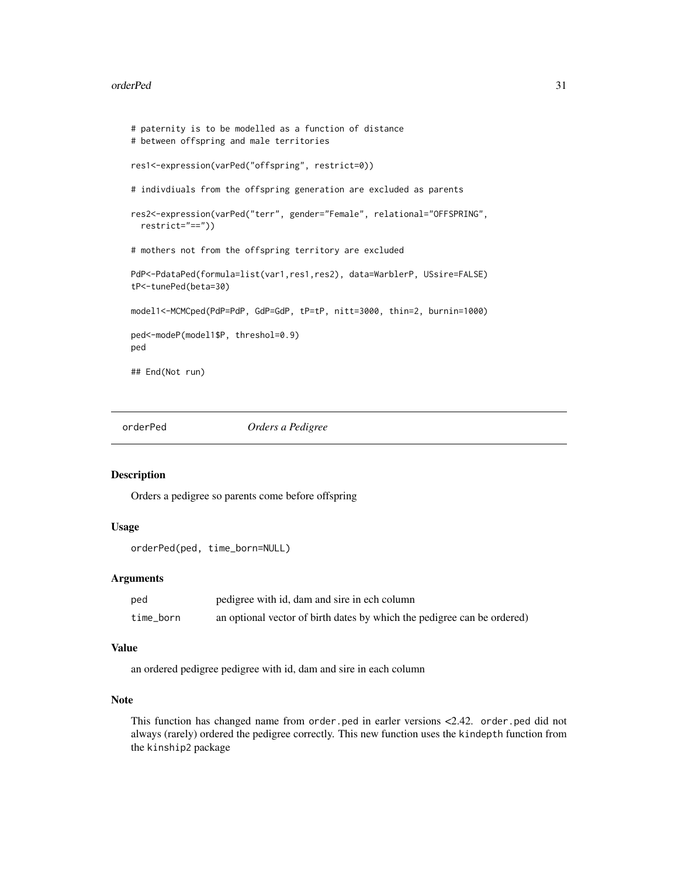#### <span id="page-30-0"></span>orderPed 31

```
# paternity is to be modelled as a function of distance
# between offspring and male territories
res1<-expression(varPed("offspring", restrict=0))
# indivdiuals from the offspring generation are excluded as parents
res2<-expression(varPed("terr", gender="Female", relational="OFFSPRING",
 restrict="=="))
# mothers not from the offspring territory are excluded
PdP<-PdataPed(formula=list(var1,res1,res2), data=WarblerP, USsire=FALSE)
tP<-tunePed(beta=30)
model1<-MCMCped(PdP=PdP, GdP=GdP, tP=tP, nitt=3000, thin=2, burnin=1000)
ped<-modeP(model1$P, threshol=0.9)
ped
## End(Not run)
```
<span id="page-30-1"></span>orderPed *Orders a Pedigree*

## Description

Orders a pedigree so parents come before offspring

## Usage

```
orderPed(ped, time_born=NULL)
```
#### Arguments

| ped       | pedigree with id, dam and sire in ech column                            |
|-----------|-------------------------------------------------------------------------|
| time_born | an optional vector of birth dates by which the pedigree can be ordered) |

#### Value

an ordered pedigree pedigree with id, dam and sire in each column

## Note

This function has changed name from order.ped in earler versions <2.42. order.ped did not always (rarely) ordered the pedigree correctly. This new function uses the kindepth function from the kinship2 package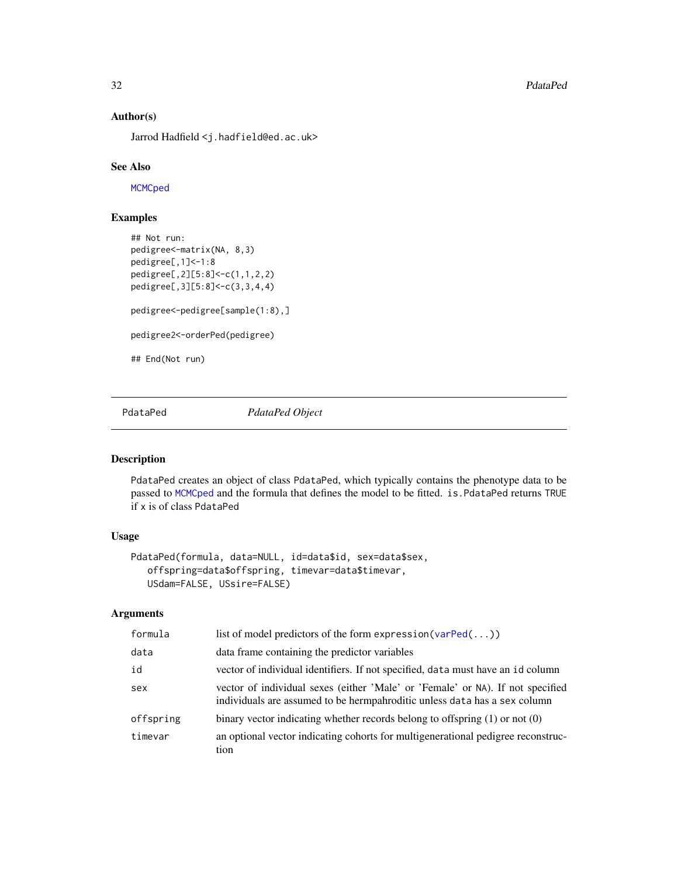32 **PdataPed Participal Control Properties** 

## Author(s)

Jarrod Hadfield <j.hadfield@ed.ac.uk>

#### See Also

**[MCMCped](#page-18-1)** 

# Examples

```
## Not run:
pedigree<-matrix(NA, 8,3)
pedigree[,1]<-1:8
pedigree[,2][5:8]<-c(1,1,2,2)
pedigree[,3][5:8]<-c(3,3,4,4)
pedigree<-pedigree[sample(1:8),]
pedigree2<-orderPed(pedigree)
## End(Not run)
```
<span id="page-31-1"></span>PdataPed *PdataPed Object*

## Description

PdataPed creates an object of class PdataPed, which typically contains the phenotype data to be passed to [MCMCped](#page-18-1) and the formula that defines the model to be fitted. is.PdataPed returns TRUE if x is of class PdataPed

## Usage

```
PdataPed(formula, data=NULL, id=data$id, sex=data$sex,
   offspring=data$offspring, timevar=data$timevar,
   USdam=FALSE, USsire=FALSE)
```
## Arguments

| formula   | list of model predictors of the form expression ( $varPed(\dots)$ )                                                                                         |
|-----------|-------------------------------------------------------------------------------------------------------------------------------------------------------------|
| data      | data frame containing the predictor variables                                                                                                               |
| id        | vector of individual identifiers. If not specified, data must have an id column                                                                             |
| sex       | vector of individual sexes (either 'Male' or 'Female' or NA). If not specified<br>individuals are assumed to be hermpahroditic unless data has a sex column |
| offspring | binary vector indicating whether records belong to offspring $(1)$ or not $(0)$                                                                             |
| timevar   | an optional vector indicating cohorts for multigenerational pedigree reconstruc-<br>tion                                                                    |

<span id="page-31-0"></span>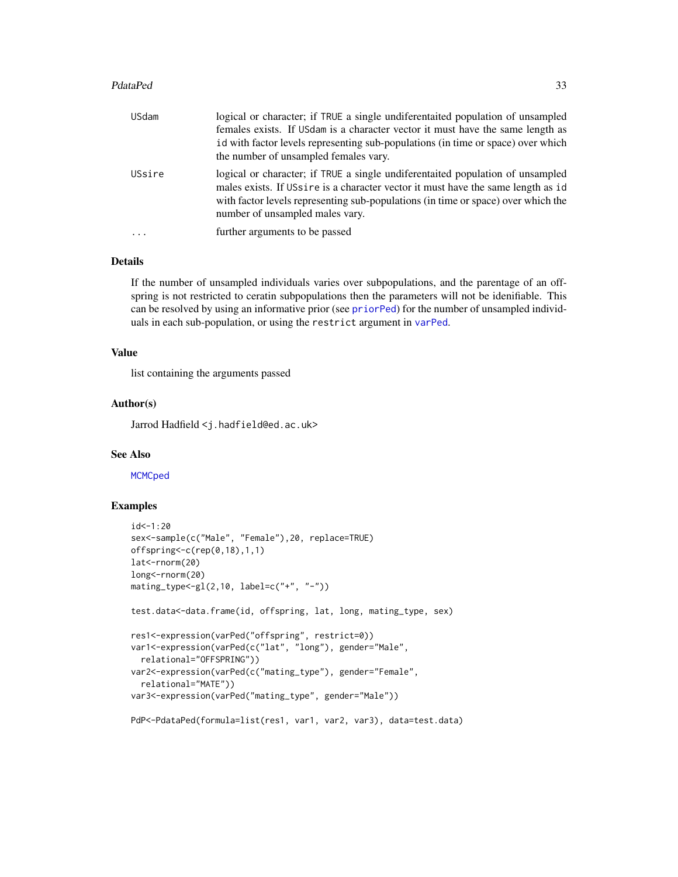#### <span id="page-32-0"></span>PdataPed 33

| <b>USdam</b> | logical or character; if TRUE a single undiferentaited population of unsampled<br>females exists. If USdam is a character vector it must have the same length as<br>id with factor levels representing sub-populations (in time or space) over which<br>the number of unsampled females vary. |
|--------------|-----------------------------------------------------------------------------------------------------------------------------------------------------------------------------------------------------------------------------------------------------------------------------------------------|
| USsire       | logical or character; if TRUE a single undiferentaited population of unsampled<br>males exists. If USsing is a character vector it must have the same length as id<br>with factor levels representing sub-populations (in time or space) over which the<br>number of unsampled males vary.    |
| $\ddotsc$    | further arguments to be passed                                                                                                                                                                                                                                                                |

## Details

If the number of unsampled individuals varies over subpopulations, and the parentage of an offspring is not restricted to ceratin subpopulations then the parameters will not be idenifiable. This can be resolved by using an informative prior (see [priorPed](#page-36-1)) for the number of unsampled individuals in each sub-population, or using the restrict argument in [varPed](#page-47-1).

## Value

list containing the arguments passed

#### Author(s)

Jarrod Hadfield <j.hadfield@ed.ac.uk>

## See Also

**[MCMCped](#page-18-1)** 

## Examples

```
id < -1:20sex<-sample(c("Male", "Female"),20, replace=TRUE)
offspring<-c(rep(0,18),1,1)
lat<-rnorm(20)
long<-rnorm(20)
matrix_type < -gl(2,10, label = c(" + " , " - "))test.data<-data.frame(id, offspring, lat, long, mating_type, sex)
res1<-expression(varPed("offspring", restrict=0))
var1<-expression(varPed(c("lat", "long"), gender="Male",
  relational="OFFSPRING"))
var2<-expression(varPed(c("mating_type"), gender="Female",
  relational="MATE"))
var3<-expression(varPed("mating_type", gender="Male"))
PdP<-PdataPed(formula=list(res1, var1, var2, var3), data=test.data)
```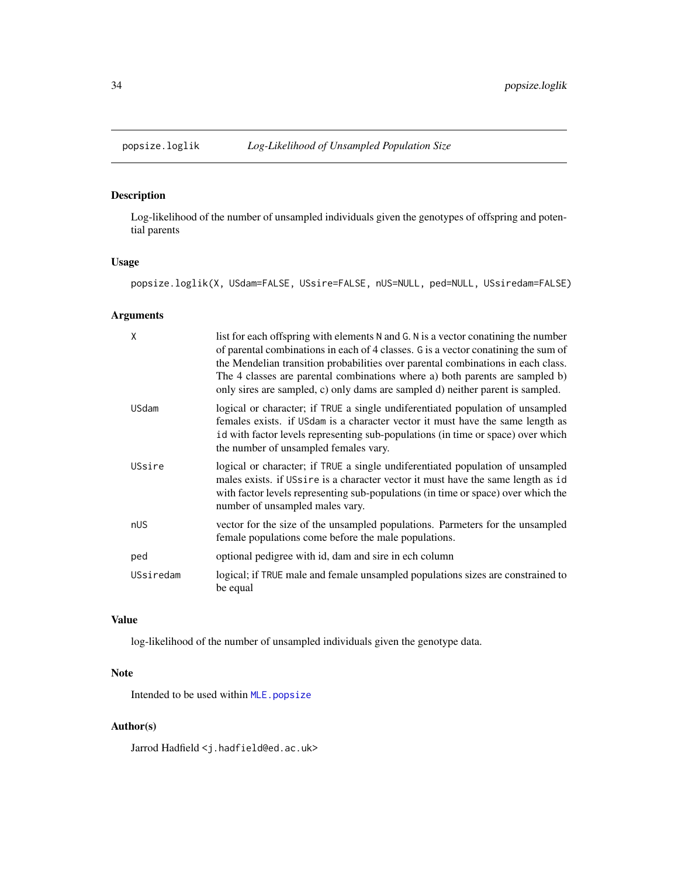<span id="page-33-1"></span><span id="page-33-0"></span>

## Description

Log-likelihood of the number of unsampled individuals given the genotypes of offspring and potential parents

## Usage

popsize.loglik(X, USdam=FALSE, USsire=FALSE, nUS=NULL, ped=NULL, USsiredam=FALSE)

# Arguments

| X            | list for each offspring with elements N and G. N is a vector conatining the number<br>of parental combinations in each of 4 classes. G is a vector conatining the sum of<br>the Mendelian transition probabilities over parental combinations in each class.<br>The 4 classes are parental combinations where a) both parents are sampled b)<br>only sires are sampled, c) only dams are sampled d) neither parent is sampled. |
|--------------|--------------------------------------------------------------------------------------------------------------------------------------------------------------------------------------------------------------------------------------------------------------------------------------------------------------------------------------------------------------------------------------------------------------------------------|
| <b>USdam</b> | logical or character; if TRUE a single undiferentiated population of unsampled<br>females exists. if USdam is a character vector it must have the same length as<br>id with factor levels representing sub-populations (in time or space) over which<br>the number of unsampled females vary.                                                                                                                                  |
| USsire       | logical or character; if TRUE a single undiferentiated population of unsampled<br>males exists. if USsire is a character vector it must have the same length as id<br>with factor levels representing sub-populations (in time or space) over which the<br>number of unsampled males vary.                                                                                                                                     |
| nUS          | vector for the size of the unsampled populations. Parmeters for the unsampled<br>female populations come before the male populations.                                                                                                                                                                                                                                                                                          |
| ped          | optional pedigree with id, dam and sire in ech column                                                                                                                                                                                                                                                                                                                                                                          |
| USsiredam    | logical; if TRUE male and female unsampled populations sizes are constrained to<br>be equal                                                                                                                                                                                                                                                                                                                                    |

## Value

log-likelihood of the number of unsampled individuals given the genotype data.

## Note

Intended to be used within [MLE.popsize](#page-26-1)

## Author(s)

Jarrod Hadfield <j.hadfield@ed.ac.uk>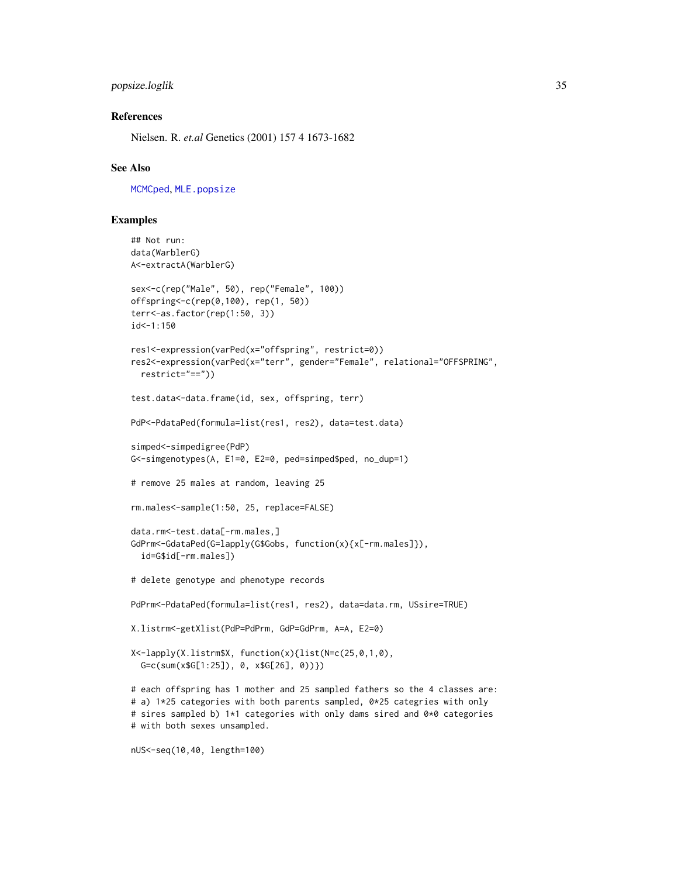## <span id="page-34-0"></span>popsize.loglik 35

## References

Nielsen. R. *et.al* Genetics (2001) 157 4 1673-1682

#### See Also

[MCMCped](#page-18-1), [MLE.popsize](#page-26-1)

## Examples

```
## Not run:
data(WarblerG)
A<-extractA(WarblerG)
sex<-c(rep("Male", 50), rep("Female", 100))
offspring<-c(rep(0,100), rep(1, 50))
terr<-as.factor(rep(1:50, 3))
id < -1:150res1<-expression(varPed(x="offspring", restrict=0))
res2<-expression(varPed(x="terr", gender="Female", relational="OFFSPRING",
  restrict="=="))
test.data<-data.frame(id, sex, offspring, terr)
PdP<-PdataPed(formula=list(res1, res2), data=test.data)
simped<-simpedigree(PdP)
G<-simgenotypes(A, E1=0, E2=0, ped=simped$ped, no_dup=1)
# remove 25 males at random, leaving 25
rm.males<-sample(1:50, 25, replace=FALSE)
data.rm<-test.data[-rm.males,]
GdPrm<-GdataPed(G=lapply(G$Gobs, function(x){x[-rm.males]}),
  id=G$id[-rm.males])
# delete genotype and phenotype records
PdPrm<-PdataPed(formula=list(res1, res2), data=data.rm, USsire=TRUE)
X.listrm<-getXlist(PdP=PdPrm, GdP=GdPrm, A=A, E2=0)
X<-lapply(X.listrm$X, function(x){list(N=c(25,0,1,0),
  G=c(sum(x$G[1:25]), 0, x$G[26], 0))})
# each offspring has 1 mother and 25 sampled fathers so the 4 classes are:
# a) 1*25 categories with both parents sampled, 0*25 categries with only
# sires sampled b) 1*1 categories with only dams sired and 0*0 categories
# with both sexes unsampled.
```

```
nUS<-seq(10,40, length=100)
```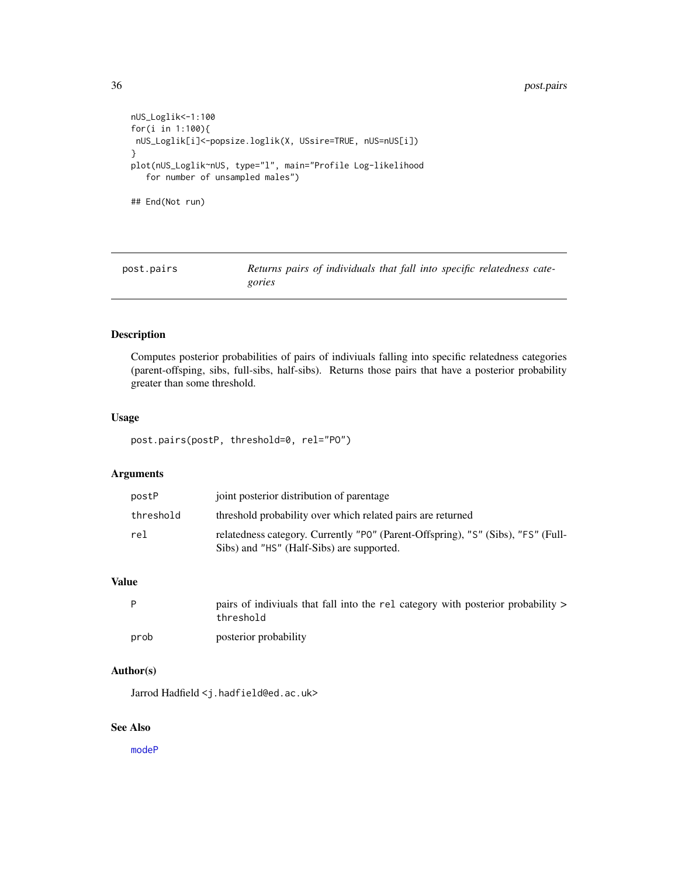#### <span id="page-35-0"></span>36 post.pairs

```
nUS_Loglik<-1:100
for(i in 1:100){
nUS_Loglik[i]<-popsize.loglik(X, USsire=TRUE, nUS=nUS[i])
}
plot(nUS_Loglik~nUS, type="l", main="Profile Log-likelihood
   for number of unsampled males")
## End(Not run)
```
post.pairs *Returns pairs of individuals that fall into specific relatedness categories*

## Description

Computes posterior probabilities of pairs of indiviuals falling into specific relatedness categories (parent-offsping, sibs, full-sibs, half-sibs). Returns those pairs that have a posterior probability greater than some threshold.

#### Usage

post.pairs(postP, threshold=0, rel="PO")

## Arguments

| postP     | joint posterior distribution of parentage                                                                                     |
|-----------|-------------------------------------------------------------------------------------------------------------------------------|
| threshold | threshold probability over which related pairs are returned                                                                   |
| rel       | relatedness category. Currently "PO" (Parent-Offspring), "S" (Sibs), "FS" (Full-<br>Sibs) and "HS" (Half-Sibs) are supported. |

#### Value

|      | pairs of indiviuals that fall into the rel category with posterior probability ><br>threshold |
|------|-----------------------------------------------------------------------------------------------|
| prob | posterior probability                                                                         |

## Author(s)

Jarrod Hadfield <j.hadfield@ed.ac.uk>

## See Also

[modeP](#page-28-1)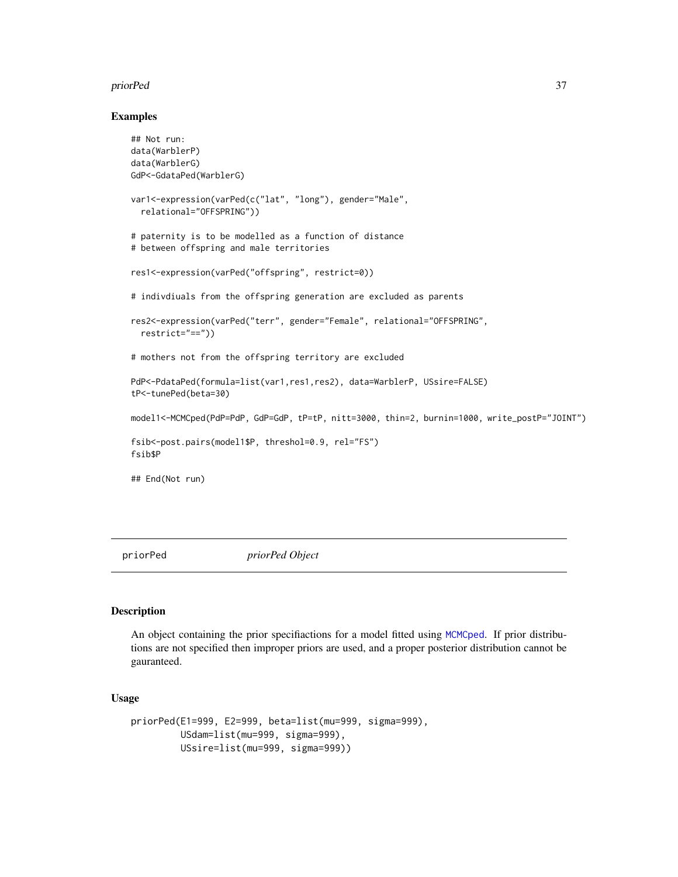#### <span id="page-36-0"></span>priorPed 37

#### Examples

```
## Not run:
data(WarblerP)
data(WarblerG)
GdP<-GdataPed(WarblerG)
var1<-expression(varPed(c("lat", "long"), gender="Male",
  relational="OFFSPRING"))
# paternity is to be modelled as a function of distance
# between offspring and male territories
res1<-expression(varPed("offspring", restrict=0))
# indivdiuals from the offspring generation are excluded as parents
res2<-expression(varPed("terr", gender="Female", relational="OFFSPRING",
  restrict="=="))
# mothers not from the offspring territory are excluded
PdP<-PdataPed(formula=list(var1,res1,res2), data=WarblerP, USsire=FALSE)
tP<-tunePed(beta=30)
model1<-MCMCped(PdP=PdP, GdP=GdP, tP=tP, nitt=3000, thin=2, burnin=1000, write_postP="JOINT")
fsib<-post.pairs(model1$P, threshol=0.9, rel="FS")
fsib$P
## End(Not run)
```
<span id="page-36-1"></span>priorPed *priorPed Object*

## Description

An object containing the prior specifiactions for a model fitted using [MCMCped](#page-18-1). If prior distributions are not specified then improper priors are used, and a proper posterior distribution cannot be gauranteed.

#### Usage

```
priorPed(E1=999, E2=999, beta=list(mu=999, sigma=999),
        USdam=list(mu=999, sigma=999),
         USsire=list(mu=999, sigma=999))
```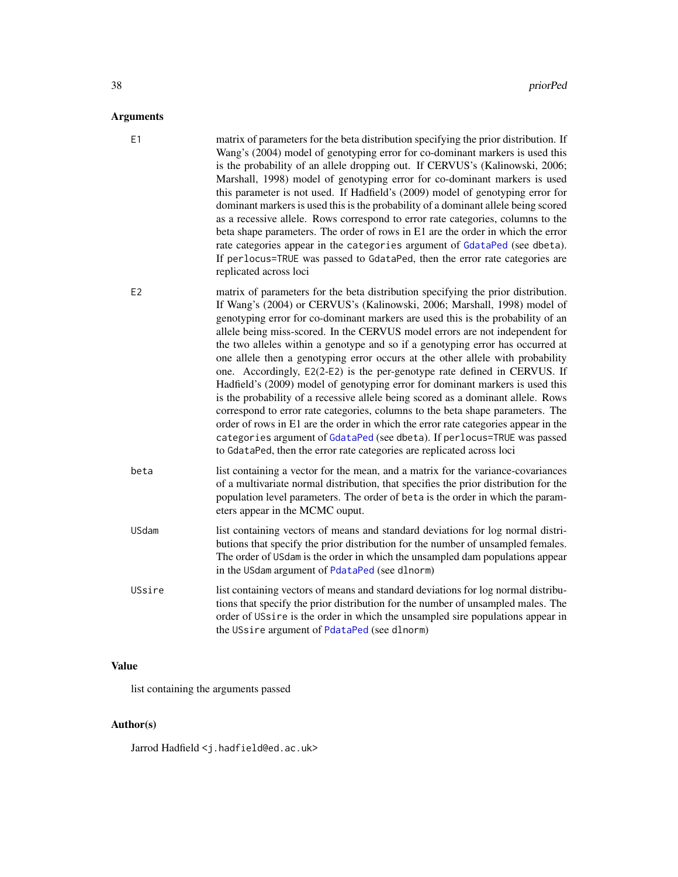# <span id="page-37-0"></span>Arguments

| ∍              |                                                                                                                                                                                                                                                                                                                                                                                                                                                                                                                                                                                                                                                                                                                                                                                                                                                                                                                                                                                                                                                                                      |
|----------------|--------------------------------------------------------------------------------------------------------------------------------------------------------------------------------------------------------------------------------------------------------------------------------------------------------------------------------------------------------------------------------------------------------------------------------------------------------------------------------------------------------------------------------------------------------------------------------------------------------------------------------------------------------------------------------------------------------------------------------------------------------------------------------------------------------------------------------------------------------------------------------------------------------------------------------------------------------------------------------------------------------------------------------------------------------------------------------------|
| E1             | matrix of parameters for the beta distribution specifying the prior distribution. If<br>Wang's (2004) model of genotyping error for co-dominant markers is used this<br>is the probability of an allele dropping out. If CERVUS's (Kalinowski, 2006;<br>Marshall, 1998) model of genotyping error for co-dominant markers is used<br>this parameter is not used. If Hadfield's (2009) model of genotyping error for<br>dominant markers is used this is the probability of a dominant allele being scored<br>as a recessive allele. Rows correspond to error rate categories, columns to the<br>beta shape parameters. The order of rows in E1 are the order in which the error<br>rate categories appear in the categories argument of GdataPed (see dbeta).<br>If perlocus=TRUE was passed to GdataPed, then the error rate categories are<br>replicated across loci                                                                                                                                                                                                               |
| E <sub>2</sub> | matrix of parameters for the beta distribution specifying the prior distribution.<br>If Wang's (2004) or CERVUS's (Kalinowski, 2006; Marshall, 1998) model of<br>genotyping error for co-dominant markers are used this is the probability of an<br>allele being miss-scored. In the CERVUS model errors are not independent for<br>the two alleles within a genotype and so if a genotyping error has occurred at<br>one allele then a genotyping error occurs at the other allele with probability<br>one. Accordingly, E2(2-E2) is the per-genotype rate defined in CERVUS. If<br>Hadfield's (2009) model of genotyping error for dominant markers is used this<br>is the probability of a recessive allele being scored as a dominant allele. Rows<br>correspond to error rate categories, columns to the beta shape parameters. The<br>order of rows in E1 are the order in which the error rate categories appear in the<br>categories argument of GdataPed (see dbeta). If perlocus=TRUE was passed<br>to GdataPed, then the error rate categories are replicated across loci |
| beta           | list containing a vector for the mean, and a matrix for the variance-covariances<br>of a multivariate normal distribution, that specifies the prior distribution for the<br>population level parameters. The order of beta is the order in which the param-<br>eters appear in the MCMC ouput.                                                                                                                                                                                                                                                                                                                                                                                                                                                                                                                                                                                                                                                                                                                                                                                       |
| USdam          | list containing vectors of means and standard deviations for log normal distri-<br>butions that specify the prior distribution for the number of unsampled females.<br>The order of USdam is the order in which the unsampled dam populations appear<br>in the USdam argument of PdataPed (see dlnorm)                                                                                                                                                                                                                                                                                                                                                                                                                                                                                                                                                                                                                                                                                                                                                                               |
| USsire         | list containing vectors of means and standard deviations for log normal distribu-<br>tions that specify the prior distribution for the number of unsampled males. The<br>order of USsire is the order in which the unsampled sire populations appear in<br>the USsire argument of PdataPed (see dlnorm)                                                                                                                                                                                                                                                                                                                                                                                                                                                                                                                                                                                                                                                                                                                                                                              |

# Value

list containing the arguments passed

# Author(s)

Jarrod Hadfield <j.hadfield@ed.ac.uk>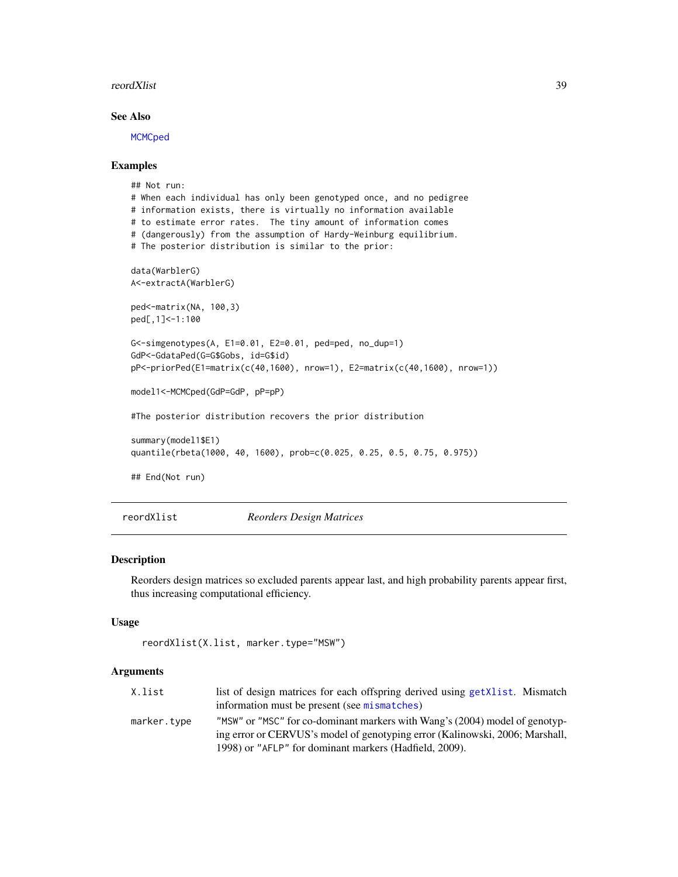#### <span id="page-38-0"></span>reordXlist 39

## See Also

**[MCMCped](#page-18-1)** 

#### Examples

```
## Not run:
# When each individual has only been genotyped once, and no pedigree
# information exists, there is virtually no information available
# to estimate error rates. The tiny amount of information comes
# (dangerously) from the assumption of Hardy-Weinburg equilibrium.
# The posterior distribution is similar to the prior:
data(WarblerG)
A<-extractA(WarblerG)
ped<-matrix(NA, 100,3)
ped[,1]<-1:100
G<-simgenotypes(A, E1=0.01, E2=0.01, ped=ped, no_dup=1)
GdP<-GdataPed(G=G$Gobs, id=G$id)
pP<-priorPed(E1=matrix(c(40,1600), nrow=1), E2=matrix(c(40,1600), nrow=1))
model1<-MCMCped(GdP=GdP, pP=pP)
#The posterior distribution recovers the prior distribution
summary(model1$E1)
quantile(rbeta(1000, 40, 1600), prob=c(0.025, 0.25, 0.5, 0.75, 0.975))
## End(Not run)
```
reordXlist *Reorders Design Matrices*

## Description

Reorders design matrices so excluded parents appear last, and high probability parents appear first, thus increasing computational efficiency.

#### Usage

```
reordXlist(X.list, marker.type="MSW")
```
#### Arguments

| X.list      | list of design matrices for each offspring derived using get Xlist. Mismatch |
|-------------|------------------------------------------------------------------------------|
|             | information must be present (see mismatches)                                 |
| marker.type | "MSW" or "MSC" for co-dominant markers with Wang's (2004) model of genotyp-  |
|             | ing error or CERVUS's model of genotyping error (Kalinowski, 2006; Marshall, |
|             | 1998) or "AFLP" for dominant markers (Hadfield, 2009).                       |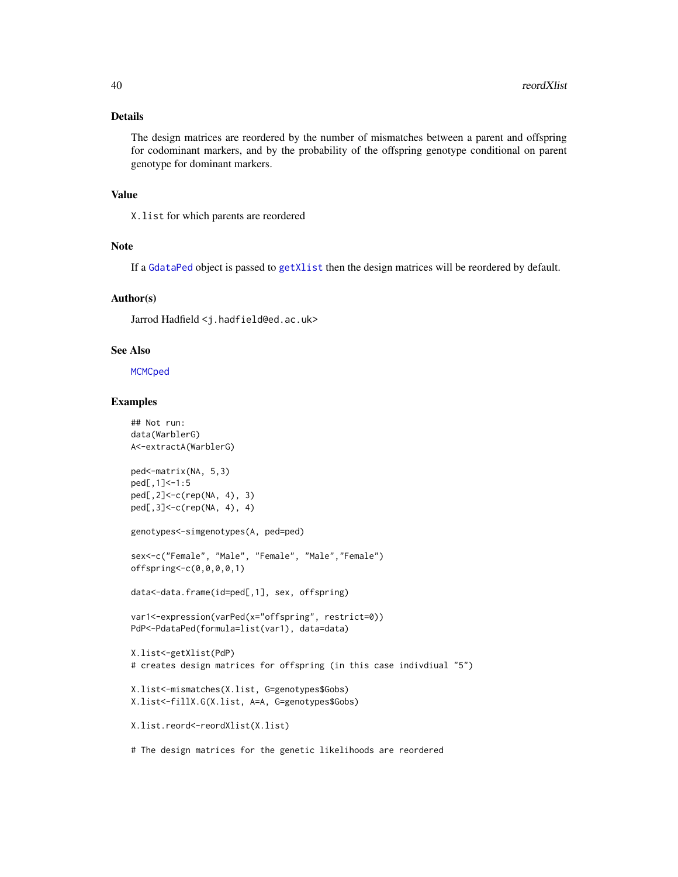## <span id="page-39-0"></span>Details

The design matrices are reordered by the number of mismatches between a parent and offspring for codominant markers, and by the probability of the offspring genotype conditional on parent genotype for dominant markers.

## Value

X.list for which parents are reordered

#### Note

If a [GdataPed](#page-8-1) object is passed to [getXlist](#page-11-1) then the design matrices will be reordered by default.

## Author(s)

Jarrod Hadfield <j.hadfield@ed.ac.uk>

#### See Also

**[MCMCped](#page-18-1)** 

## Examples

```
## Not run:
data(WarblerG)
A<-extractA(WarblerG)
ped<-matrix(NA, 5,3)
ped[,1]<-1:5
ped[,2]<-c(rep(NA, 4), 3)
ped[,3]<-c(rep(NA, 4), 4)
genotypes<-simgenotypes(A, ped=ped)
sex<-c("Female", "Male", "Female", "Male","Female")
offspring<-c(0,0,0,0,1)
data<-data.frame(id=ped[,1], sex, offspring)
var1<-expression(varPed(x="offspring", restrict=0))
PdP<-PdataPed(formula=list(var1), data=data)
X.list<-getXlist(PdP)
# creates design matrices for offspring (in this case indivdiual "5")
X.list<-mismatches(X.list, G=genotypes$Gobs)
X.list<-fillX.G(X.list, A=A, G=genotypes$Gobs)
X.list.reord<-reordXlist(X.list)
```
# The design matrices for the genetic likelihoods are reordered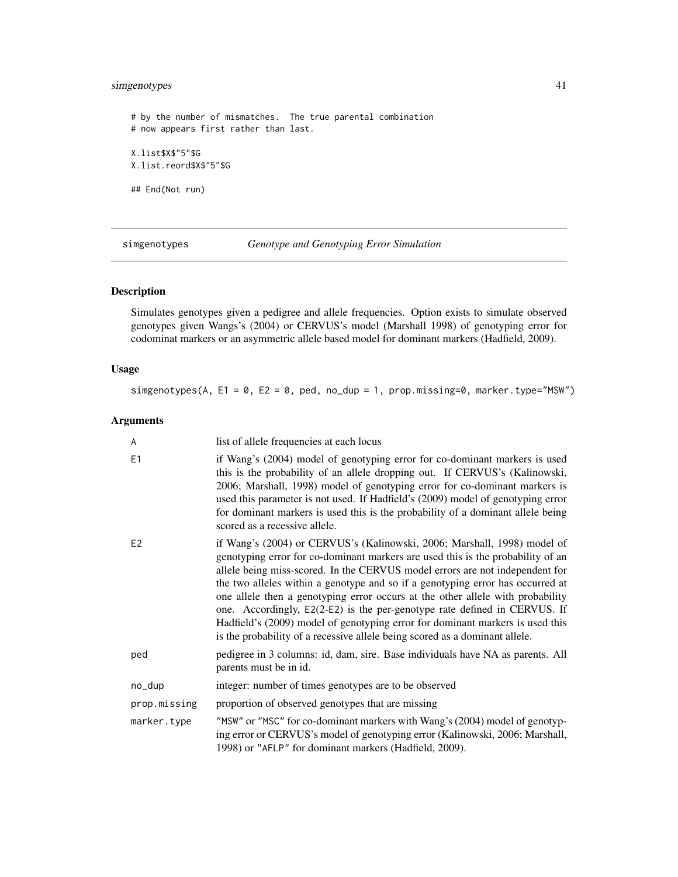## <span id="page-40-0"></span>simgenotypes 41

# by the number of mismatches. The true parental combination # now appears first rather than last. X.list\$X\$"5"\$G X.list.reord\$X\$"5"\$G ## End(Not run)

simgenotypes *Genotype and Genotyping Error Simulation*

## Description

Simulates genotypes given a pedigree and allele frequencies. Option exists to simulate observed genotypes given Wangs's (2004) or CERVUS's model (Marshall 1998) of genotyping error for codominat markers or an asymmetric allele based model for dominant markers (Hadfield, 2009).

## Usage

simgenotypes(A,  $E1 = 0$ ,  $E2 = 0$ , ped, no\_dup = 1, prop.missing=0, marker.type="MSW")

## Arguments

| A              | list of allele frequencies at each locus                                                                                                                                                                                                                                                                                                                                                                                                                                                                                                                                                                                                                     |
|----------------|--------------------------------------------------------------------------------------------------------------------------------------------------------------------------------------------------------------------------------------------------------------------------------------------------------------------------------------------------------------------------------------------------------------------------------------------------------------------------------------------------------------------------------------------------------------------------------------------------------------------------------------------------------------|
| E1             | if Wang's (2004) model of genotyping error for co-dominant markers is used<br>this is the probability of an allele dropping out. If CERVUS's (Kalinowski,<br>2006; Marshall, 1998) model of genotyping error for co-dominant markers is<br>used this parameter is not used. If Hadfield's (2009) model of genotyping error<br>for dominant markers is used this is the probability of a dominant allele being<br>scored as a recessive allele.                                                                                                                                                                                                               |
| E <sub>2</sub> | if Wang's (2004) or CERVUS's (Kalinowski, 2006; Marshall, 1998) model of<br>genotyping error for co-dominant markers are used this is the probability of an<br>allele being miss-scored. In the CERVUS model errors are not independent for<br>the two alleles within a genotype and so if a genotyping error has occurred at<br>one allele then a genotyping error occurs at the other allele with probability<br>one. Accordingly, E2(2-E2) is the per-genotype rate defined in CERVUS. If<br>Hadfield's (2009) model of genotyping error for dominant markers is used this<br>is the probability of a recessive allele being scored as a dominant allele. |
| ped            | pedigree in 3 columns: id, dam, sire. Base individuals have NA as parents. All<br>parents must be in id.                                                                                                                                                                                                                                                                                                                                                                                                                                                                                                                                                     |
| no_dup         | integer: number of times genotypes are to be observed                                                                                                                                                                                                                                                                                                                                                                                                                                                                                                                                                                                                        |
| prop.missing   | proportion of observed genotypes that are missing                                                                                                                                                                                                                                                                                                                                                                                                                                                                                                                                                                                                            |
| marker.type    | "MSW" or "MSC" for co-dominant markers with Wang's (2004) model of genotyp-<br>ing error or CERVUS's model of genotyping error (Kalinowski, 2006; Marshall,<br>1998) or "AFLP" for dominant markers (Hadfield, 2009).                                                                                                                                                                                                                                                                                                                                                                                                                                        |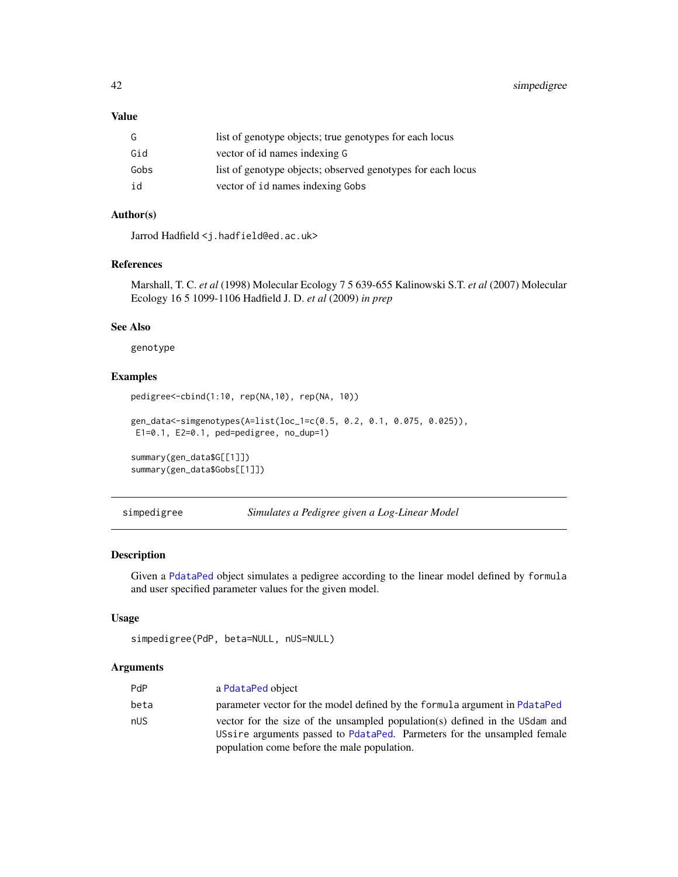<span id="page-41-0"></span>42 simpedigree

## Value

| G    | list of genotype objects; true genotypes for each locus     |
|------|-------------------------------------------------------------|
| Gid  | vector of id names indexing G                               |
| Gobs | list of genotype objects; observed genotypes for each locus |
| id   | vector of id names indexing Gobs                            |

# Author(s)

Jarrod Hadfield <j.hadfield@ed.ac.uk>

## References

Marshall, T. C. *et al* (1998) Molecular Ecology 7 5 639-655 Kalinowski S.T. *et al* (2007) Molecular Ecology 16 5 1099-1106 Hadfield J. D. *et al* (2009) *in prep*

## See Also

genotype

# Examples

pedigree<-cbind(1:10, rep(NA,10), rep(NA, 10))

```
gen_data<-simgenotypes(A=list(loc_1=c(0.5, 0.2, 0.1, 0.075, 0.025)),
E1=0.1, E2=0.1, ped=pedigree, no_dup=1)
```
summary(gen\_data\$G[[1]]) summary(gen\_data\$Gobs[[1]])

simpedigree *Simulates a Pedigree given a Log-Linear Model*

## Description

Given a [PdataPed](#page-31-1) object simulates a pedigree according to the linear model defined by formula and user specified parameter values for the given model.

## Usage

```
simpedigree(PdP, beta=NULL, nUS=NULL)
```
## Arguments

| PdP  | a PdataPed object                                                           |
|------|-----------------------------------------------------------------------------|
| beta | parameter vector for the model defined by the formula argument in PdataPed  |
| nUS  | vector for the size of the unsampled population(s) defined in the USdam and |
|      | USsire arguments passed to PdataPed. Parmeters for the unsampled female     |
|      | population come before the male population.                                 |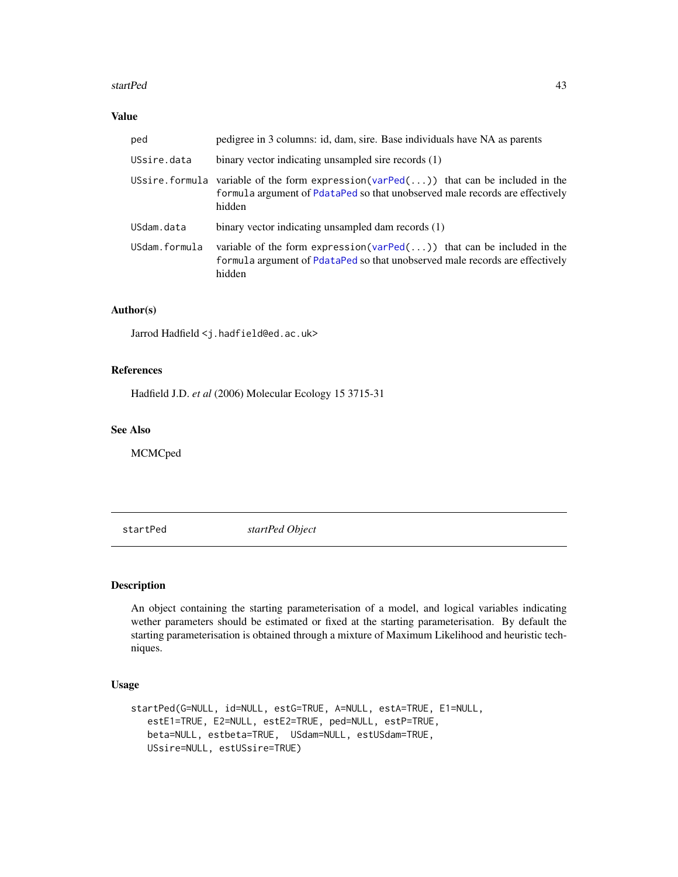#### <span id="page-42-0"></span>startPed 43

# Value

| ped           | pedigree in 3 columns: id, dam, sire. Base individuals have NA as parents                                                                                                      |
|---------------|--------------------------------------------------------------------------------------------------------------------------------------------------------------------------------|
| USsire.data   | binary vector indicating unsampled sire records (1)                                                                                                                            |
|               | USsire.formula variable of the form expression(varPed()) that can be included in the<br>formula argument of PdataPed so that unobserved male records are effectively<br>hidden |
| USdam.data    | binary vector indicating unsampled dam records (1)                                                                                                                             |
| USdam.formula | variable of the form expression(varPed()) that can be included in the<br>formula argument of PdataPed so that unobserved male records are effectively<br>hidden                |

## Author(s)

Jarrod Hadfield <j.hadfield@ed.ac.uk>

#### References

Hadfield J.D. *et al* (2006) Molecular Ecology 15 3715-31

## See Also

MCMCped

<span id="page-42-1"></span>startPed *startPed Object*

## Description

An object containing the starting parameterisation of a model, and logical variables indicating wether parameters should be estimated or fixed at the starting parameterisation. By default the starting parameterisation is obtained through a mixture of Maximum Likelihood and heuristic techniques.

## Usage

```
startPed(G=NULL, id=NULL, estG=TRUE, A=NULL, estA=TRUE, E1=NULL,
  estE1=TRUE, E2=NULL, estE2=TRUE, ped=NULL, estP=TRUE,
  beta=NULL, estbeta=TRUE, USdam=NULL, estUSdam=TRUE,
  USsire=NULL, estUSsire=TRUE)
```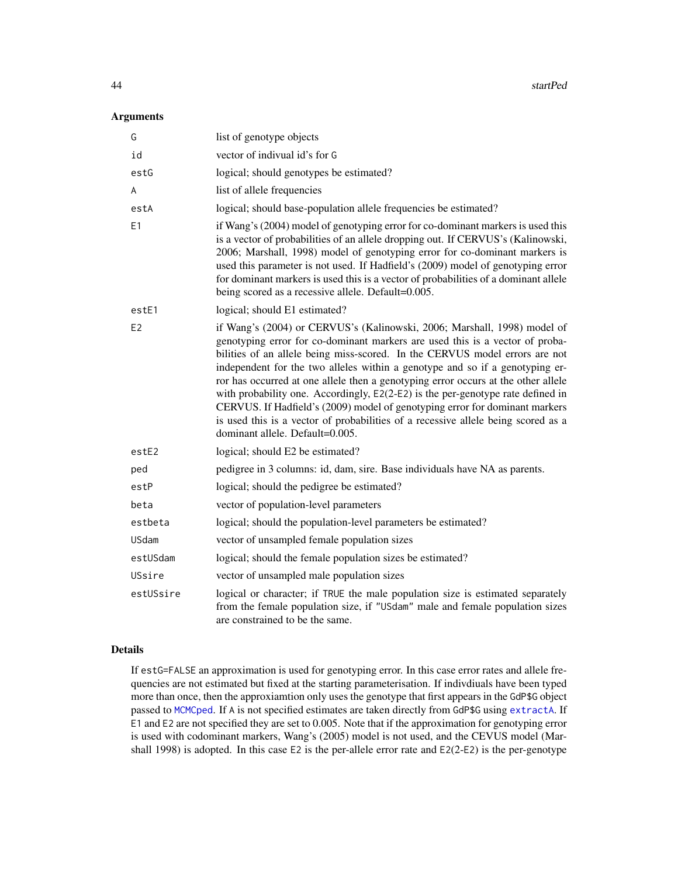<span id="page-43-0"></span>44 startPed

#### Arguments

| G              | list of genotype objects                                                                                                                                                                                                                                                                                                                                                                                                                                                                                                                                                                                                                                                                               |
|----------------|--------------------------------------------------------------------------------------------------------------------------------------------------------------------------------------------------------------------------------------------------------------------------------------------------------------------------------------------------------------------------------------------------------------------------------------------------------------------------------------------------------------------------------------------------------------------------------------------------------------------------------------------------------------------------------------------------------|
| id             | vector of indivual id's for G                                                                                                                                                                                                                                                                                                                                                                                                                                                                                                                                                                                                                                                                          |
| estG           | logical; should genotypes be estimated?                                                                                                                                                                                                                                                                                                                                                                                                                                                                                                                                                                                                                                                                |
| A              | list of allele frequencies                                                                                                                                                                                                                                                                                                                                                                                                                                                                                                                                                                                                                                                                             |
| estA           | logical; should base-population allele frequencies be estimated?                                                                                                                                                                                                                                                                                                                                                                                                                                                                                                                                                                                                                                       |
| E1             | if Wang's (2004) model of genotyping error for co-dominant markers is used this<br>is a vector of probabilities of an allele dropping out. If CERVUS's (Kalinowski,<br>2006; Marshall, 1998) model of genotyping error for co-dominant markers is<br>used this parameter is not used. If Hadfield's (2009) model of genotyping error<br>for dominant markers is used this is a vector of probabilities of a dominant allele<br>being scored as a recessive allele. Default=0.005.                                                                                                                                                                                                                      |
| estE1          | logical; should E1 estimated?                                                                                                                                                                                                                                                                                                                                                                                                                                                                                                                                                                                                                                                                          |
| E <sub>2</sub> | if Wang's (2004) or CERVUS's (Kalinowski, 2006; Marshall, 1998) model of<br>genotyping error for co-dominant markers are used this is a vector of proba-<br>bilities of an allele being miss-scored. In the CERVUS model errors are not<br>independent for the two alleles within a genotype and so if a genotyping er-<br>ror has occurred at one allele then a genotyping error occurs at the other allele<br>with probability one. Accordingly, E2(2-E2) is the per-genotype rate defined in<br>CERVUS. If Hadfield's (2009) model of genotyping error for dominant markers<br>is used this is a vector of probabilities of a recessive allele being scored as a<br>dominant allele. Default=0.005. |
| estE2          | logical; should E2 be estimated?                                                                                                                                                                                                                                                                                                                                                                                                                                                                                                                                                                                                                                                                       |
| ped            | pedigree in 3 columns: id, dam, sire. Base individuals have NA as parents.                                                                                                                                                                                                                                                                                                                                                                                                                                                                                                                                                                                                                             |
| estP           | logical; should the pedigree be estimated?                                                                                                                                                                                                                                                                                                                                                                                                                                                                                                                                                                                                                                                             |
| beta           | vector of population-level parameters                                                                                                                                                                                                                                                                                                                                                                                                                                                                                                                                                                                                                                                                  |
| estbeta        | logical; should the population-level parameters be estimated?                                                                                                                                                                                                                                                                                                                                                                                                                                                                                                                                                                                                                                          |
| USdam          | vector of unsampled female population sizes                                                                                                                                                                                                                                                                                                                                                                                                                                                                                                                                                                                                                                                            |
| estUSdam       | logical; should the female population sizes be estimated?                                                                                                                                                                                                                                                                                                                                                                                                                                                                                                                                                                                                                                              |
| USsire         | vector of unsampled male population sizes                                                                                                                                                                                                                                                                                                                                                                                                                                                                                                                                                                                                                                                              |
| estUSsire      | logical or character; if TRUE the male population size is estimated separately<br>from the female population size, if "USdam" male and female population sizes<br>are constrained to be the same.                                                                                                                                                                                                                                                                                                                                                                                                                                                                                                      |

#### Details

If estG=FALSE an approximation is used for genotyping error. In this case error rates and allele frequencies are not estimated but fixed at the starting parameterisation. If indivdiuals have been typed more than once, then the approxiamtion only uses the genotype that first appears in the GdP\$G object passed to [MCMCped](#page-18-1). If A is not specified estimates are taken directly from GdP\$G using [extractA](#page-5-1). If E1 and E2 are not specified they are set to 0.005. Note that if the approximation for genotyping error is used with codominant markers, Wang's (2005) model is not used, and the CEVUS model (Marshall 1998) is adopted. In this case E2 is the per-allele error rate and E2(2-E2) is the per-genotype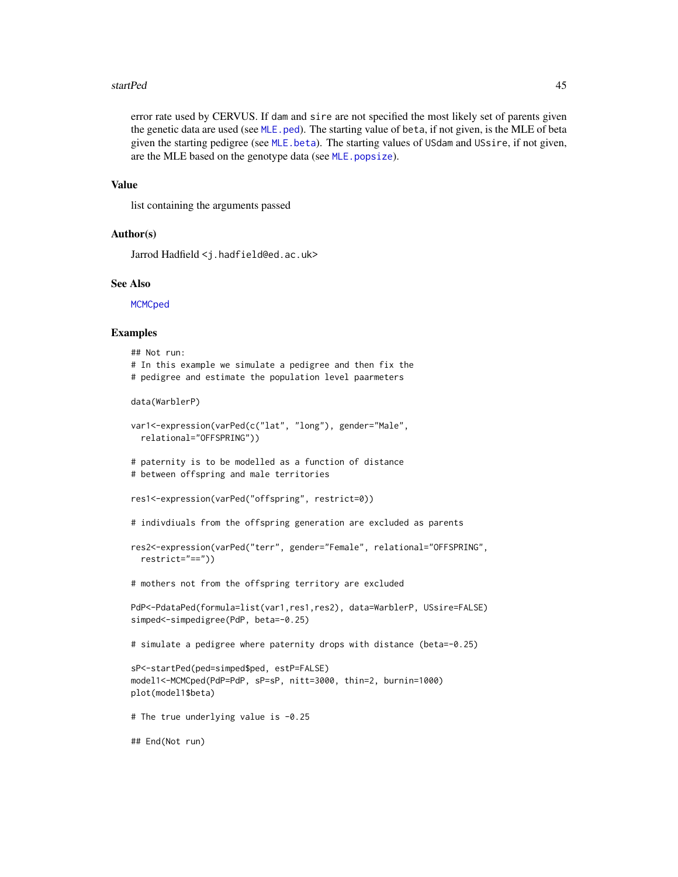#### <span id="page-44-0"></span>startPed 45

error rate used by CERVUS. If dam and sire are not specified the most likely set of parents given the genetic data are used (see [MLE.ped](#page-24-1)). The starting value of beta, if not given, is the MLE of beta given the starting pedigree (see MLE, beta). The starting values of USdam and USsire, if not given, are the MLE based on the genotype data (see [MLE.popsize](#page-26-1)).

#### Value

list containing the arguments passed

#### Author(s)

Jarrod Hadfield <j.hadfield@ed.ac.uk>

#### See Also

**[MCMCped](#page-18-1)** 

#### Examples

```
## Not run:
# In this example we simulate a pedigree and then fix the
# pedigree and estimate the population level paarmeters
data(WarblerP)
var1<-expression(varPed(c("lat", "long"), gender="Male",
 relational="OFFSPRING"))
# paternity is to be modelled as a function of distance
# between offspring and male territories
res1<-expression(varPed("offspring", restrict=0))
# indivdiuals from the offspring generation are excluded as parents
res2<-expression(varPed("terr", gender="Female", relational="OFFSPRING",
 restrict="=="))
# mothers not from the offspring territory are excluded
PdP<-PdataPed(formula=list(var1,res1,res2), data=WarblerP, USsire=FALSE)
simped<-simpedigree(PdP, beta=-0.25)
# simulate a pedigree where paternity drops with distance (beta=-0.25)
sP<-startPed(ped=simped$ped, estP=FALSE)
model1<-MCMCped(PdP=PdP, sP=sP, nitt=3000, thin=2, burnin=1000)
plot(model1$beta)
# The true underlying value is -0.25
## End(Not run)
```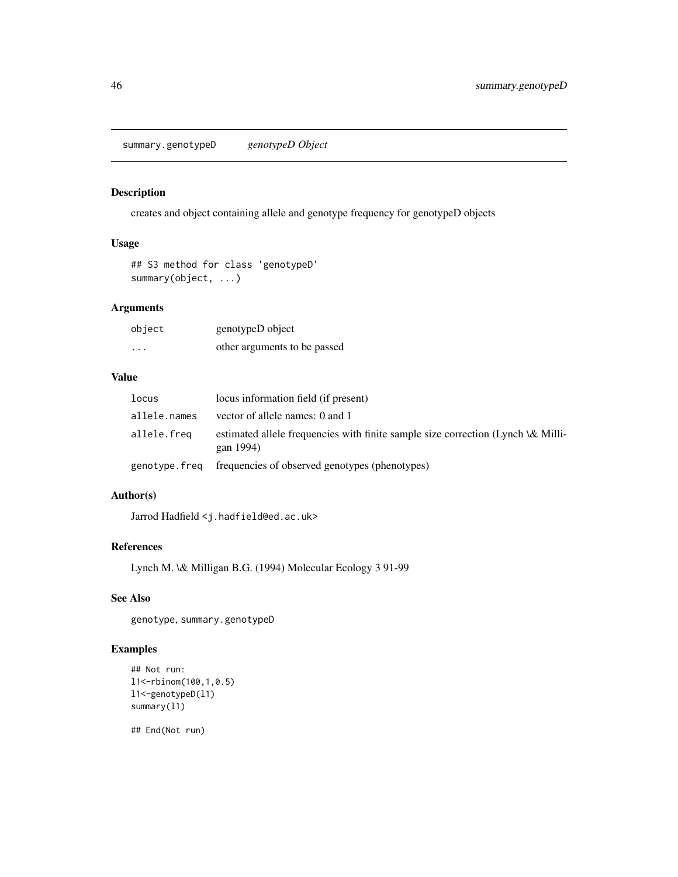<span id="page-45-0"></span>summary.genotypeD *genotypeD Object*

## Description

creates and object containing allele and genotype frequency for genotypeD objects

# Usage

## S3 method for class 'genotypeD' summary(object, ...)

## Arguments

| object   | genotypeD object             |
|----------|------------------------------|
| $\cdots$ | other arguments to be passed |

## Value

| locus         | locus information field (if present)                                                          |
|---------------|-----------------------------------------------------------------------------------------------|
| allele.names  | vector of allele names: 0 and 1                                                               |
| allele.freq   | estimated allele frequencies with finite sample size correction (Lynch \& Milli-<br>gan 1994) |
| genotype.freq | frequencies of observed genotypes (phenotypes)                                                |

## Author(s)

Jarrod Hadfield <j.hadfield@ed.ac.uk>

## References

Lynch M. \& Milligan B.G. (1994) Molecular Ecology 3 91-99

# See Also

genotype, summary.genotypeD

## Examples

```
## Not run:
l1<-rbinom(100,1,0.5)
l1<-genotypeD(l1)
summary(l1)
```
## End(Not run)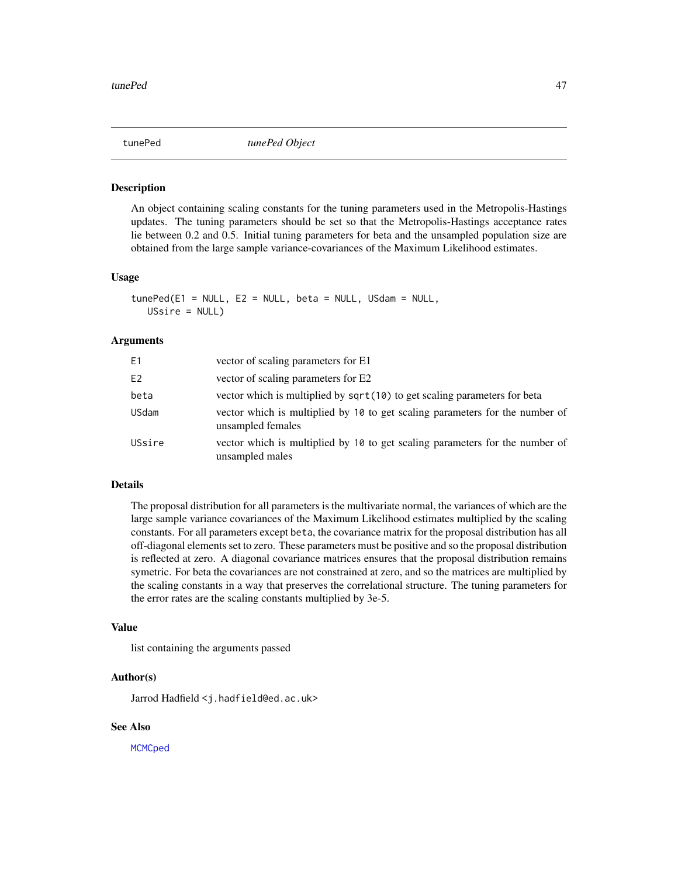<span id="page-46-1"></span><span id="page-46-0"></span>

#### Description

An object containing scaling constants for the tuning parameters used in the Metropolis-Hastings updates. The tuning parameters should be set so that the Metropolis-Hastings acceptance rates lie between 0.2 and 0.5. Initial tuning parameters for beta and the unsampled population size are obtained from the large sample variance-covariances of the Maximum Likelihood estimates.

#### Usage

```
tunePed(E1 = NULL, E2 = NULL, beta = NULL, USAam = NULL,USsire = NULL)
```
#### Arguments

| E1     | vector of scaling parameters for E1                                                               |
|--------|---------------------------------------------------------------------------------------------------|
| E2     | vector of scaling parameters for E2                                                               |
| beta   | vector which is multiplied by sqrt(10) to get scaling parameters for beta                         |
| USdam  | vector which is multiplied by 10 to get scaling parameters for the number of<br>unsampled females |
| USsire | vector which is multiplied by 10 to get scaling parameters for the number of<br>unsampled males   |

#### Details

The proposal distribution for all parameters is the multivariate normal, the variances of which are the large sample variance covariances of the Maximum Likelihood estimates multiplied by the scaling constants. For all parameters except beta, the covariance matrix for the proposal distribution has all off-diagonal elements set to zero. These parameters must be positive and so the proposal distribution is reflected at zero. A diagonal covariance matrices ensures that the proposal distribution remains symetric. For beta the covariances are not constrained at zero, and so the matrices are multiplied by the scaling constants in a way that preserves the correlational structure. The tuning parameters for the error rates are the scaling constants multiplied by 3e-5.

#### Value

list containing the arguments passed

#### Author(s)

Jarrod Hadfield <j.hadfield@ed.ac.uk>

#### See Also

**[MCMCped](#page-18-1)**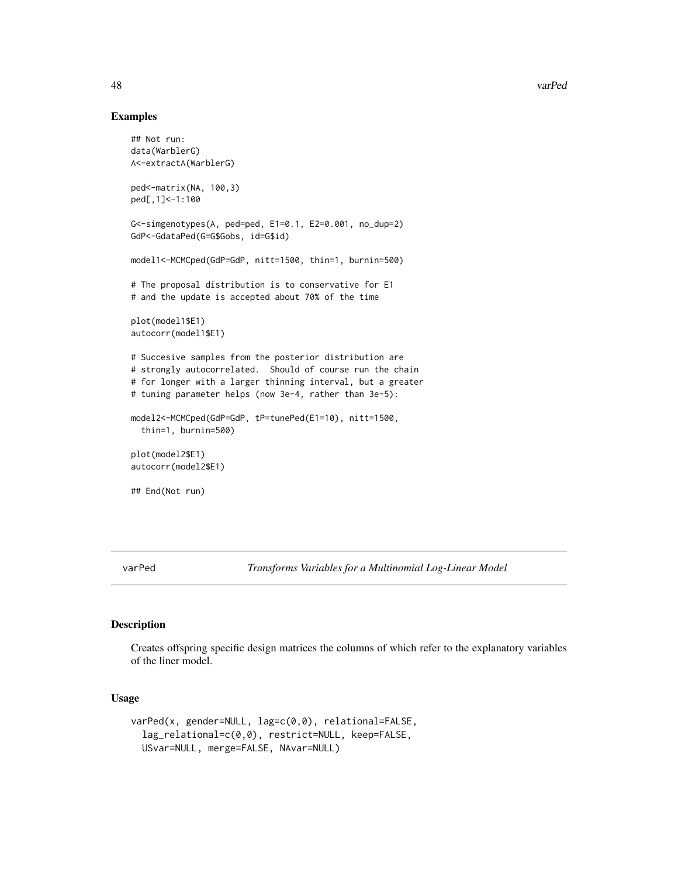## Examples

```
## Not run:
data(WarblerG)
A<-extractA(WarblerG)
ped<-matrix(NA, 100,3)
ped[,1]<-1:100
G<-simgenotypes(A, ped=ped, E1=0.1, E2=0.001, no_dup=2)
GdP<-GdataPed(G=G$Gobs, id=G$id)
model1<-MCMCped(GdP=GdP, nitt=1500, thin=1, burnin=500)
# The proposal distribution is to conservative for E1
# and the update is accepted about 70% of the time
plot(model1$E1)
autocorr(model1$E1)
# Succesive samples from the posterior distribution are
# strongly autocorrelated. Should of course run the chain
# for longer with a larger thinning interval, but a greater
# tuning parameter helps (now 3e-4, rather than 3e-5):
model2<-MCMCped(GdP=GdP, tP=tunePed(E1=10), nitt=1500,
 thin=1, burnin=500)
plot(model2$E1)
autocorr(model2$E1)
## End(Not run)
```
<span id="page-47-1"></span>varPed *Transforms Variables for a Multinomial Log-Linear Model*

#### Description

Creates offspring specific design matrices the columns of which refer to the explanatory variables of the liner model.

#### Usage

```
varPed(x, gender=NULL, lag=c(0,0), relational=FALSE,
  lag_relational=c(0,0), restrict=NULL, keep=FALSE,
  USvar=NULL, merge=FALSE, NAvar=NULL)
```
<span id="page-47-0"></span>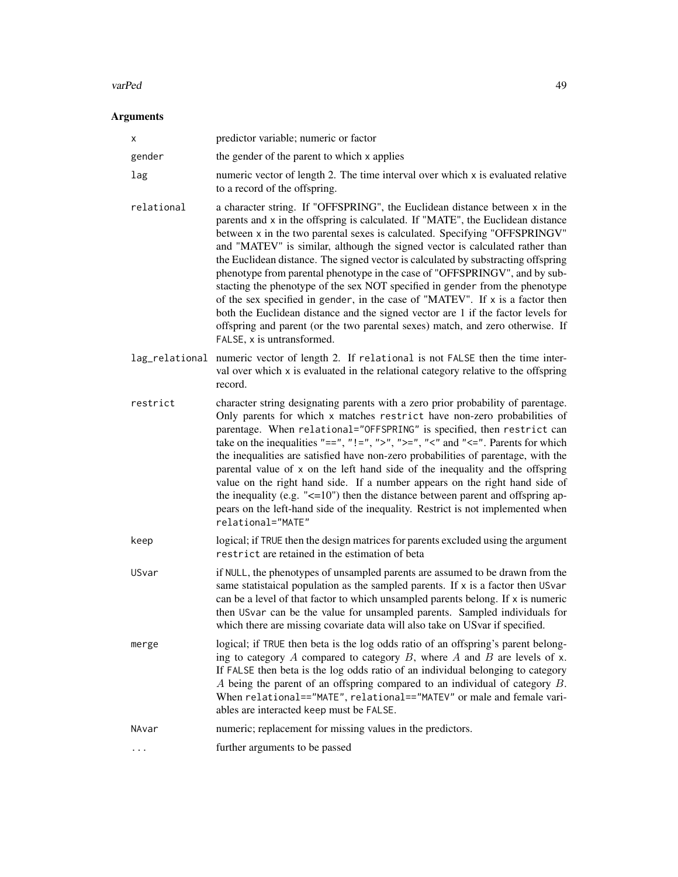#### varPed 29 and 2012 12:00 the contract of the contract of the contract of the contract of the contract of the contract of the contract of the contract of the contract of the contract of the contract of the contract of the c

# Arguments

| х          | predictor variable; numeric or factor                                                                                                                                                                                                                                                                                                                                                                                                                                                                                                                                                                                                                                                                                                                                                                                                                                |
|------------|----------------------------------------------------------------------------------------------------------------------------------------------------------------------------------------------------------------------------------------------------------------------------------------------------------------------------------------------------------------------------------------------------------------------------------------------------------------------------------------------------------------------------------------------------------------------------------------------------------------------------------------------------------------------------------------------------------------------------------------------------------------------------------------------------------------------------------------------------------------------|
| gender     | the gender of the parent to which x applies                                                                                                                                                                                                                                                                                                                                                                                                                                                                                                                                                                                                                                                                                                                                                                                                                          |
| lag        | numeric vector of length 2. The time interval over which x is evaluated relative<br>to a record of the offspring.                                                                                                                                                                                                                                                                                                                                                                                                                                                                                                                                                                                                                                                                                                                                                    |
| relational | a character string. If "OFFSPRING", the Euclidean distance between x in the<br>parents and x in the offspring is calculated. If "MATE", the Euclidean distance<br>between x in the two parental sexes is calculated. Specifying "OFFSPRINGV"<br>and "MATEV" is similar, although the signed vector is calculated rather than<br>the Euclidean distance. The signed vector is calculated by substracting offspring<br>phenotype from parental phenotype in the case of "OFFSPRINGV", and by sub-<br>stacting the phenotype of the sex NOT specified in gender from the phenotype<br>of the sex specified in gender, in the case of "MATEV". If x is a factor then<br>both the Euclidean distance and the signed vector are 1 if the factor levels for<br>offspring and parent (or the two parental sexes) match, and zero otherwise. If<br>FALSE, x is untransformed. |
|            | lag_relational numeric vector of length 2. If relational is not FALSE then the time inter-<br>val over which x is evaluated in the relational category relative to the offspring<br>record.                                                                                                                                                                                                                                                                                                                                                                                                                                                                                                                                                                                                                                                                          |
| restrict   | character string designating parents with a zero prior probability of parentage.<br>Only parents for which x matches restrict have non-zero probabilities of<br>parentage. When relational="OFFSPRING" is specified, then restrict can<br>take on the inequalities "==", "!=", ">", ">=", "<" and "<=". Parents for which<br>the inequalities are satisfied have non-zero probabilities of parentage, with the<br>parental value of x on the left hand side of the inequality and the offspring<br>value on the right hand side. If a number appears on the right hand side of<br>the inequality (e.g. $\leq$ =10") then the distance between parent and offspring ap-<br>pears on the left-hand side of the inequality. Restrict is not implemented when<br>relational="MATE"                                                                                       |
| keep       | logical; if TRUE then the design matrices for parents excluded using the argument<br>restrict are retained in the estimation of beta                                                                                                                                                                                                                                                                                                                                                                                                                                                                                                                                                                                                                                                                                                                                 |
| USvar      | if NULL, the phenotypes of unsampled parents are assumed to be drawn from the<br>same statistaical population as the sampled parents. If x is a factor then USvar<br>can be a level of that factor to which unsampled parents belong. If x is numeric<br>then USvar can be the value for unsampled parents. Sampled individuals for<br>which there are missing covariate data will also take on US var if specified.                                                                                                                                                                                                                                                                                                                                                                                                                                                 |
| merge      | logical; if TRUE then beta is the log odds ratio of an offspring's parent belong-<br>ing to category $A$ compared to category $B$ , where $A$ and $B$ are levels of $x$ .<br>If FALSE then beta is the log odds ratio of an individual belonging to category<br>A being the parent of an offspring compared to an individual of category $B$ .<br>When relational=="MATE", relational=="MATEV" or male and female vari-<br>ables are interacted keep must be FALSE.                                                                                                                                                                                                                                                                                                                                                                                                  |
| NAvar      | numeric; replacement for missing values in the predictors.                                                                                                                                                                                                                                                                                                                                                                                                                                                                                                                                                                                                                                                                                                                                                                                                           |
| .          | further arguments to be passed                                                                                                                                                                                                                                                                                                                                                                                                                                                                                                                                                                                                                                                                                                                                                                                                                                       |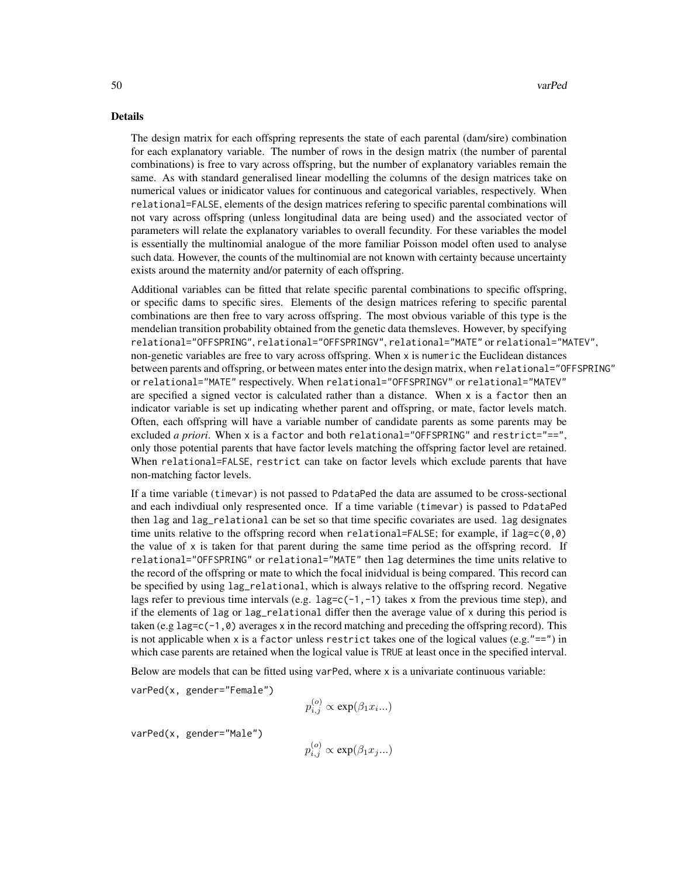#### Details

The design matrix for each offspring represents the state of each parental (dam/sire) combination for each explanatory variable. The number of rows in the design matrix (the number of parental combinations) is free to vary across offspring, but the number of explanatory variables remain the same. As with standard generalised linear modelling the columns of the design matrices take on numerical values or inidicator values for continuous and categorical variables, respectively. When relational=FALSE, elements of the design matrices refering to specific parental combinations will not vary across offspring (unless longitudinal data are being used) and the associated vector of parameters will relate the explanatory variables to overall fecundity. For these variables the model is essentially the multinomial analogue of the more familiar Poisson model often used to analyse such data. However, the counts of the multinomial are not known with certainty because uncertainty exists around the maternity and/or paternity of each offspring.

Additional variables can be fitted that relate specific parental combinations to specific offspring, or specific dams to specific sires. Elements of the design matrices refering to specific parental combinations are then free to vary across offspring. The most obvious variable of this type is the mendelian transition probability obtained from the genetic data themsleves. However, by specifying relational="OFFSPRING", relational="OFFSPRINGV", relational="MATE" or relational="MATEV", non-genetic variables are free to vary across offspring. When x is numeric the Euclidean distances between parents and offspring, or between mates enter into the design matrix, when relational="OFFSPRING" or relational="MATE" respectively. When relational="OFFSPRINGV" or relational="MATEV" are specified a signed vector is calculated rather than a distance. When  $x$  is a factor then an indicator variable is set up indicating whether parent and offspring, or mate, factor levels match. Often, each offspring will have a variable number of candidate parents as some parents may be excluded *a priori*. When x is a factor and both relational="OFFSPRING" and restrict="==", only those potential parents that have factor levels matching the offspring factor level are retained. When relational=FALSE, restrict can take on factor levels which exclude parents that have non-matching factor levels.

If a time variable (timevar) is not passed to PdataPed the data are assumed to be cross-sectional and each indivdiual only respresented once. If a time variable (timevar) is passed to PdataPed then lag and lag\_relational can be set so that time specific covariates are used. lag designates time units relative to the offspring record when relational=FALSE; for example, if  $lag=c(\theta,\theta)$ the value of x is taken for that parent during the same time period as the offspring record. If relational="OFFSPRING" or relational="MATE" then lag determines the time units relative to the record of the offspring or mate to which the focal inidvidual is being compared. This record can be specified by using lag\_relational, which is always relative to the offspring record. Negative lags refer to previous time intervals (e.g.  $lag=c(-1,-1)$  takes x from the previous time step), and if the elements of lag or lag\_relational differ then the average value of x during this period is taken (e.g lag=c(-1,0) averages x in the record matching and preceding the offspring record). This is not applicable when x is a factor unless restrict takes one of the logical values (e.g." $==$ ") in which case parents are retained when the logical value is TRUE at least once in the specified interval.

Below are models that can be fitted using varPed, where x is a univariate continuous variable:

varPed(x, gender="Female")

$$
p_{i,j}^{(o)} \propto \exp(\beta_1 x_i...)
$$

varPed(x, gender="Male")

 $p_{i,j}^{(o)} \propto \exp(\beta_1 x_j...)$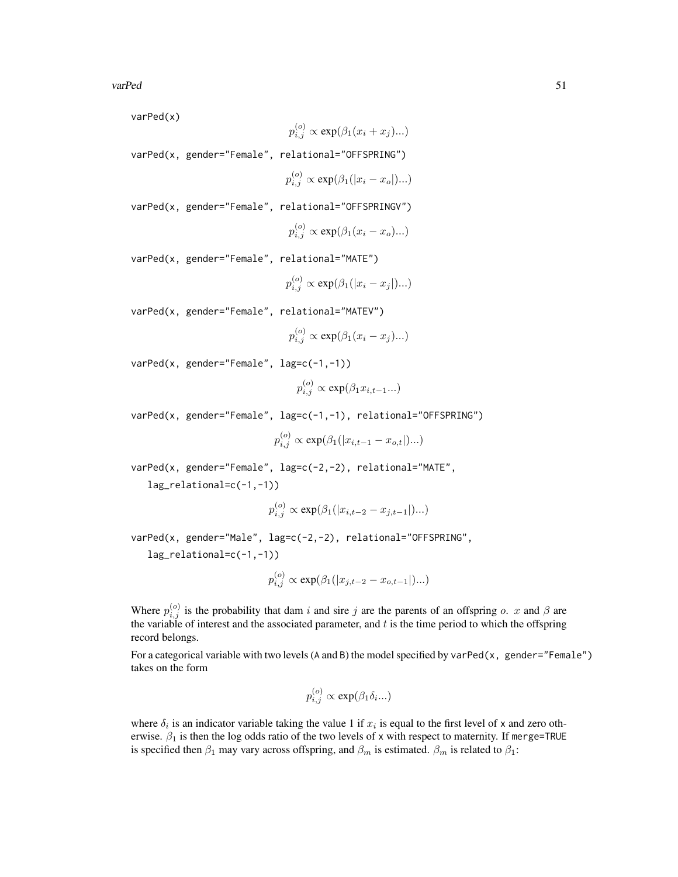varPed(x)

$$
p_{i,j}^{(o)} \propto \exp(\beta_1(x_i + x_j)...)
$$

varPed(x, gender="Female", relational="OFFSPRING")

$$
p_{i,j}^{(o)} \propto \exp(\beta_1(|x_i - x_o|)...)
$$

varPed(x, gender="Female", relational="OFFSPRINGV")

$$
p_{i,j}^{(o)} \propto \exp(\beta_1(x_i - x_o)...)
$$

varPed(x, gender="Female", relational="MATE")

$$
p_{i,j}^{(o)} \propto \exp(\beta_1(|x_i - x_j|)...)
$$

varPed(x, gender="Female", relational="MATEV")

$$
p_{i,j}^{(o)} \propto \exp(\beta_1 (x_i - x_j)...)
$$

varPed(x, gender="Female", lag=c(-1,-1))

$$
p_{i,j}^{(o)} \propto \exp(\beta_1 x_{i,t-1}...)
$$

varPed(x, gender="Female", lag=c(-1,-1), relational="OFFSPRING")

$$
p_{i,j}^{(o)} \propto \exp(\beta_1(|x_{i,t-1} - x_{o,t}|)...)
$$

varPed(x, gender="Female", lag=c(-2,-2), relational="MATE",

lag\_relational=c(-1,-1))

$$
p_{i,j}^{(o)} \propto \exp(\beta_1(|x_{i,t-2} - x_{j,t-1}|)...)
$$

varPed(x, gender="Male", lag=c(-2,-2), relational="OFFSPRING",

lag\_relational=c(-1,-1))

$$
p_{i,j}^{(o)} \propto \exp(\beta_1(|x_{j,t-2}-x_{o,t-1}|)...)
$$

Where  $p_{i,j}^{(o)}$  is the probability that dam i and sire j are the parents of an offspring o. x and  $\beta$  are the variable of interest and the associated parameter, and  $t$  is the time period to which the offspring record belongs.

For a categorical variable with two levels (A and B) the model specified by varPed(x, gender="Female") takes on the form

$$
p_{i,j}^{(o)} \propto \exp(\beta_1 \delta_{i...})
$$

where  $\delta_i$  is an indicator variable taking the value 1 if  $x_i$  is equal to the first level of x and zero otherwise.  $\beta_1$  is then the log odds ratio of the two levels of x with respect to maternity. If merge=TRUE is specified then  $\beta_1$  may vary across offspring, and  $\beta_m$  is estimated.  $\beta_m$  is related to  $\beta_1$ :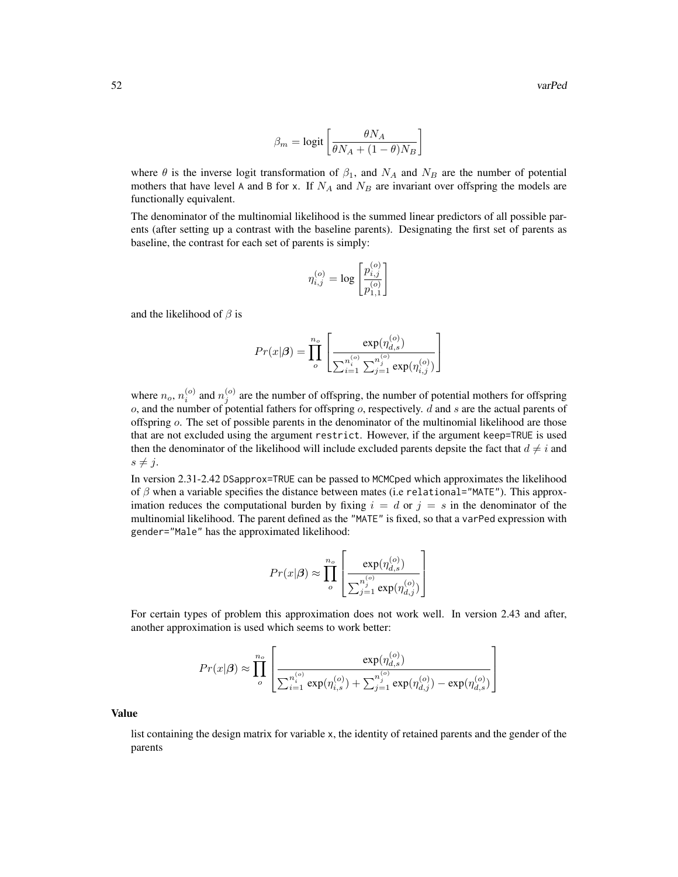$$
\beta_m = \text{logit}\left[\frac{\theta N_A}{\theta N_A + (1-\theta)N_B}\right]
$$

where  $\theta$  is the inverse logit transformation of  $\beta_1$ , and  $N_A$  and  $N_B$  are the number of potential mothers that have level A and B for x. If  $N_A$  and  $N_B$  are invariant over offspring the models are functionally equivalent.

The denominator of the multinomial likelihood is the summed linear predictors of all possible parents (after setting up a contrast with the baseline parents). Designating the first set of parents as baseline, the contrast for each set of parents is simply:

$$
\eta_{i,j}^{(o)}=\log\left[\frac{p_{i,j}^{(o)}}{p_{1,1}^{(o)}}\right]
$$

and the likelihood of  $\beta$  is

$$
Pr(x|\boldsymbol{\beta}) = \prod_{o}^{n_o} \left[ \frac{\exp(\eta_{d,s}^{(o)})}{\sum_{i=1}^{n_i^{(o)}} \sum_{j=1}^{n_j^{(o)}} \exp(\eta_{i,j}^{(o)})} \right]
$$

where  $n_o$ ,  $n_i^{(o)}$  and  $n_j^{(o)}$  are the number of offspring, the number of potential mothers for offspring  $o$ , and the number of potential fathers for offspring  $o$ , respectively.  $d$  and  $s$  are the actual parents of offspring o. The set of possible parents in the denominator of the multinomial likelihood are those that are not excluded using the argument restrict. However, if the argument keep=TRUE is used then the denominator of the likelihood will include excluded parents depsite the fact that  $d \neq i$  and  $s \neq j$ .

In version 2.31-2.42 DSapprox=TRUE can be passed to MCMCped which approximates the likelihood of  $\beta$  when a variable specifies the distance between mates (i.e relational="MATE"). This approximation reduces the computational burden by fixing  $i = d$  or  $j = s$  in the denominator of the multinomial likelihood. The parent defined as the "MATE" is fixed, so that a varPed expression with gender="Male" has the approximated likelihood:

$$
Pr(x|\boldsymbol{\beta}) \approx \prod_{o}^{n_o} \left[ \frac{\exp(\eta_{d,s}^{(o)})}{\sum_{j=1}^{n_j^{(o)}} \exp(\eta_{d,j}^{(o)})} \right]
$$

For certain types of problem this approximation does not work well. In version 2.43 and after, another approximation is used which seems to work better:

$$
Pr(x|\boldsymbol{\beta}) \approx \prod_{o}^{n_o} \left[ \frac{\exp(\eta_{d,s}^{(o)})}{\sum_{i=1}^{n_i^{(o)}} \exp(\eta_{i,s}^{(o)}) + \sum_{j=1}^{n_j^{(o)}} \exp(\eta_{d,j}^{(o)}) - \exp(\eta_{d,s}^{(o)})} \right]
$$

Value

list containing the design matrix for variable x, the identity of retained parents and the gender of the parents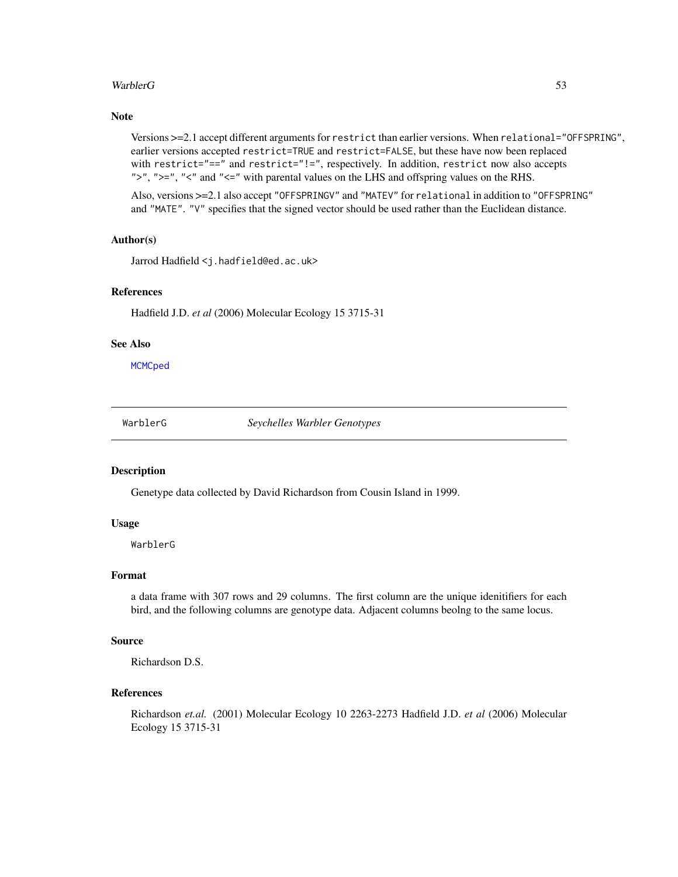#### <span id="page-52-0"></span>WarblerG 53

## Note

Versions >=2.1 accept different arguments for restrict than earlier versions. When relational="OFFSPRING", earlier versions accepted restrict=TRUE and restrict=FALSE, but these have now been replaced with restrict="==" and restrict="!=", respectively. In addition, restrict now also accepts ">", ">=", "<" and "<=" with parental values on the LHS and offspring values on the RHS.

Also, versions >=2.1 also accept "OFFSPRINGV" and "MATEV" for relational in addition to "OFFSPRING" and "MATE". "V" specifies that the signed vector should be used rather than the Euclidean distance.

#### Author(s)

Jarrod Hadfield <j.hadfield@ed.ac.uk>

## References

Hadfield J.D. *et al* (2006) Molecular Ecology 15 3715-31

#### See Also

**[MCMCped](#page-18-1)** 

WarblerG *Seychelles Warbler Genotypes*

#### Description

Genetype data collected by David Richardson from Cousin Island in 1999.

#### Usage

WarblerG

#### Format

a data frame with 307 rows and 29 columns. The first column are the unique idenitifiers for each bird, and the following columns are genotype data. Adjacent columns beolng to the same locus.

## Source

Richardson D.S.

## References

Richardson *et.al.* (2001) Molecular Ecology 10 2263-2273 Hadfield J.D. *et al* (2006) Molecular Ecology 15 3715-31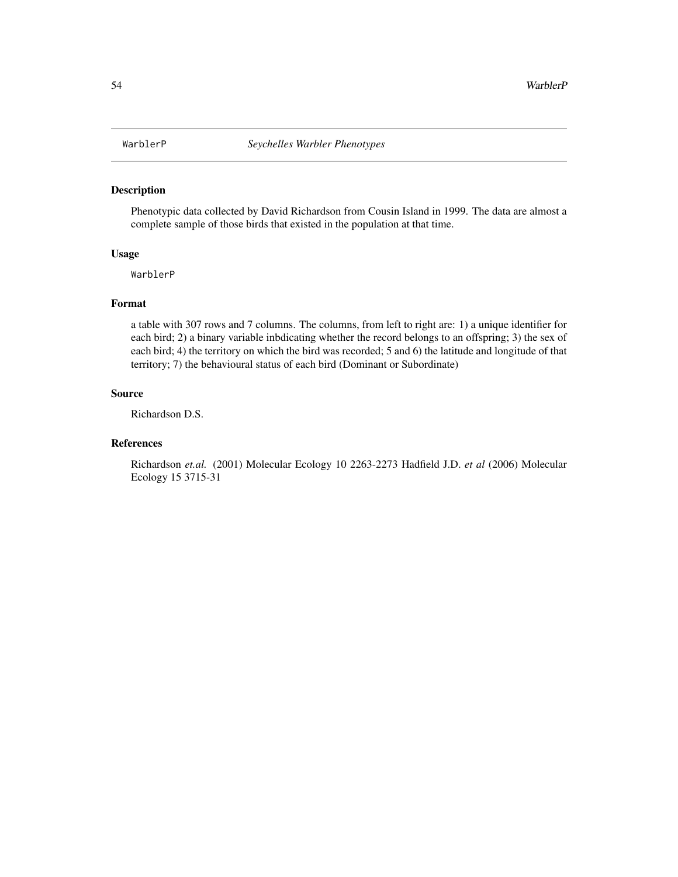<span id="page-53-0"></span>

# Description

Phenotypic data collected by David Richardson from Cousin Island in 1999. The data are almost a complete sample of those birds that existed in the population at that time.

#### Usage

WarblerP

## Format

a table with 307 rows and 7 columns. The columns, from left to right are: 1) a unique identifier for each bird; 2) a binary variable inbdicating whether the record belongs to an offspring; 3) the sex of each bird; 4) the territory on which the bird was recorded; 5 and 6) the latitude and longitude of that territory; 7) the behavioural status of each bird (Dominant or Subordinate)

#### Source

Richardson D.S.

#### References

Richardson *et.al.* (2001) Molecular Ecology 10 2263-2273 Hadfield J.D. *et al* (2006) Molecular Ecology 15 3715-31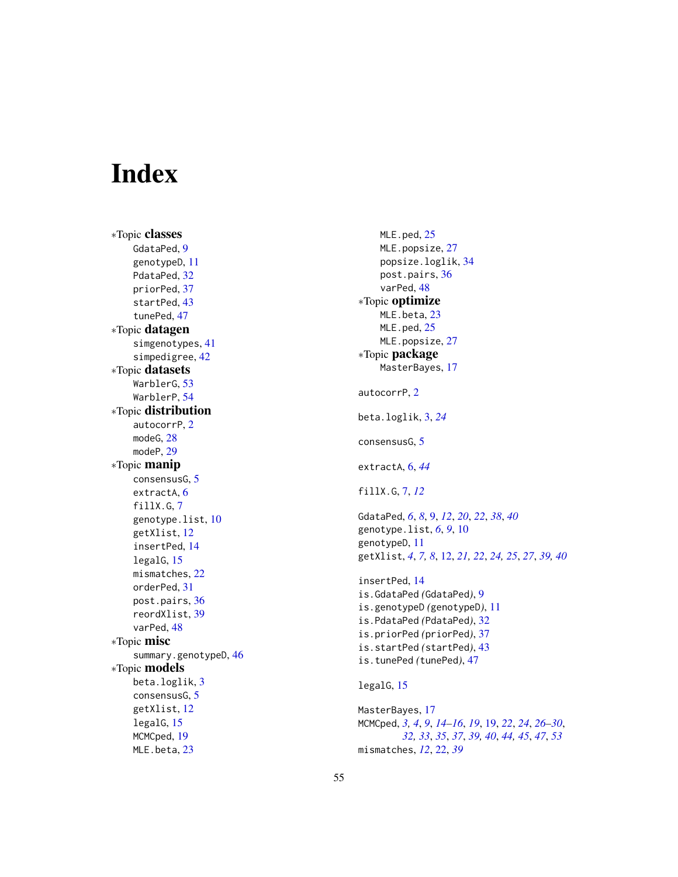# <span id="page-54-0"></span>Index

∗Topic classes GdataPed, [9](#page-8-0) genotypeD , [11](#page-10-0) PdataPed, [32](#page-31-0) priorPed , [37](#page-36-0) startPed , [43](#page-42-0) tunePed , [47](#page-46-0) ∗Topic datagen simgenotypes , [41](#page-40-0) simpedigree , [42](#page-41-0) ∗Topic datasets WarblerG , [53](#page-52-0) WarblerP, [54](#page-53-0) ∗Topic distribution autocorrP , [2](#page-1-0) modeG, [28](#page-27-0) modeP , [29](#page-28-0) ∗Topic manip consensusG , [5](#page-4-0) extractA, [6](#page-5-0) fillX.G, [7](#page-6-0) genotype.list, [10](#page-9-0) getXlist , [12](#page-11-0) insertPed , [14](#page-13-0) legalG , [15](#page-14-0) mismatches , [22](#page-21-0) orderPed , [31](#page-30-0) post.pairs , [36](#page-35-0) reordXlist , [39](#page-38-0) varPed, [48](#page-47-0) ∗Topic misc summary.genotypeD, [46](#page-45-0) ∗Topic models beta.loglik , [3](#page-2-0) consensusG , [5](#page-4-0) getXlist , [12](#page-11-0) legalG , [15](#page-14-0) MCMCped, [19](#page-18-0) MLE.beta, [23](#page-22-0)

MLE.ped, [25](#page-24-0) MLE.popsize, [27](#page-26-0) popsize.loglik , [34](#page-33-0) post.pairs , [36](#page-35-0) varPed, [48](#page-47-0) ∗Topic optimize MLE.beta, [23](#page-22-0) MLE.ped, [25](#page-24-0) MLE.popsize, [27](#page-26-0) ∗Topic package MasterBayes, [17](#page-16-0) autocorrP , [2](#page-1-0) beta.loglik , [3](#page-2-0) , *[24](#page-23-0)* consensusG, [5](#page-4-0) extractA , [6](#page-5-0) , *[44](#page-43-0)* fillX.G , [7](#page-6-0) , *[12](#page-11-0)* GdataPed , *[6](#page-5-0)* , *[8](#page-7-0)* , [9](#page-8-0) , *[12](#page-11-0)* , *[20](#page-19-0)* , *[22](#page-21-0)* , *[38](#page-37-0)* , *[40](#page-39-0)* genotype.list, [6](#page-5-0), [9](#page-8-0), [10](#page-9-0) genotypeD , [11](#page-10-0) getXlist , *[4](#page-3-0)* , *[7,](#page-6-0) [8](#page-7-0)* , [12](#page-11-0) , *[21](#page-20-0) , [22](#page-21-0)* , *[24](#page-23-0) , [25](#page-24-0)* , *[27](#page-26-0)* , *[39](#page-38-0) , [40](#page-39-0)* insertPed , [14](#page-13-0) is.GdataPed *(*GdataPed *)* , [9](#page-8-0) is.genotypeD *(*genotypeD *)* , [11](#page-10-0) is.PdataPed *(*PdataPed *)* , [32](#page-31-0) is.priorPed *(*priorPed *)* , [37](#page-36-0) is.startPed *(*startPed *)* , [43](#page-42-0) is.tunePed *(*tunePed *)* , [47](#page-46-0) legalG, [15](#page-14-0) MasterBayes , [17](#page-16-0) MCMCped , *[3](#page-2-0) , [4](#page-3-0)* , *[9](#page-8-0)* , *[14](#page-13-0) [–16](#page-15-0)* , *[19](#page-18-0)* , [19](#page-18-0) , *[22](#page-21-0)* , *[24](#page-23-0)* , *[26](#page-25-0)[–30](#page-29-0)* , *[32](#page-31-0) , [33](#page-32-0)* , *[35](#page-34-0)* , *[37](#page-36-0)* , *[39](#page-38-0) , [40](#page-39-0)* , *[44](#page-43-0) , [45](#page-44-0)* , *[47](#page-46-0)* , *[53](#page-52-0)* mismatches , *[12](#page-11-0)* , [22](#page-21-0) , *[39](#page-38-0)*